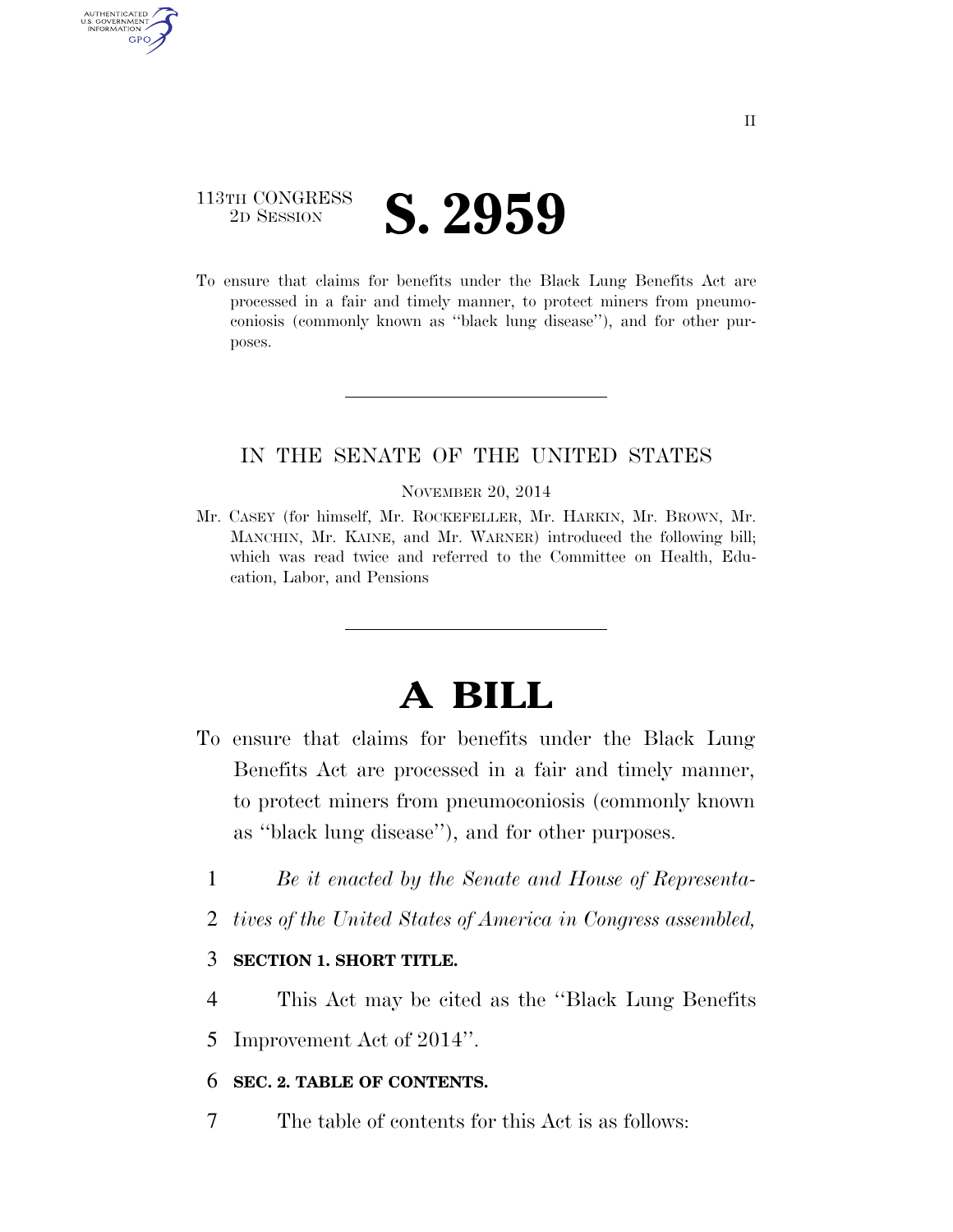### 113TH CONGRESS <sup>2D SESSION</sup> **S. 2959**

AUTHENTICATED U.S. GOVERNMENT GPO

> To ensure that claims for benefits under the Black Lung Benefits Act are processed in a fair and timely manner, to protect miners from pneumoconiosis (commonly known as ''black lung disease''), and for other purposes.

### IN THE SENATE OF THE UNITED STATES

### NOVEMBER 20, 2014

Mr. CASEY (for himself, Mr. ROCKEFELLER, Mr. HARKIN, Mr. BROWN, Mr. MANCHIN, Mr. KAINE, and Mr. WARNER) introduced the following bill; which was read twice and referred to the Committee on Health, Education, Labor, and Pensions

# **A BILL**

- To ensure that claims for benefits under the Black Lung Benefits Act are processed in a fair and timely manner, to protect miners from pneumoconiosis (commonly known as ''black lung disease''), and for other purposes.
	- 1 *Be it enacted by the Senate and House of Representa-*
	- 2 *tives of the United States of America in Congress assembled,*

### 3 **SECTION 1. SHORT TITLE.**

- 4 This Act may be cited as the ''Black Lung Benefits
- 5 Improvement Act of 2014''.

### 6 **SEC. 2. TABLE OF CONTENTS.**

7 The table of contents for this Act is as follows: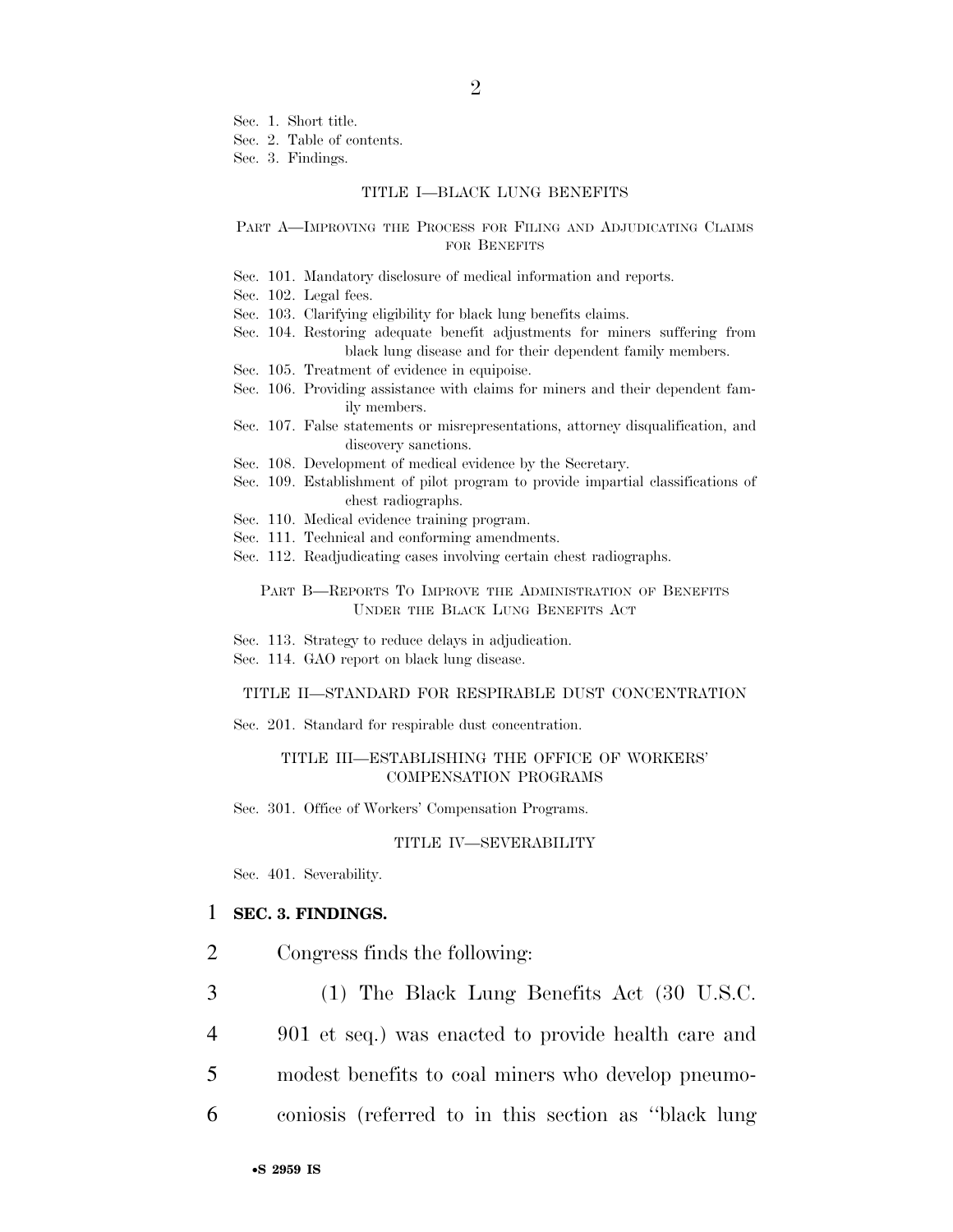Sec. 1. Short title.

Sec. 2. Table of contents.

Sec. 3. Findings.

#### TITLE I—BLACK LUNG BENEFITS

#### PART A-IMPROVING THE PROCESS FOR FILING AND ADJUDICATING CLAIMS FOR BENEFITS

- Sec. 101. Mandatory disclosure of medical information and reports.
- Sec. 102. Legal fees.

Sec. 103. Clarifying eligibility for black lung benefits claims.

- Sec. 104. Restoring adequate benefit adjustments for miners suffering from black lung disease and for their dependent family members.
- Sec. 105. Treatment of evidence in equipoise.
- Sec. 106. Providing assistance with claims for miners and their dependent family members.
- Sec. 107. False statements or misrepresentations, attorney disqualification, and discovery sanctions.
- Sec. 108. Development of medical evidence by the Secretary.
- Sec. 109. Establishment of pilot program to provide impartial classifications of chest radiographs.
- Sec. 110. Medical evidence training program.
- Sec. 111. Technical and conforming amendments.
- Sec. 112. Readjudicating cases involving certain chest radiographs.

#### PART B—REPORTS TO IMPROVE THE ADMINISTRATION OF BENEFITS UNDER THE BLACK LUNG BENEFITS ACT

- Sec. 113. Strategy to reduce delays in adjudication.
- Sec. 114. GAO report on black lung disease.

#### TITLE II—STANDARD FOR RESPIRABLE DUST CONCENTRATION

Sec. 201. Standard for respirable dust concentration.

#### TITLE III—ESTABLISHING THE OFFICE OF WORKERS' COMPENSATION PROGRAMS

Sec. 301. Office of Workers' Compensation Programs.

#### TITLE IV—SEVERABILITY

Sec. 401. Severability.

#### 1 **SEC. 3. FINDINGS.**

- 2 Congress finds the following:
- 3 (1) The Black Lung Benefits Act (30 U.S.C.
- 4 901 et seq.) was enacted to provide health care and
- 5 modest benefits to coal miners who develop pneumo-
- 6 coniosis (referred to in this section as ''black lung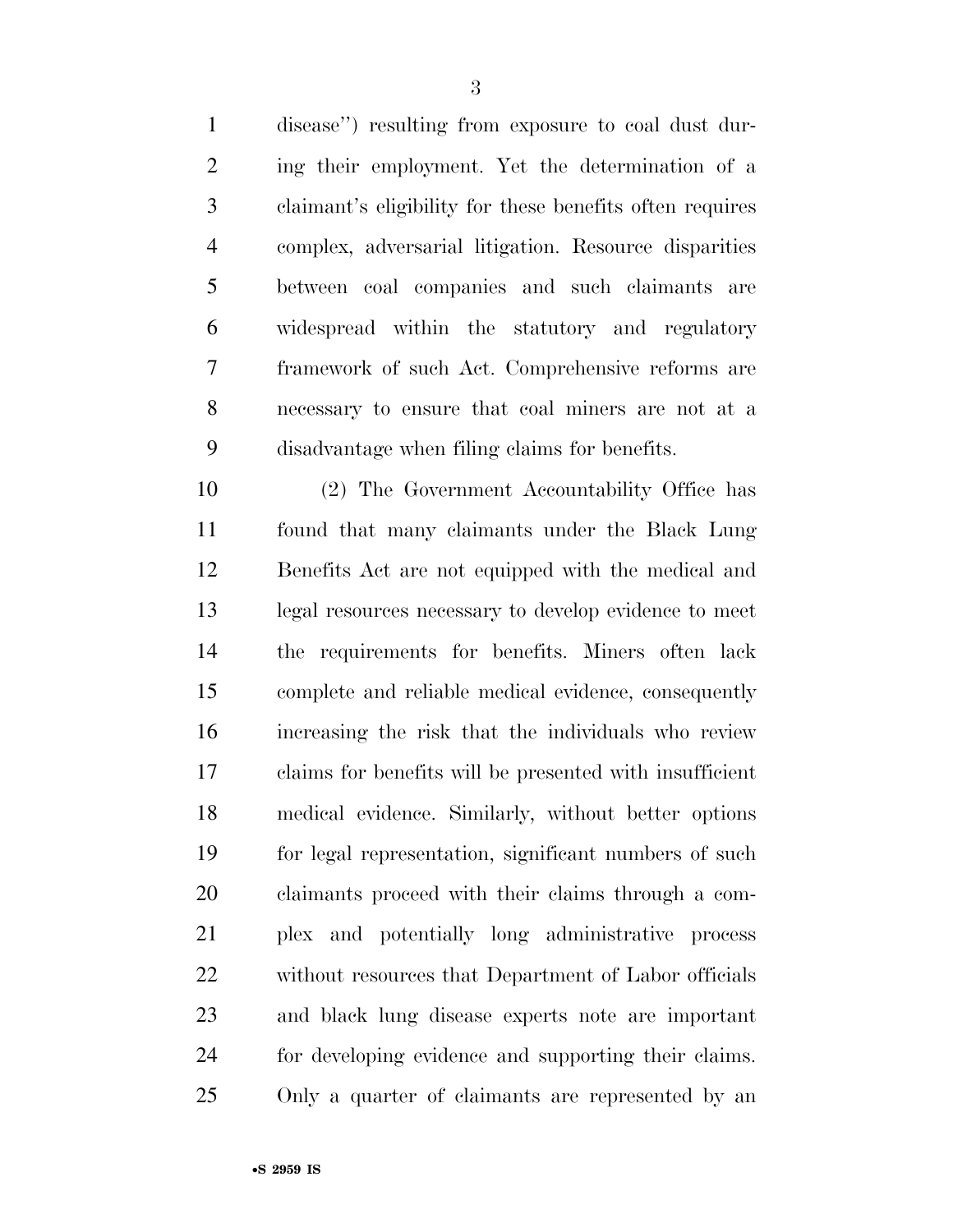disease'') resulting from exposure to coal dust dur- ing their employment. Yet the determination of a claimant's eligibility for these benefits often requires complex, adversarial litigation. Resource disparities between coal companies and such claimants are widespread within the statutory and regulatory framework of such Act. Comprehensive reforms are necessary to ensure that coal miners are not at a disadvantage when filing claims for benefits.

 (2) The Government Accountability Office has found that many claimants under the Black Lung Benefits Act are not equipped with the medical and legal resources necessary to develop evidence to meet the requirements for benefits. Miners often lack complete and reliable medical evidence, consequently increasing the risk that the individuals who review claims for benefits will be presented with insufficient medical evidence. Similarly, without better options for legal representation, significant numbers of such claimants proceed with their claims through a com- plex and potentially long administrative process 22 without resources that Department of Labor officials and black lung disease experts note are important for developing evidence and supporting their claims. Only a quarter of claimants are represented by an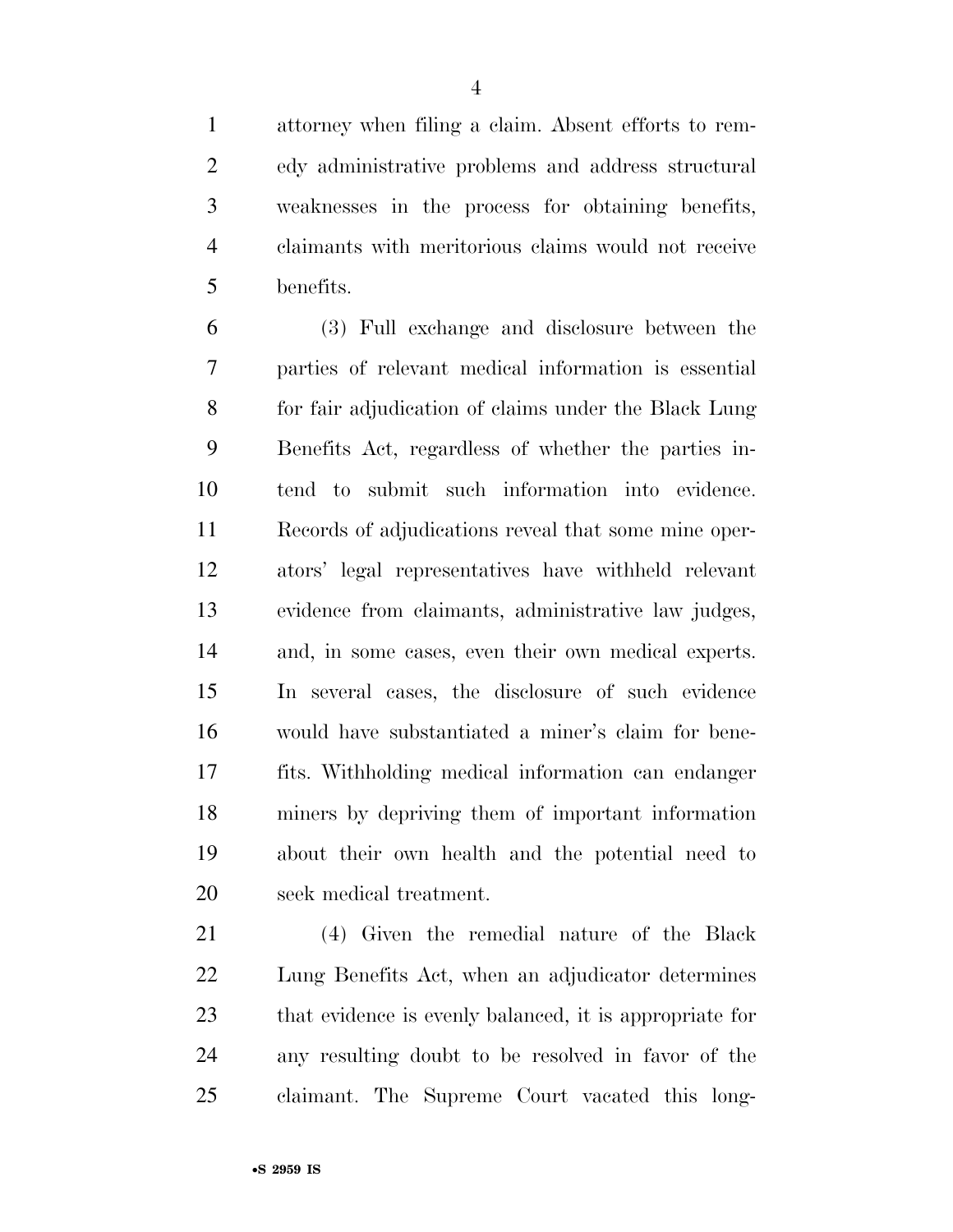attorney when filing a claim. Absent efforts to rem- edy administrative problems and address structural weaknesses in the process for obtaining benefits, claimants with meritorious claims would not receive benefits.

 (3) Full exchange and disclosure between the parties of relevant medical information is essential for fair adjudication of claims under the Black Lung Benefits Act, regardless of whether the parties in- tend to submit such information into evidence. Records of adjudications reveal that some mine oper- ators' legal representatives have withheld relevant evidence from claimants, administrative law judges, and, in some cases, even their own medical experts. In several cases, the disclosure of such evidence would have substantiated a miner's claim for bene- fits. Withholding medical information can endanger miners by depriving them of important information about their own health and the potential need to seek medical treatment.

 (4) Given the remedial nature of the Black Lung Benefits Act, when an adjudicator determines that evidence is evenly balanced, it is appropriate for any resulting doubt to be resolved in favor of the claimant. The Supreme Court vacated this long-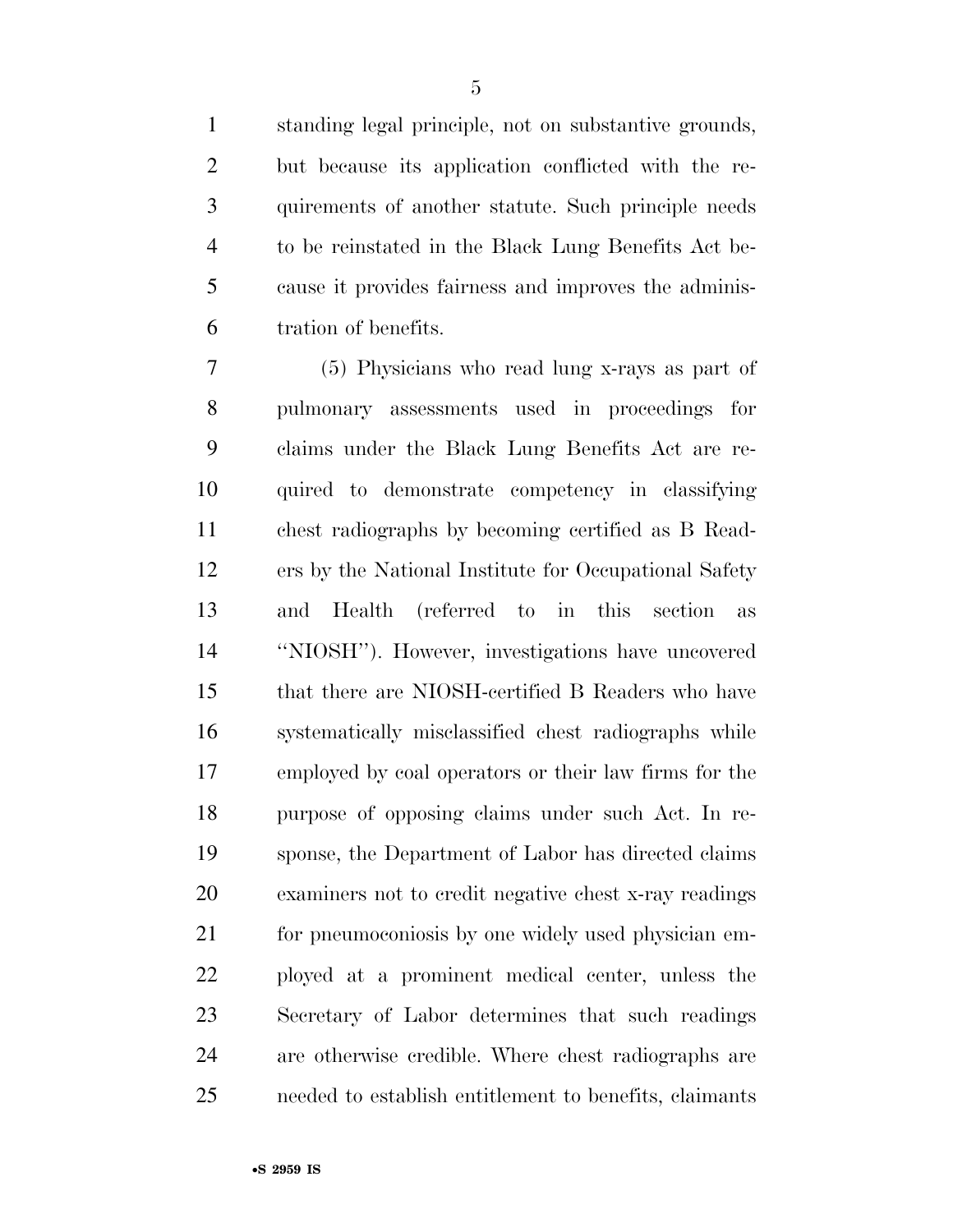standing legal principle, not on substantive grounds, but because its application conflicted with the re- quirements of another statute. Such principle needs to be reinstated in the Black Lung Benefits Act be- cause it provides fairness and improves the adminis-tration of benefits.

 (5) Physicians who read lung x-rays as part of pulmonary assessments used in proceedings for claims under the Black Lung Benefits Act are re- quired to demonstrate competency in classifying chest radiographs by becoming certified as B Read- ers by the National Institute for Occupational Safety and Health (referred to in this section as ''NIOSH''). However, investigations have uncovered that there are NIOSH-certified B Readers who have systematically misclassified chest radiographs while employed by coal operators or their law firms for the purpose of opposing claims under such Act. In re- sponse, the Department of Labor has directed claims examiners not to credit negative chest x-ray readings for pneumoconiosis by one widely used physician em- ployed at a prominent medical center, unless the Secretary of Labor determines that such readings are otherwise credible. Where chest radiographs are needed to establish entitlement to benefits, claimants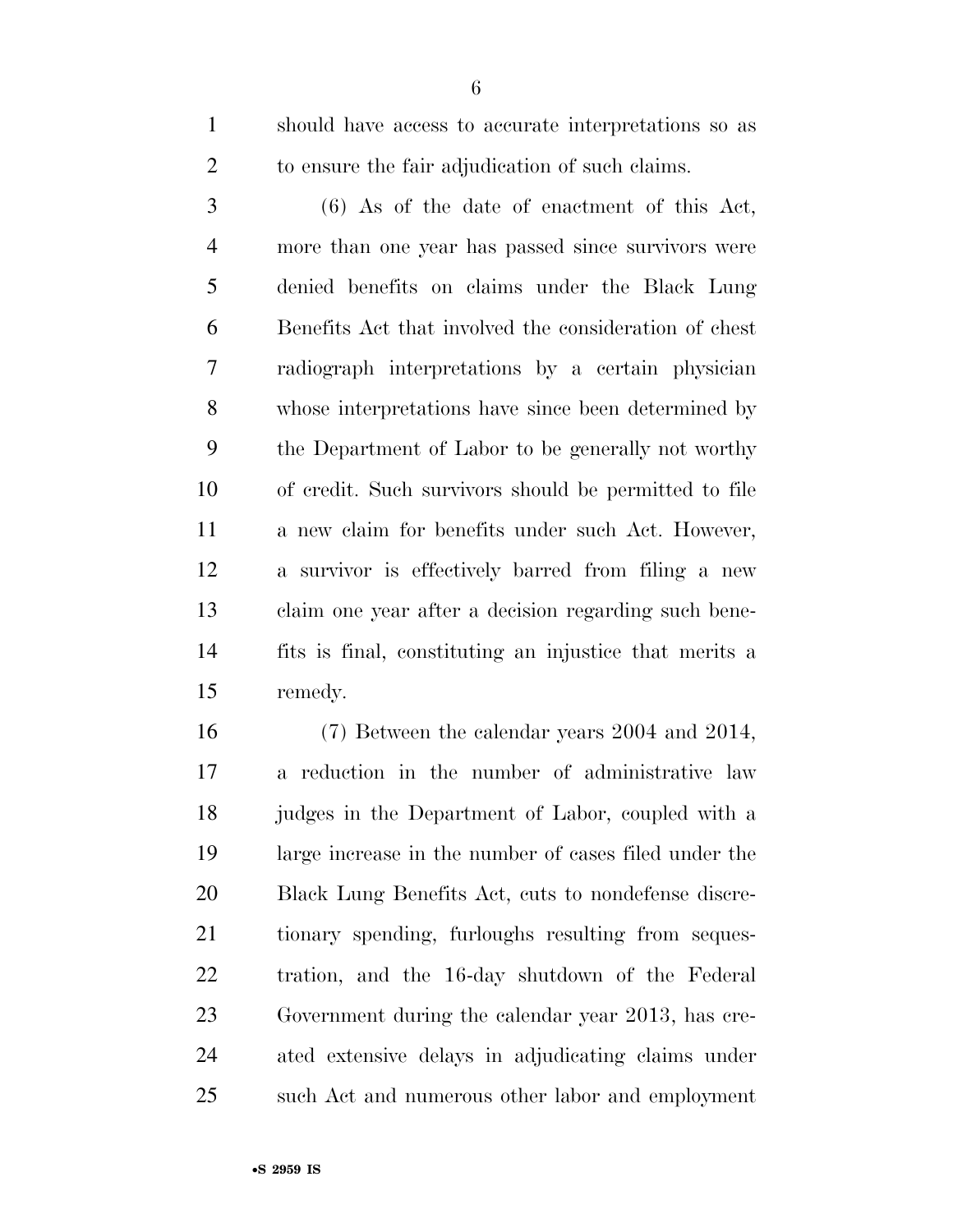should have access to accurate interpretations so as to ensure the fair adjudication of such claims.

 (6) As of the date of enactment of this Act, more than one year has passed since survivors were denied benefits on claims under the Black Lung Benefits Act that involved the consideration of chest radiograph interpretations by a certain physician whose interpretations have since been determined by the Department of Labor to be generally not worthy of credit. Such survivors should be permitted to file a new claim for benefits under such Act. However, a survivor is effectively barred from filing a new claim one year after a decision regarding such bene- fits is final, constituting an injustice that merits a remedy.

 (7) Between the calendar years 2004 and 2014, a reduction in the number of administrative law judges in the Department of Labor, coupled with a large increase in the number of cases filed under the Black Lung Benefits Act, cuts to nondefense discre- tionary spending, furloughs resulting from seques- tration, and the 16-day shutdown of the Federal Government during the calendar year 2013, has cre- ated extensive delays in adjudicating claims under such Act and numerous other labor and employment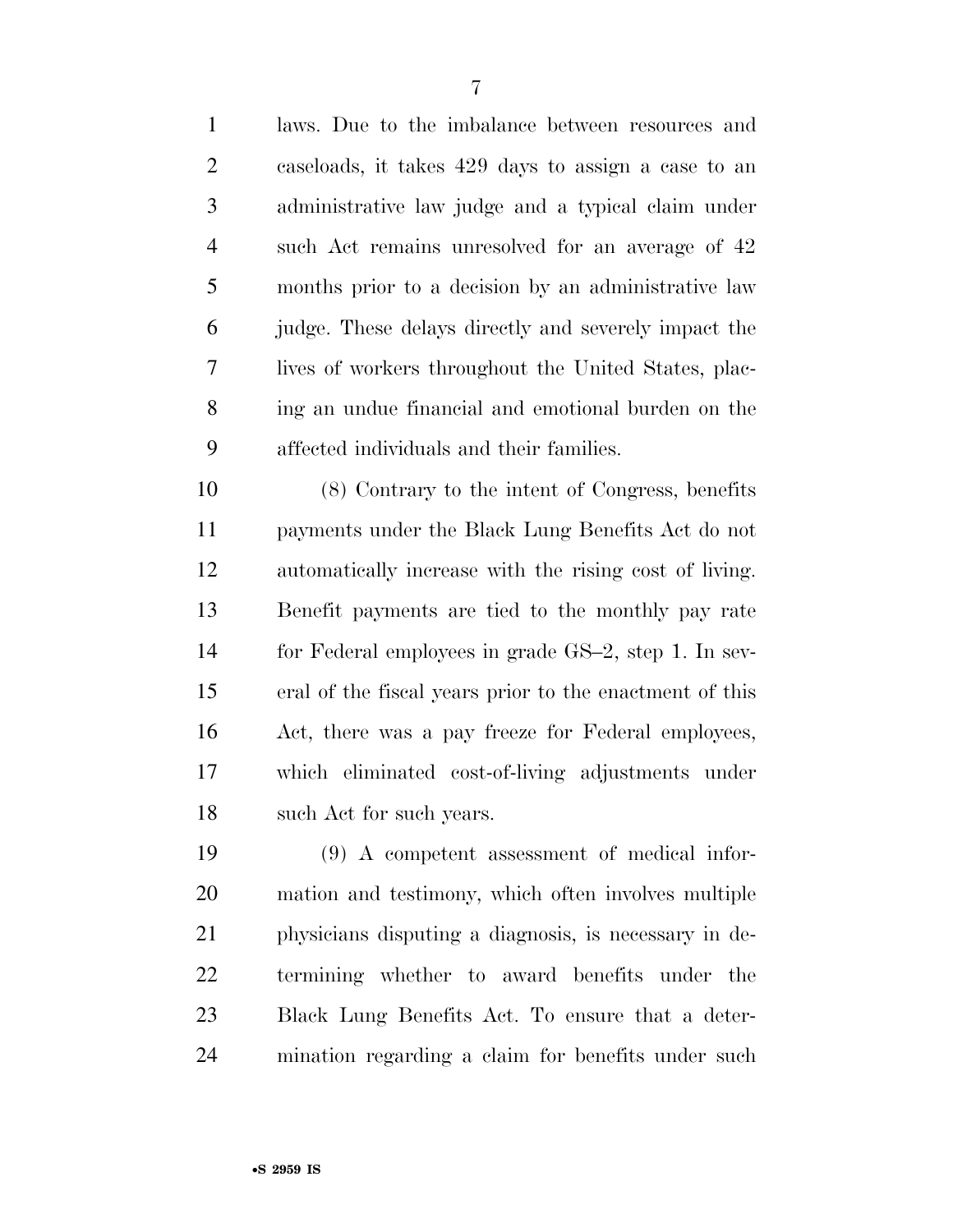| $\mathbf{1}$   | laws. Due to the imbalance between resources and     |
|----------------|------------------------------------------------------|
| 2              | caseloads, it takes 429 days to assign a case to an  |
| 3              | administrative law judge and a typical claim under   |
| $\overline{4}$ | such Act remains unresolved for an average of 42     |
| 5              | months prior to a decision by an administrative law  |
| 6              | judge. These delays directly and severely impact the |
| $\overline{7}$ | lives of workers throughout the United States, plac- |
| 8              | ing an undue financial and emotional burden on the   |
| 9              | affected individuals and their families.             |
|                |                                                      |

 (8) Contrary to the intent of Congress, benefits payments under the Black Lung Benefits Act do not automatically increase with the rising cost of living. Benefit payments are tied to the monthly pay rate for Federal employees in grade GS–2, step 1. In sev- eral of the fiscal years prior to the enactment of this Act, there was a pay freeze for Federal employees, which eliminated cost-of-living adjustments under such Act for such years.

 (9) A competent assessment of medical infor- mation and testimony, which often involves multiple physicians disputing a diagnosis, is necessary in de- termining whether to award benefits under the Black Lung Benefits Act. To ensure that a deter-mination regarding a claim for benefits under such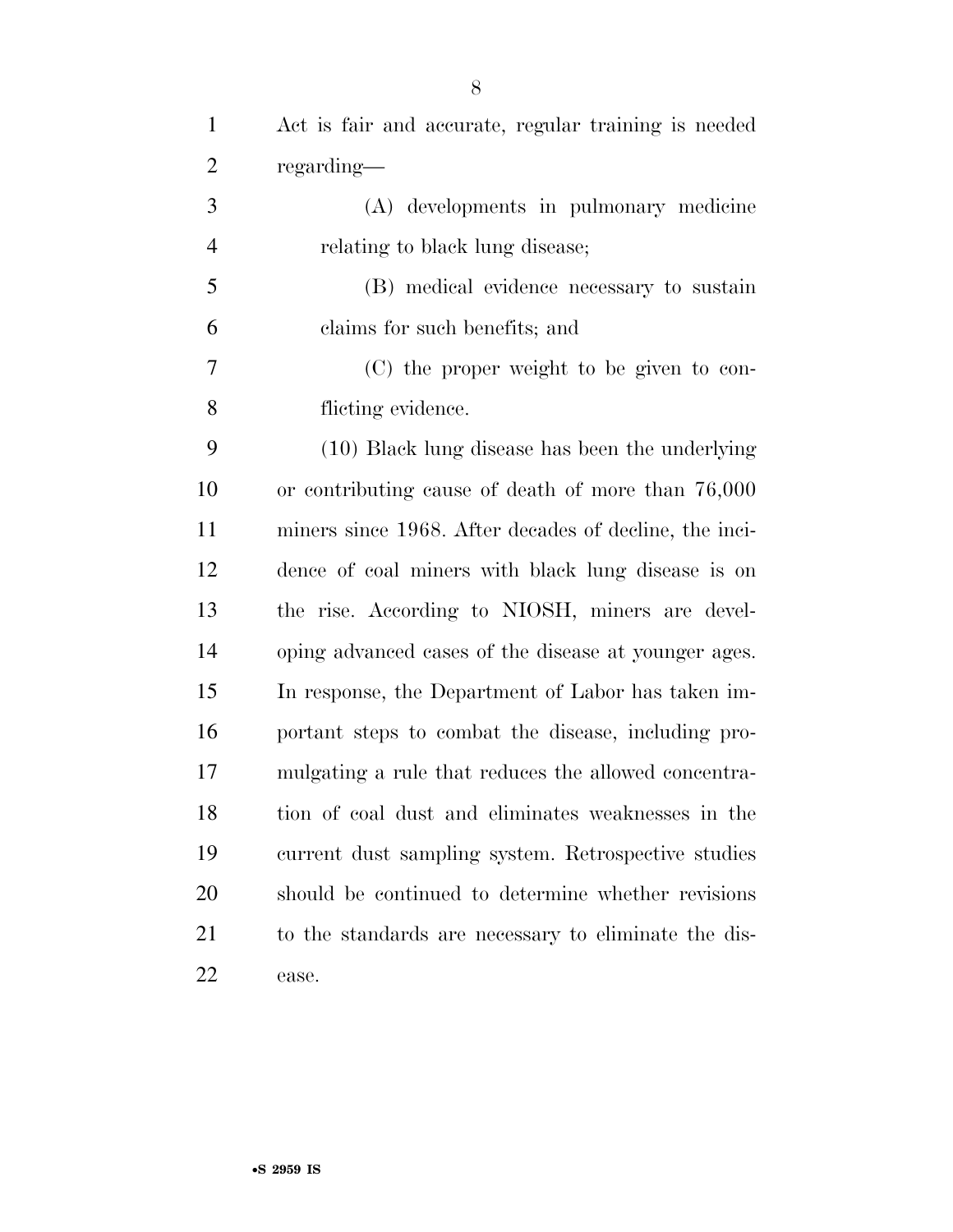| $\mathbf{1}$   | Act is fair and accurate, regular training is needed   |
|----------------|--------------------------------------------------------|
| $\overline{2}$ | regarding—                                             |
| 3              | (A) developments in pulmonary medicine                 |
| $\overline{4}$ | relating to black lung disease;                        |
| 5              | (B) medical evidence necessary to sustain              |
| 6              | claims for such benefits; and                          |
| 7              | (C) the proper weight to be given to con-              |
| 8              | flicting evidence.                                     |
| 9              | (10) Black lung disease has been the underlying        |
| 10             | or contributing cause of death of more than 76,000     |
| 11             | miners since 1968. After decades of decline, the inci- |
| 12             | dence of coal miners with black lung disease is on     |
| 13             | the rise. According to NIOSH, miners are devel-        |
| 14             | oping advanced cases of the disease at younger ages.   |
| 15             | In response, the Department of Labor has taken im-     |
| 16             | portant steps to combat the disease, including pro-    |
| 17             | mulgating a rule that reduces the allowed concentra-   |
| 18             | tion of coal dust and eliminates weaknesses in the     |
| 19             | current dust sampling system. Retrospective studies    |
| 20             | should be continued to determine whether revisions     |
| 21             | to the standards are necessary to eliminate the dis-   |
| 22             | ease.                                                  |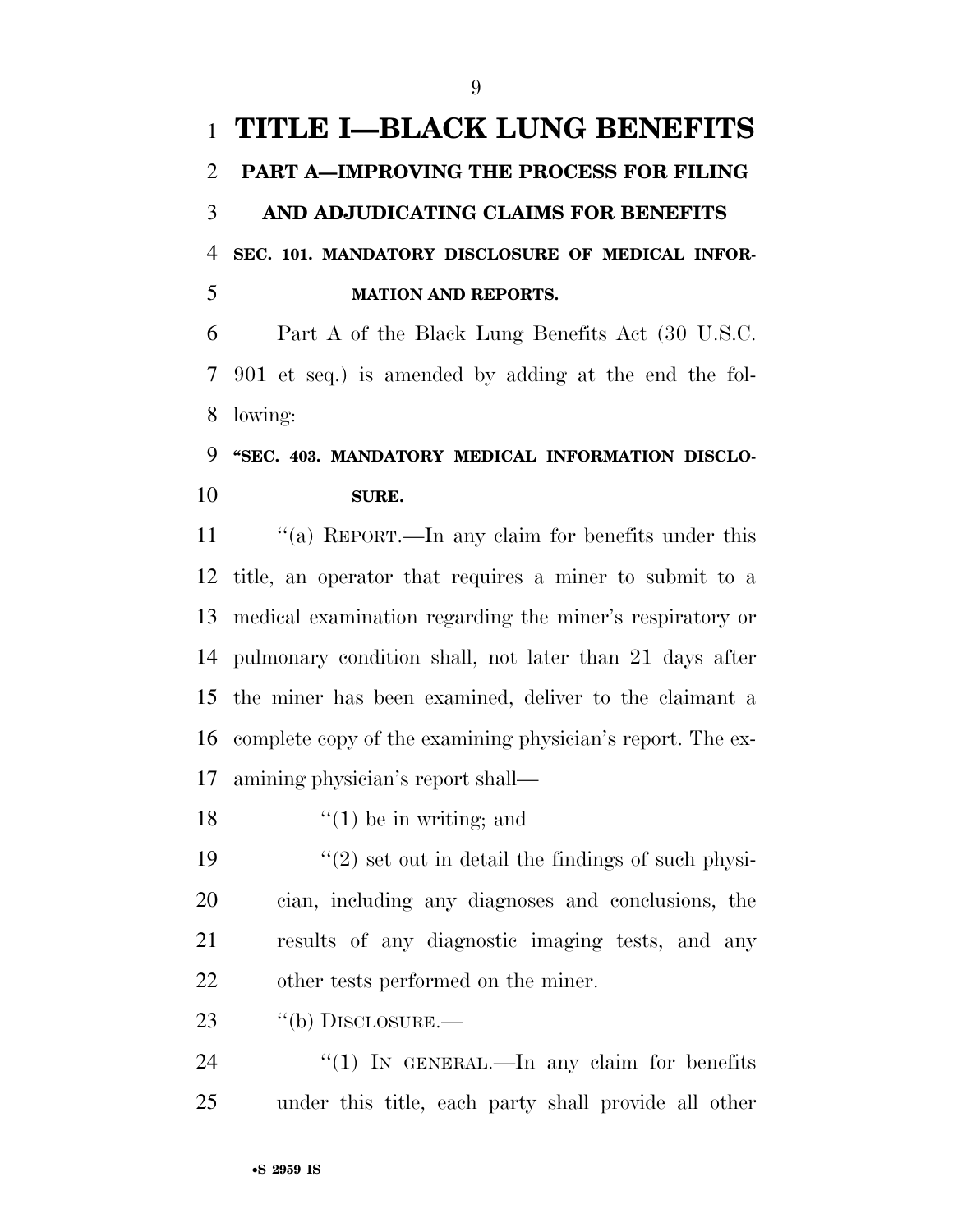# **TITLE I—BLACK LUNG BENEFITS PART A—IMPROVING THE PROCESS FOR FILING AND ADJUDICATING CLAIMS FOR BENEFITS SEC. 101. MANDATORY DISCLOSURE OF MEDICAL INFOR-MATION AND REPORTS.**

 Part A of the Black Lung Benefits Act (30 U.S.C. 901 et seq.) is amended by adding at the end the fol-lowing:

### **''SEC. 403. MANDATORY MEDICAL INFORMATION DISCLO-SURE.**

11 "(a) REPORT.—In any claim for benefits under this title, an operator that requires a miner to submit to a medical examination regarding the miner's respiratory or pulmonary condition shall, not later than 21 days after the miner has been examined, deliver to the claimant a complete copy of the examining physician's report. The ex-amining physician's report shall—

18  $\frac{1}{2}$  (1) be in writing; and

 $\frac{1}{2}$  set out in detail the findings of such physi- cian, including any diagnoses and conclusions, the results of any diagnostic imaging tests, and any other tests performed on the miner.

23 "(b) DISCLOSURE.—

24 "(1) IN GENERAL.—In any claim for benefits under this title, each party shall provide all other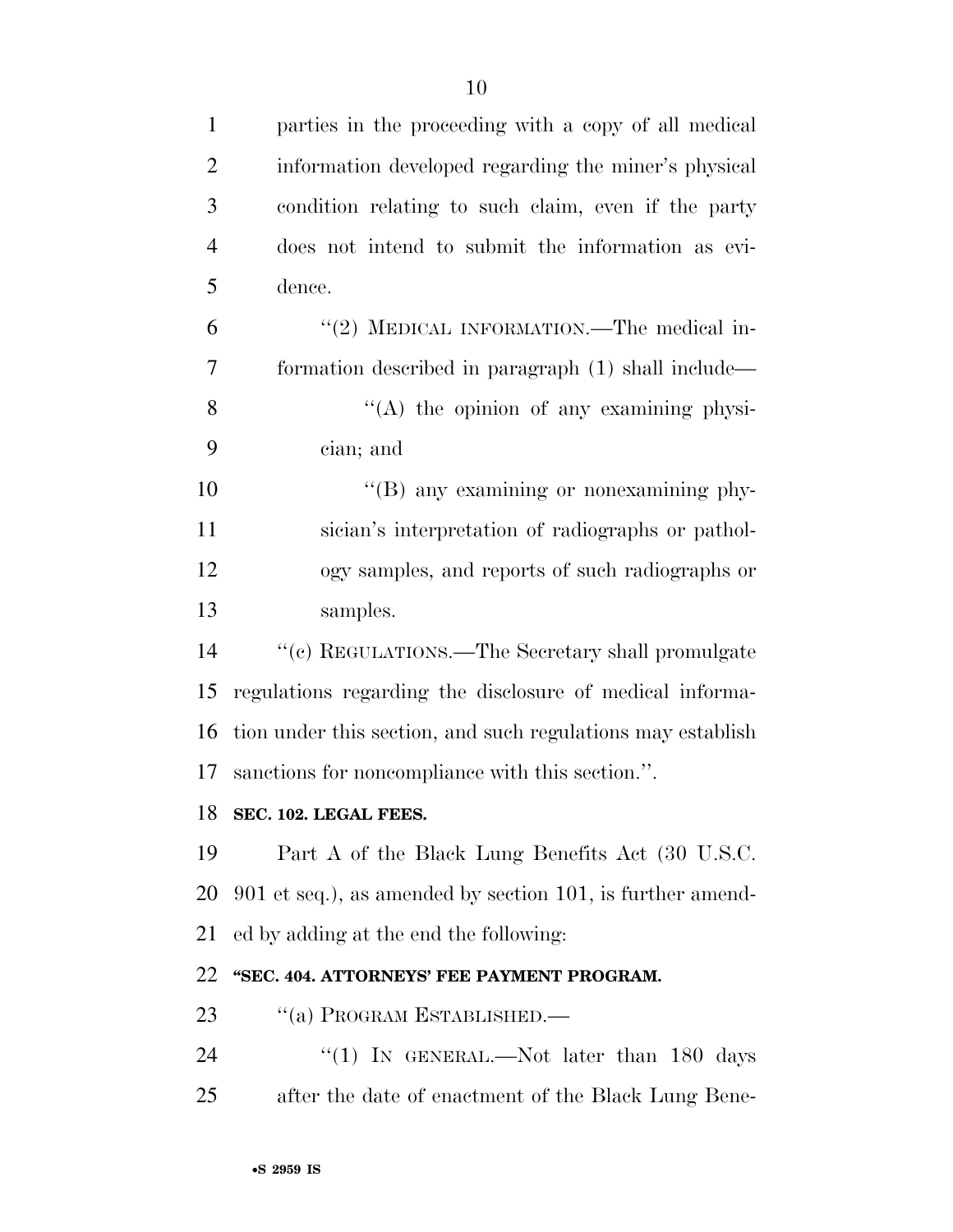| $\mathbf{1}$   | parties in the proceeding with a copy of all medical        |
|----------------|-------------------------------------------------------------|
| $\overline{2}$ | information developed regarding the miner's physical        |
| 3              | condition relating to such claim, even if the party         |
| $\overline{4}$ | does not intend to submit the information as evi-           |
| 5              | dence.                                                      |
| 6              | "(2) MEDICAL INFORMATION.—The medical in-                   |
| 7              | formation described in paragraph (1) shall include—         |
| 8              | "(A) the opinion of any examining physi-                    |
| 9              | cian; and                                                   |
| 10             | "(B) any examining or nonexamining phy-                     |
| 11             | sician's interpretation of radiographs or pathol-           |
| 12             | ogy samples, and reports of such radiographs or             |
| 13             | samples.                                                    |
| 14             | "(c) REGULATIONS.—The Secretary shall promulgate            |
| 15             | regulations regarding the disclosure of medical informa-    |
| 16             | tion under this section, and such regulations may establish |
| 17             | sanctions for noncompliance with this section.".            |
|                | 18 SEC. 102. LEGAL FEES.                                    |
| 19             | Part A of the Black Lung Benefits Act (30 U.S.C.            |
| 20             | 901 et seq.), as amended by section 101, is further amend-  |
| 21             | ed by adding at the end the following:                      |
| 22             | "SEC. 404. ATTORNEYS' FEE PAYMENT PROGRAM.                  |
| 23             | "(a) PROGRAM ESTABLISHED.-                                  |
| 24             | "(1) IN GENERAL.—Not later than 180 days                    |
| 25             | after the date of enactment of the Black Lung Bene-         |
|                |                                                             |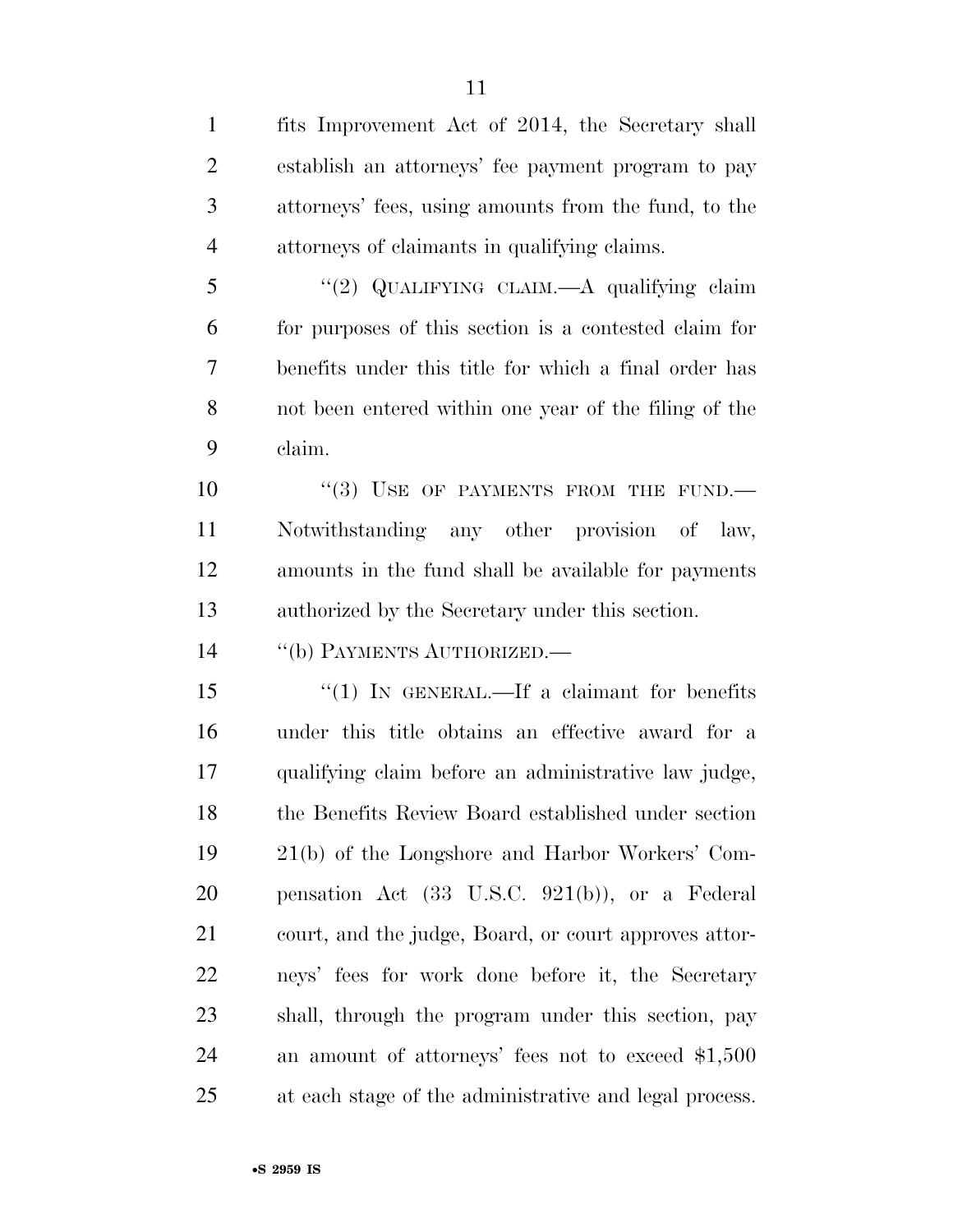fits Improvement Act of 2014, the Secretary shall establish an attorneys' fee payment program to pay attorneys' fees, using amounts from the fund, to the attorneys of claimants in qualifying claims. ''(2) QUALIFYING CLAIM.—A qualifying claim for purposes of this section is a contested claim for benefits under this title for which a final order has not been entered within one year of the filing of the claim. 10 "(3) USE OF PAYMENTS FROM THE FUND.— Notwithstanding any other provision of law, amounts in the fund shall be available for payments authorized by the Secretary under this section. 14 "(b) PAYMENTS AUTHORIZED.— 15 "(1) IN GENERAL.—If a claimant for benefits under this title obtains an effective award for a qualifying claim before an administrative law judge, the Benefits Review Board established under section 21(b) of the Longshore and Harbor Workers' Com-

 pensation Act (33 U.S.C. 921(b)), or a Federal court, and the judge, Board, or court approves attor- neys' fees for work done before it, the Secretary shall, through the program under this section, pay an amount of attorneys' fees not to exceed \$1,500 at each stage of the administrative and legal process.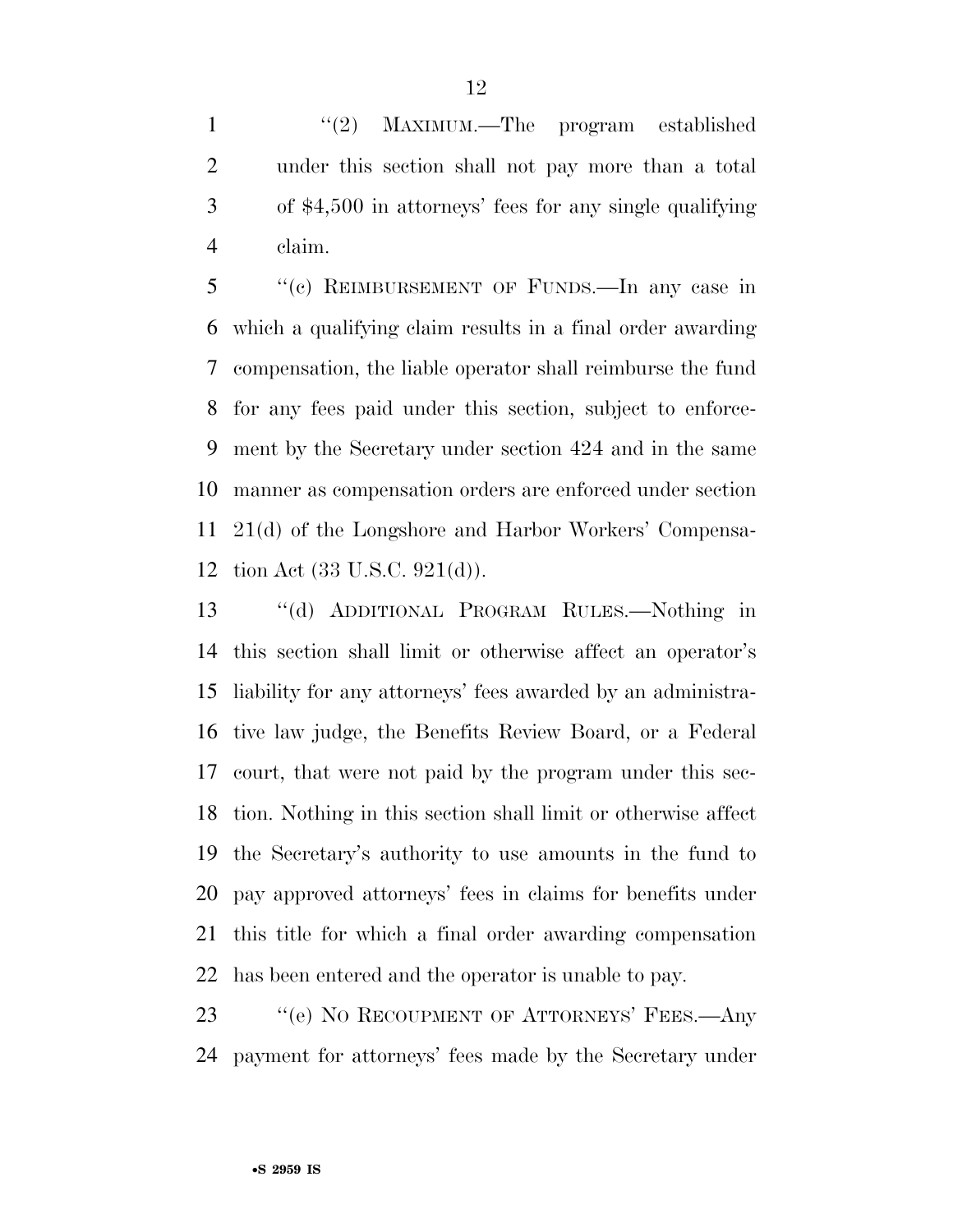1 ''(2) MAXIMUM.—The program established under this section shall not pay more than a total of \$4,500 in attorneys' fees for any single qualifying claim.

 ''(c) REIMBURSEMENT OF FUNDS.—In any case in which a qualifying claim results in a final order awarding compensation, the liable operator shall reimburse the fund for any fees paid under this section, subject to enforce- ment by the Secretary under section 424 and in the same manner as compensation orders are enforced under section 21(d) of the Longshore and Harbor Workers' Compensa-tion Act (33 U.S.C. 921(d)).

 ''(d) ADDITIONAL PROGRAM RULES.—Nothing in this section shall limit or otherwise affect an operator's liability for any attorneys' fees awarded by an administra- tive law judge, the Benefits Review Board, or a Federal court, that were not paid by the program under this sec- tion. Nothing in this section shall limit or otherwise affect the Secretary's authority to use amounts in the fund to pay approved attorneys' fees in claims for benefits under this title for which a final order awarding compensation has been entered and the operator is unable to pay.

23 " (e) NO RECOUPMENT OF ATTORNEYS' FEES.—Any payment for attorneys' fees made by the Secretary under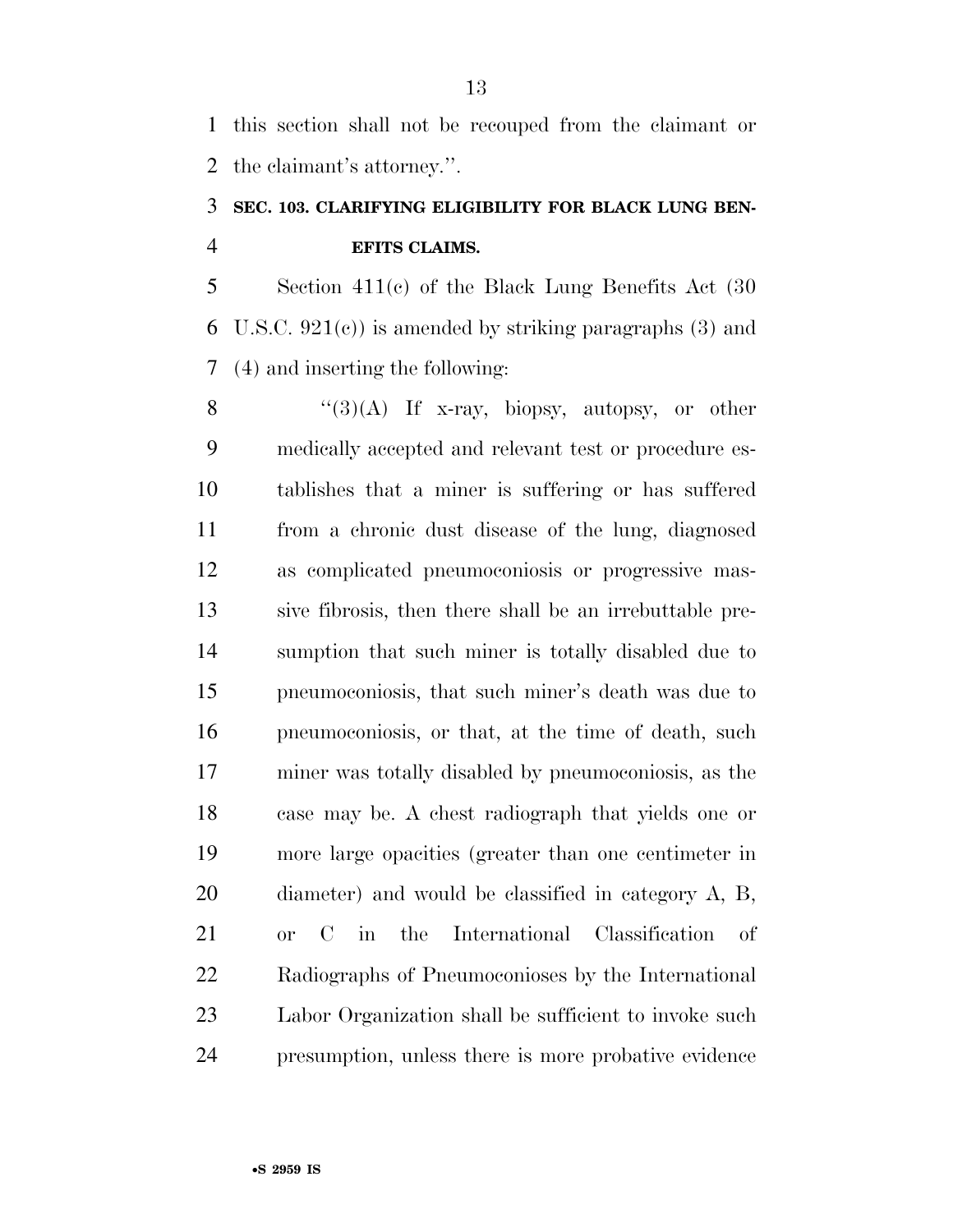this section shall not be recouped from the claimant or the claimant's attorney.''.

### **SEC. 103. CLARIFYING ELIGIBILITY FOR BLACK LUNG BEN-EFITS CLAIMS.**

 Section 411(c) of the Black Lung Benefits Act (30 6 U.S.C.  $921(e)$  is amended by striking paragraphs (3) and (4) and inserting the following:

 $\langle (3)(A)$  If x-ray, biopsy, autopsy, or other medically accepted and relevant test or procedure es- tablishes that a miner is suffering or has suffered from a chronic dust disease of the lung, diagnosed as complicated pneumoconiosis or progressive mas- sive fibrosis, then there shall be an irrebuttable pre- sumption that such miner is totally disabled due to pneumoconiosis, that such miner's death was due to pneumoconiosis, or that, at the time of death, such miner was totally disabled by pneumoconiosis, as the case may be. A chest radiograph that yields one or more large opacities (greater than one centimeter in diameter) and would be classified in category A, B, or C in the International Classification of Radiographs of Pneumoconioses by the International Labor Organization shall be sufficient to invoke such presumption, unless there is more probative evidence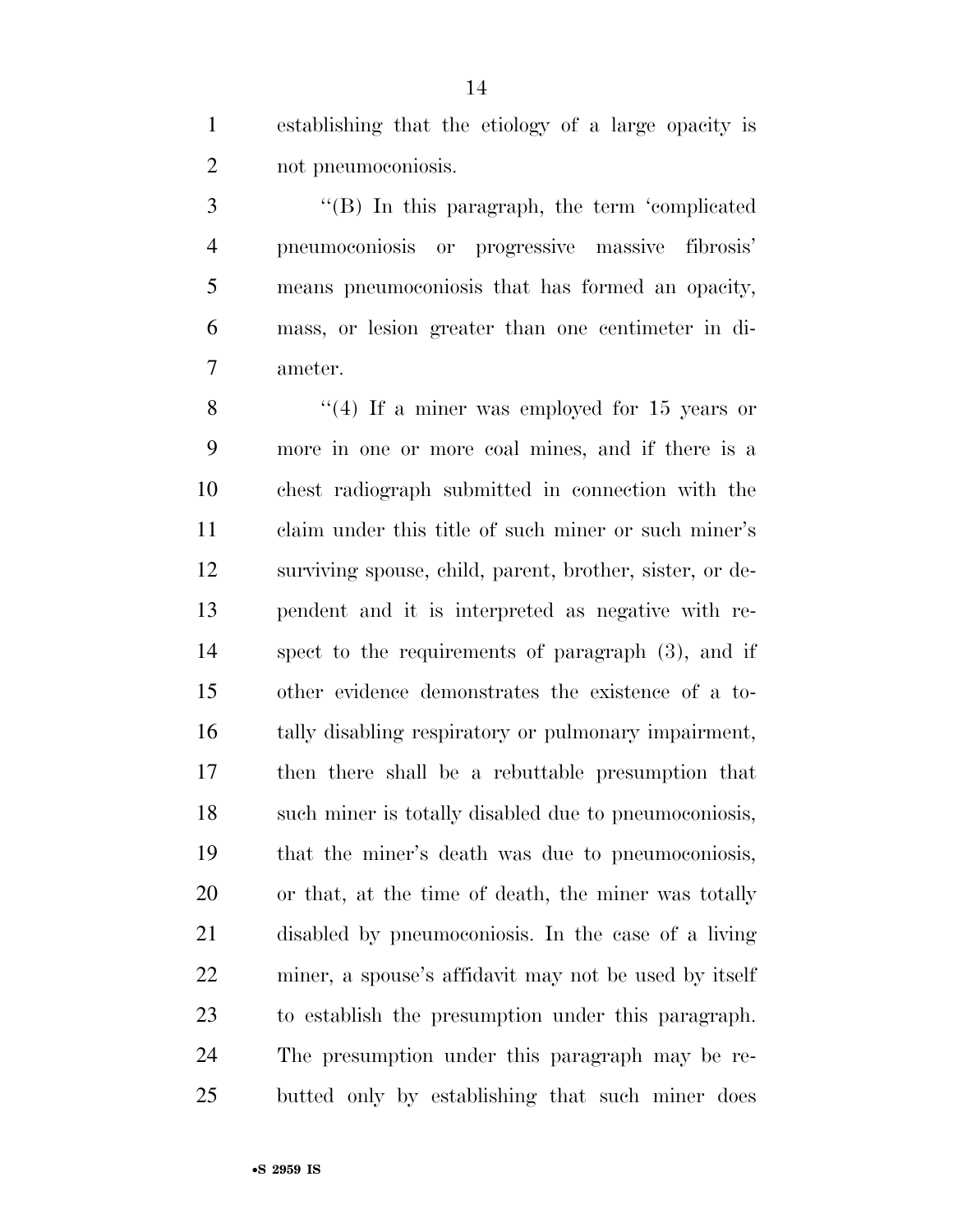establishing that the etiology of a large opacity is not pneumoconiosis.

 ''(B) In this paragraph, the term 'complicated pneumoconiosis or progressive massive fibrosis' means pneumoconiosis that has formed an opacity, mass, or lesion greater than one centimeter in di-ameter.

8 "(4) If a miner was employed for 15 years or more in one or more coal mines, and if there is a chest radiograph submitted in connection with the claim under this title of such miner or such miner's surviving spouse, child, parent, brother, sister, or de- pendent and it is interpreted as negative with re- spect to the requirements of paragraph (3), and if other evidence demonstrates the existence of a to- tally disabling respiratory or pulmonary impairment, then there shall be a rebuttable presumption that such miner is totally disabled due to pneumoconiosis, that the miner's death was due to pneumoconiosis, or that, at the time of death, the miner was totally disabled by pneumoconiosis. In the case of a living miner, a spouse's affidavit may not be used by itself to establish the presumption under this paragraph. The presumption under this paragraph may be re-butted only by establishing that such miner does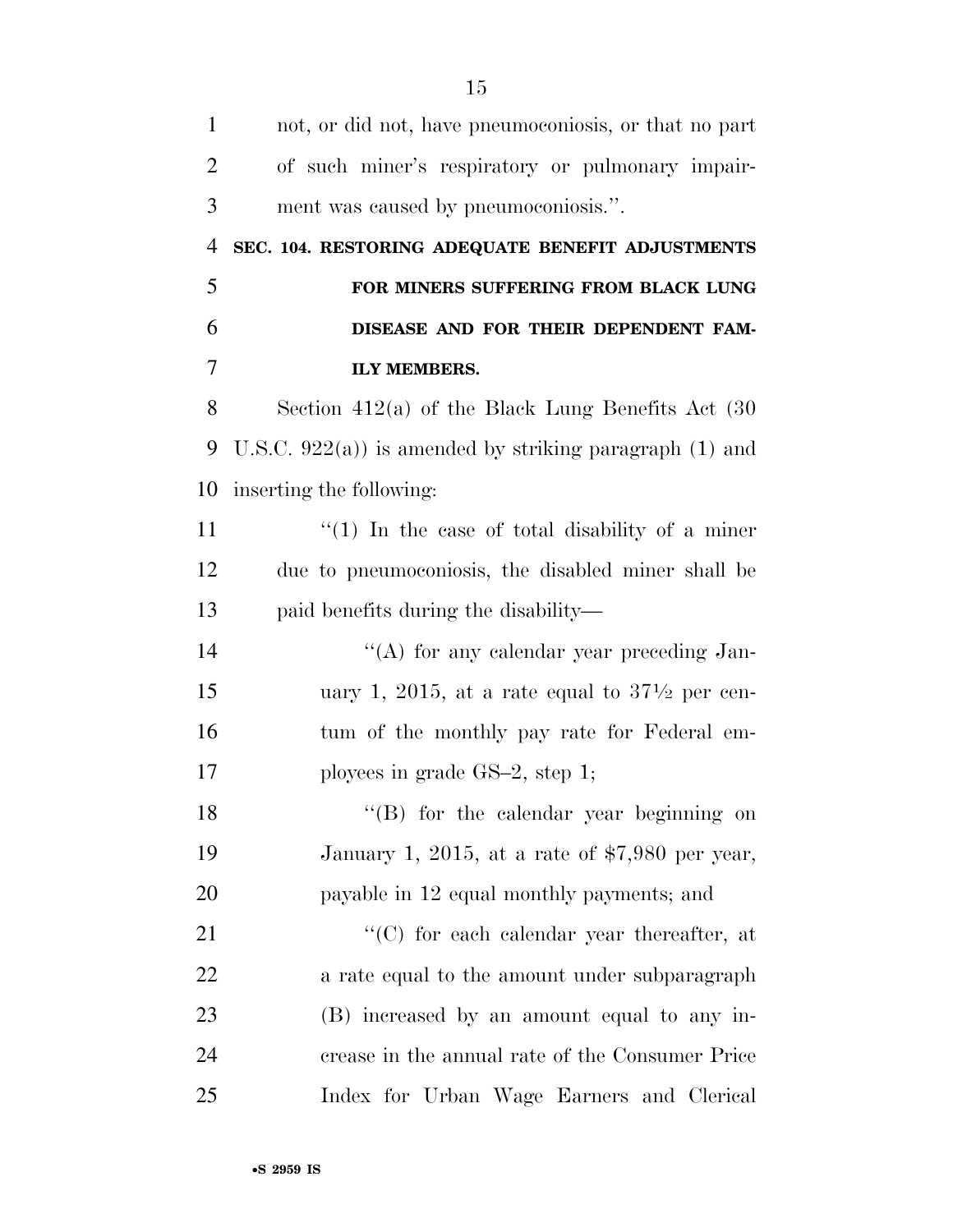| $\mathbf{1}$   | not, or did not, have pneumoconiosis, or that no part     |
|----------------|-----------------------------------------------------------|
| $\overline{2}$ | of such miner's respiratory or pulmonary impair-          |
| 3              | ment was caused by pneumoconiosis.".                      |
| $\overline{4}$ | SEC. 104. RESTORING ADEQUATE BENEFIT ADJUSTMENTS          |
| 5              | FOR MINERS SUFFERING FROM BLACK LUNG                      |
| 6              | DISEASE AND FOR THEIR DEPENDENT FAM-                      |
| 7              | <b>ILY MEMBERS.</b>                                       |
| 8              | Section $412(a)$ of the Black Lung Benefits Act $(30)$    |
| 9              | U.S.C. $922(a)$ is amended by striking paragraph (1) and  |
| 10             | inserting the following:                                  |
| 11             | $\lq(1)$ In the case of total disability of a miner       |
| 12             | due to pneumoconiosis, the disabled miner shall be        |
| 13             | paid benefits during the disability—                      |
| 14             | "(A) for any calendar year preceding Jan-                 |
| 15             | uary 1, 2015, at a rate equal to $37\frac{1}{2}$ per cen- |
| 16             | tum of the monthly pay rate for Federal em-               |
| 17             | ployees in grade $GS-2$ , step 1;                         |
| 18             | "(B) for the calendar year beginning on                   |
| 19             | January 1, 2015, at a rate of $$7,980$ per year,          |
| 20             | payable in 12 equal monthly payments; and                 |
| 21             | "(C) for each calendar year thereafter, at                |
| 22             | a rate equal to the amount under subparagraph             |
| 23             | (B) increased by an amount equal to any in-               |
| 24             | crease in the annual rate of the Consumer Price           |
| 25             | Index for Urban Wage Earners and Clerical                 |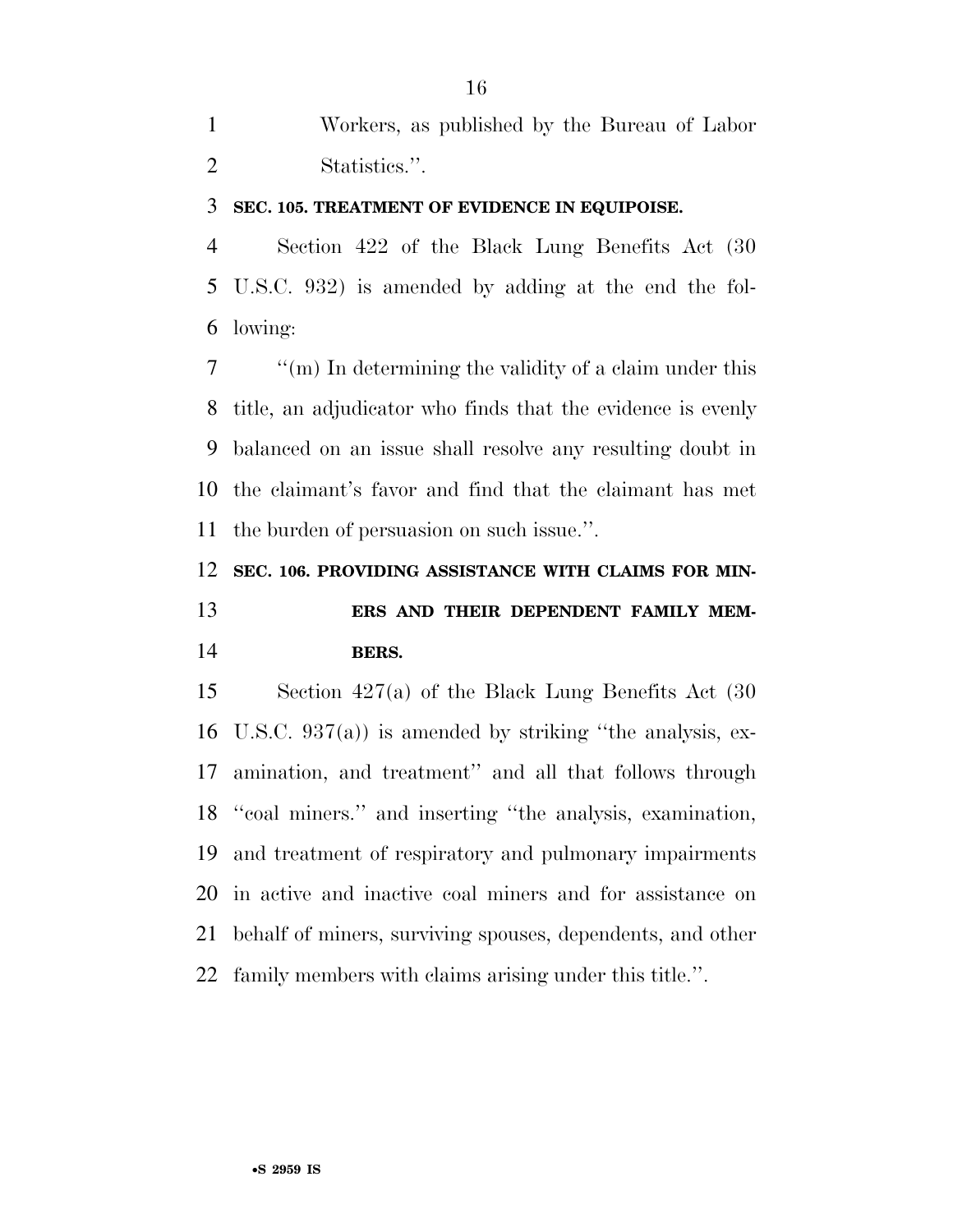Workers, as published by the Bureau of Labor Statistics.''.

### **SEC. 105. TREATMENT OF EVIDENCE IN EQUIPOISE.**

 Section 422 of the Black Lung Benefits Act (30 U.S.C. 932) is amended by adding at the end the fol-lowing:

 ''(m) In determining the validity of a claim under this title, an adjudicator who finds that the evidence is evenly balanced on an issue shall resolve any resulting doubt in the claimant's favor and find that the claimant has met the burden of persuasion on such issue.''.

### **SEC. 106. PROVIDING ASSISTANCE WITH CLAIMS FOR MIN-ERS AND THEIR DEPENDENT FAMILY MEM-**

### **BERS.**

 Section 427(a) of the Black Lung Benefits Act (30 U.S.C. 937(a)) is amended by striking ''the analysis, ex- amination, and treatment'' and all that follows through ''coal miners.'' and inserting ''the analysis, examination, and treatment of respiratory and pulmonary impairments in active and inactive coal miners and for assistance on behalf of miners, surviving spouses, dependents, and other family members with claims arising under this title.''.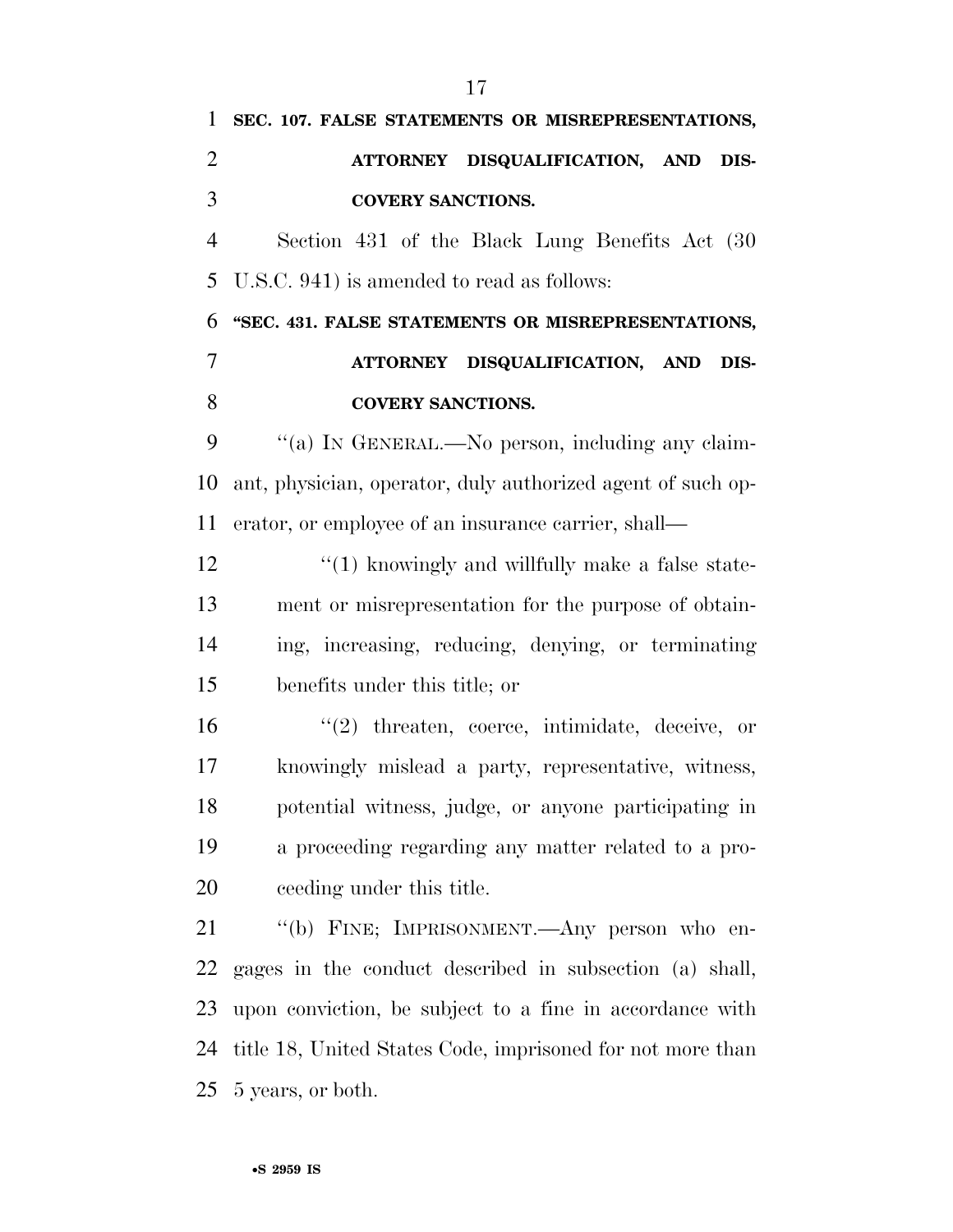**SEC. 107. FALSE STATEMENTS OR MISREPRESENTATIONS, ATTORNEY DISQUALIFICATION, AND DIS- COVERY SANCTIONS.**  Section 431 of the Black Lung Benefits Act (30 U.S.C. 941) is amended to read as follows: **''SEC. 431. FALSE STATEMENTS OR MISREPRESENTATIONS, ATTORNEY DISQUALIFICATION, AND DIS- COVERY SANCTIONS.**  9 "(a) IN GENERAL.—No person, including any claim- ant, physician, operator, duly authorized agent of such op- erator, or employee of an insurance carrier, shall— 12 ''(1) knowingly and willfully make a false state- ment or misrepresentation for the purpose of obtain- ing, increasing, reducing, denying, or terminating benefits under this title; or ''(2) threaten, coerce, intimidate, deceive, or knowingly mislead a party, representative, witness, potential witness, judge, or anyone participating in a proceeding regarding any matter related to a pro- ceeding under this title. ''(b) FINE; IMPRISONMENT.—Any person who en- gages in the conduct described in subsection (a) shall, upon conviction, be subject to a fine in accordance with title 18, United States Code, imprisoned for not more than

5 years, or both.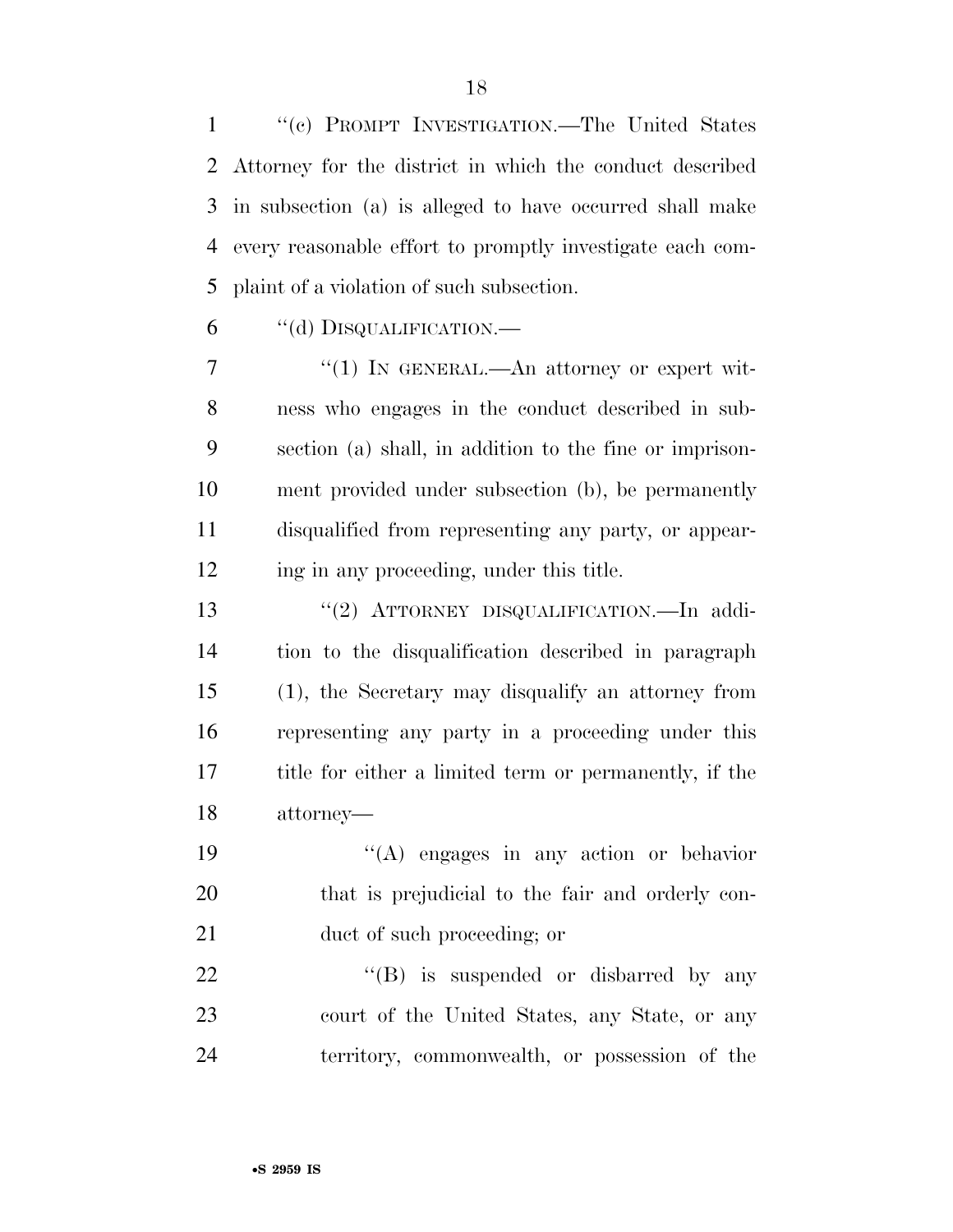''(c) PROMPT INVESTIGATION.—The United States Attorney for the district in which the conduct described in subsection (a) is alleged to have occurred shall make every reasonable effort to promptly investigate each com-plaint of a violation of such subsection.

''(d) DISQUALIFICATION.—

 $\frac{1}{1}$  In GENERAL.—An attorney or expert wit- ness who engages in the conduct described in sub- section (a) shall, in addition to the fine or imprison- ment provided under subsection (b), be permanently disqualified from representing any party, or appear-12 ing in any proceeding, under this title.

 ''(2) ATTORNEY DISQUALIFICATION.—In addi- tion to the disqualification described in paragraph (1), the Secretary may disqualify an attorney from representing any party in a proceeding under this title for either a limited term or permanently, if the attorney—

 ''(A) engages in any action or behavior that is prejudicial to the fair and orderly con-21 duct of such proceeding; or

22 "'(B) is suspended or disbarred by any court of the United States, any State, or any territory, commonwealth, or possession of the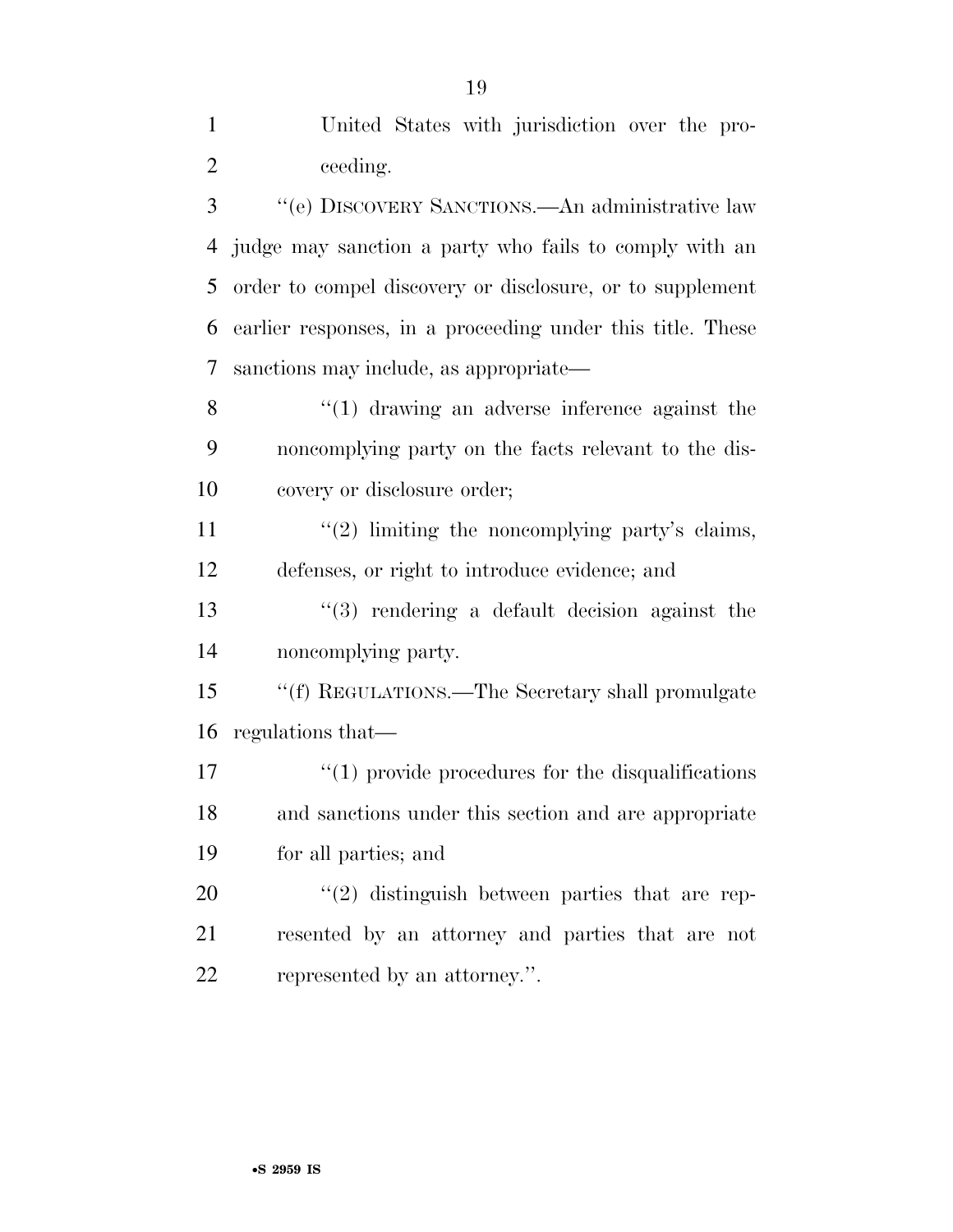| $\mathbf{1}$   | United States with jurisdiction over the pro-              |
|----------------|------------------------------------------------------------|
| $\overline{2}$ | ceeding.                                                   |
| 3              | "(e) DISCOVERY SANCTIONS.—An administrative law            |
| 4              | judge may sanction a party who fails to comply with an     |
| 5              | order to compel discovery or disclosure, or to supplement  |
| 6              | earlier responses, in a proceeding under this title. These |
| 7              | sanctions may include, as appropriate—                     |
| 8              | $\lq(1)$ drawing an adverse inference against the          |
| 9              | noncomplying party on the facts relevant to the dis-       |
| 10             | covery or disclosure order;                                |
| 11             | $\lq(2)$ limiting the noncomplying party's claims,         |
| 12             | defenses, or right to introduce evidence; and              |
| 13             | $(3)$ rendering a default decision against the             |
| 14             | noncomplying party.                                        |
| 15             | "(f) REGULATIONS.—The Secretary shall promulgate           |
| 16             | regulations that—                                          |
| 17             | $\lq(1)$ provide procedures for the disqualifications      |
| 18             | and sanctions under this section and are appropriate       |
| 19             | for all parties; and                                       |
| 20             | $\lq(2)$ distinguish between parties that are rep-         |
| 21             | resented by an attorney and parties that are not           |
| 22             | represented by an attorney.".                              |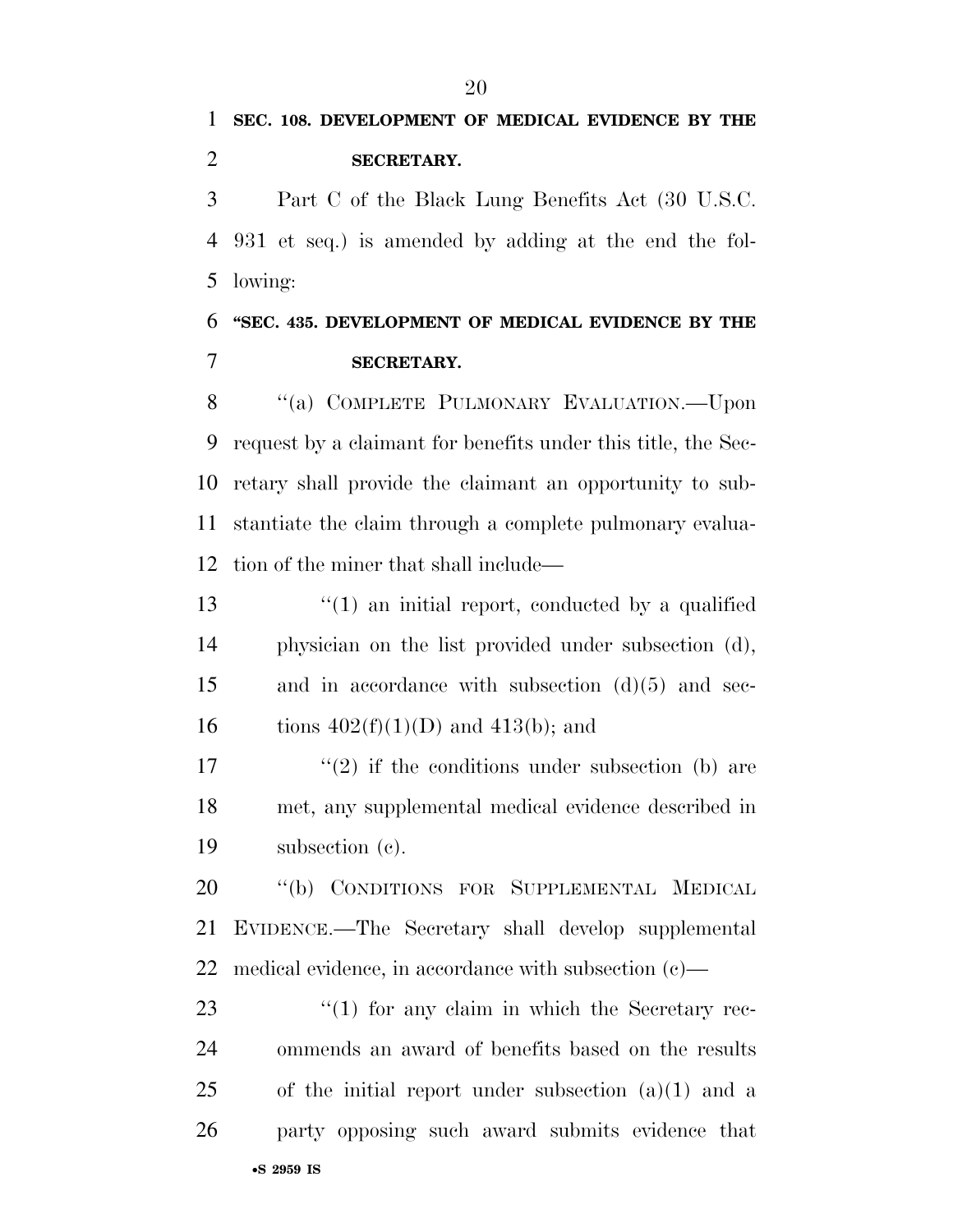Part C of the Black Lung Benefits Act (30 U.S.C. 931 et seq.) is amended by adding at the end the fol-lowing:

### **''SEC. 435. DEVELOPMENT OF MEDICAL EVIDENCE BY THE SECRETARY.**

8 "(a) COMPLETE PULMONARY EVALUATION.—Upon request by a claimant for benefits under this title, the Sec- retary shall provide the claimant an opportunity to sub- stantiate the claim through a complete pulmonary evalua-tion of the miner that shall include—

13 ''(1) an initial report, conducted by a qualified physician on the list provided under subsection (d), and in accordance with subsection (d)(5) and sec-16 tions  $402(f)(1)(D)$  and  $413(b)$ ; and

17  $(2)$  if the conditions under subsection (b) are met, any supplemental medical evidence described in subsection (c).

20 "(b) CONDITIONS FOR SUPPLEMENTAL MEDICAL EVIDENCE.—The Secretary shall develop supplemental medical evidence, in accordance with subsection (c)—

•**S 2959 IS** 23 "(1) for any claim in which the Secretary rec- ommends an award of benefits based on the results of the initial report under subsection  $(a)(1)$  and a party opposing such award submits evidence that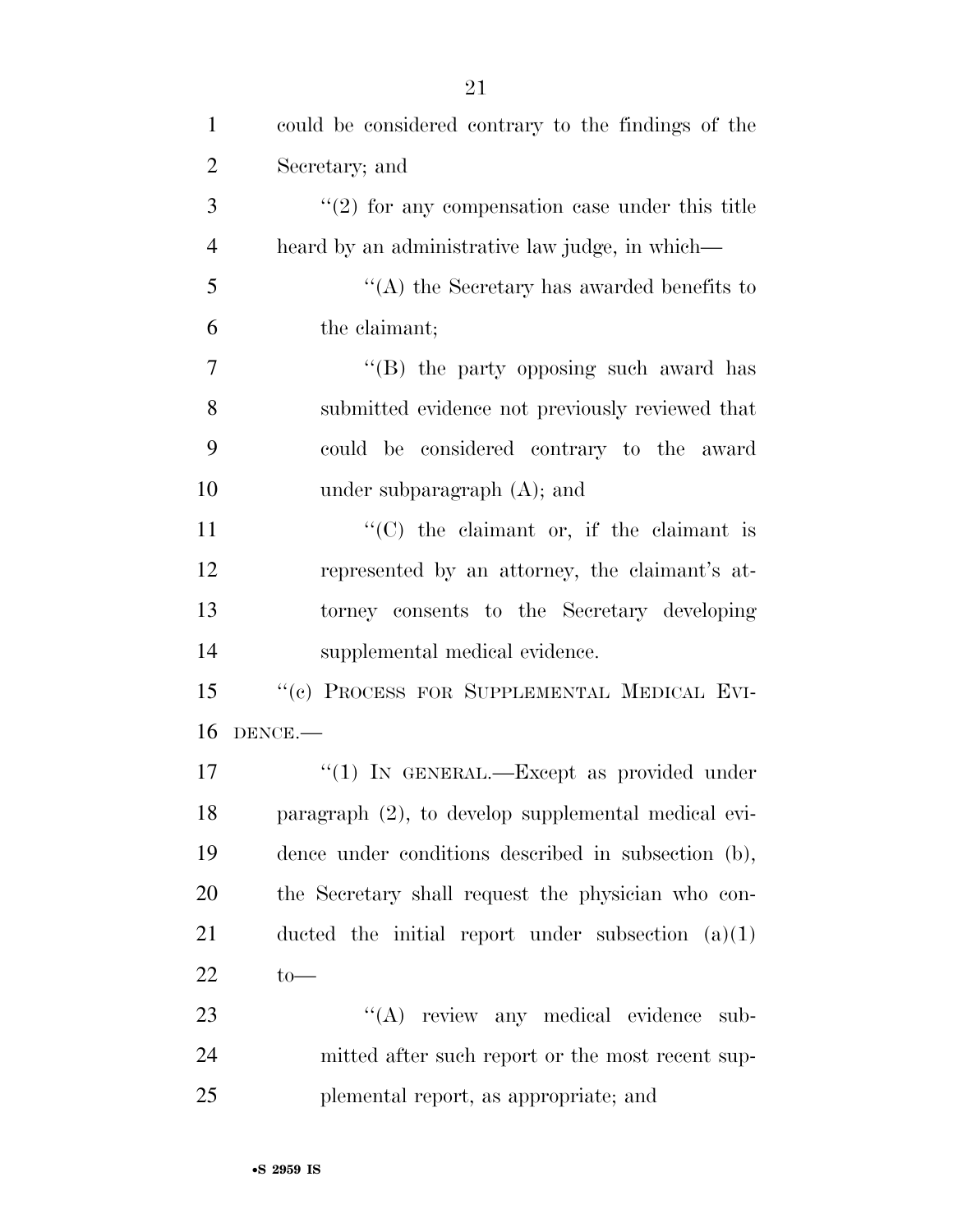| $\mathbf{1}$   | could be considered contrary to the findings of the |
|----------------|-----------------------------------------------------|
| $\overline{2}$ | Secretary; and                                      |
| 3              | $\lq(2)$ for any compensation case under this title |
| $\overline{4}$ | heard by an administrative law judge, in which—     |
| 5              | "(A) the Secretary has awarded benefits to          |
| 6              | the claimant;                                       |
| $\overline{7}$ | "(B) the party opposing such award has              |
| 8              | submitted evidence not previously reviewed that     |
| 9              | could be considered contrary to the award           |
| 10             | under subparagraph $(A)$ ; and                      |
| 11             | $\lq\lq$ (C) the claimant or, if the claimant is    |
| 12             | represented by an attorney, the claimant's at-      |
| 13             | torney consents to the Secretary developing         |
| 14             | supplemental medical evidence.                      |
| 15             | "(c) PROCESS FOR SUPPLEMENTAL MEDICAL EVI-          |
| 16             | DENCE.                                              |
| 17             | " $(1)$ In GENERAL.—Except as provided under        |
| 18             | paragraph (2), to develop supplemental medical evi- |
| 19             | dence under conditions described in subsection (b), |
| 20             | the Secretary shall request the physician who con-  |
| 21             | ducted the initial report under subsection $(a)(1)$ |
| 22             | $to-$                                               |
| 23             | "(A) review any medical evidence sub-               |
| 24             | mitted after such report or the most recent sup-    |
| 25             | plemental report, as appropriate; and               |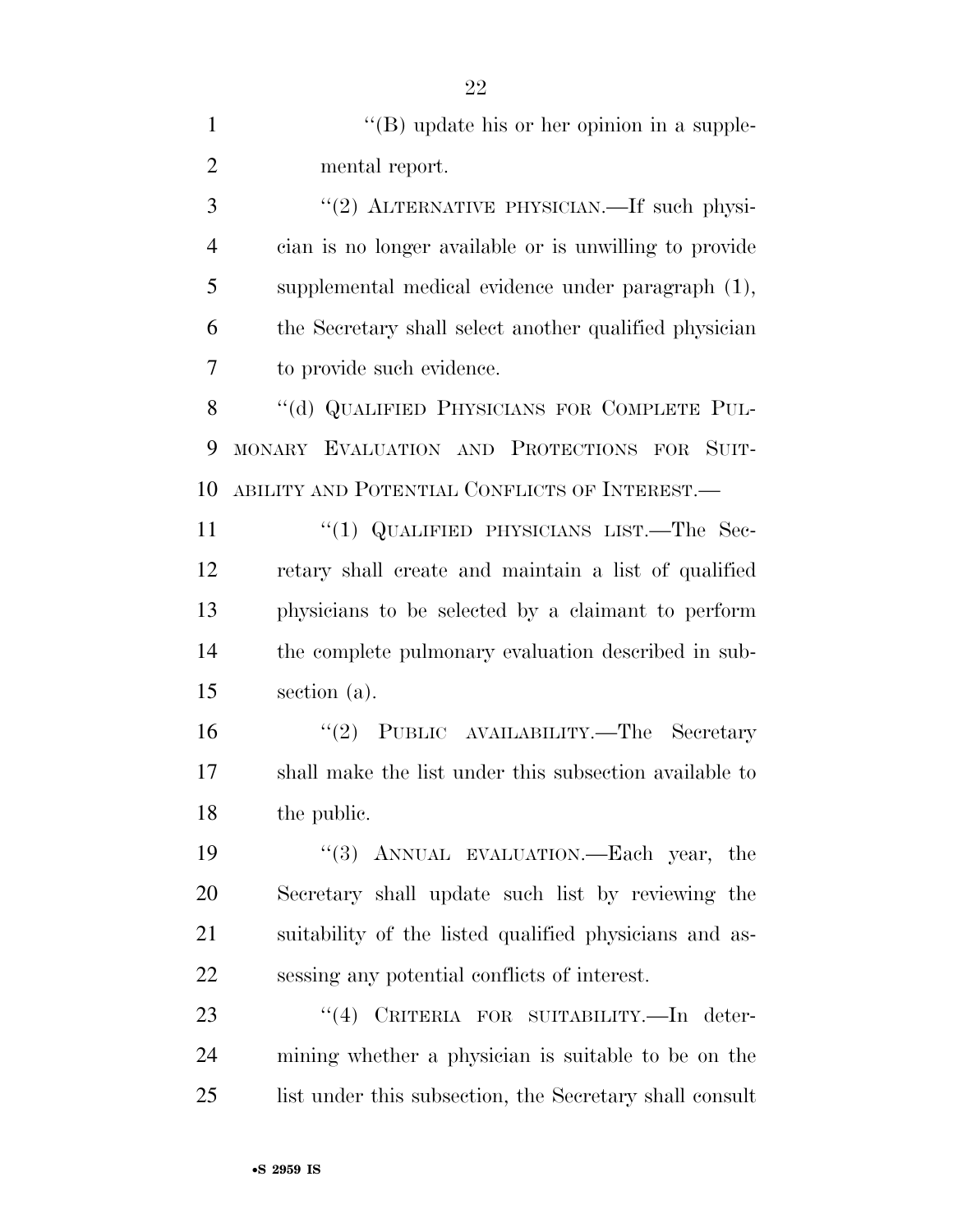1 ''(B) update his or her opinion in a supple- mental report. 3 "(2) ALTERNATIVE PHYSICIAN.—If such physi- cian is no longer available or is unwilling to provide supplemental medical evidence under paragraph (1), the Secretary shall select another qualified physician to provide such evidence. 8 "(d) QUALIFIED PHYSICIANS FOR COMPLETE PUL- MONARY EVALUATION AND PROTECTIONS FOR SUIT- ABILITY AND POTENTIAL CONFLICTS OF INTEREST.— 11 "(1) QUALIFIED PHYSICIANS LIST.—The Sec- retary shall create and maintain a list of qualified physicians to be selected by a claimant to perform the complete pulmonary evaluation described in sub- section (a). ''(2) PUBLIC AVAILABILITY.—The Secretary shall make the list under this subsection available to the public. ''(3) ANNUAL EVALUATION.—Each year, the Secretary shall update such list by reviewing the suitability of the listed qualified physicians and as- sessing any potential conflicts of interest. 23 "(4) CRITERIA FOR SUITABILITY.—In deter- mining whether a physician is suitable to be on the 25 list under this subsection, the Secretary shall consult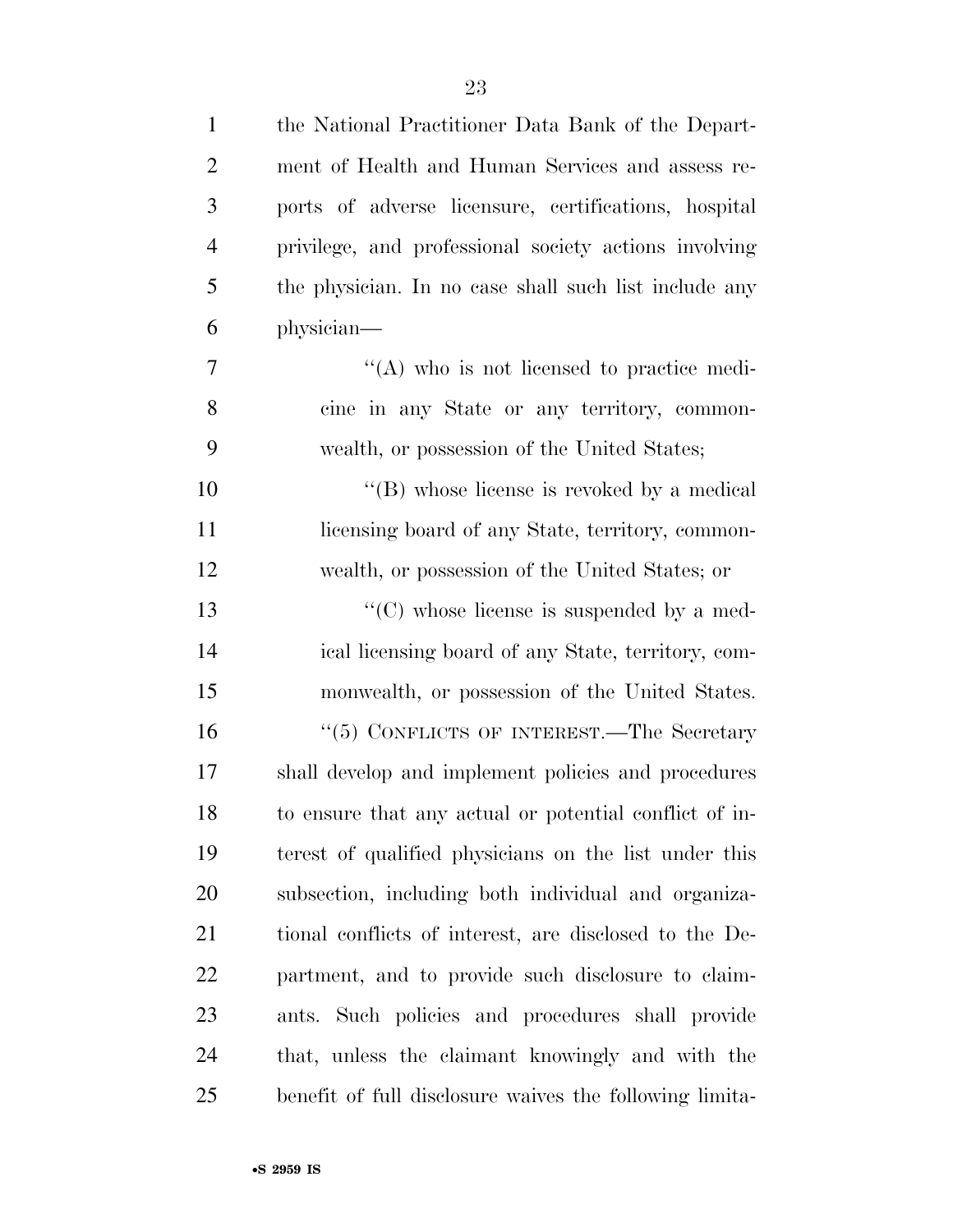| $\mathbf{1}$   | the National Practitioner Data Bank of the Depart-      |
|----------------|---------------------------------------------------------|
| $\overline{2}$ | ment of Health and Human Services and assess re-        |
| 3              | ports of adverse licensure, certifications, hospital    |
| $\overline{4}$ | privilege, and professional society actions involving   |
| 5              | the physician. In no case shall such list include any   |
| 6              | physician—                                              |
| 7              | $\lq\lq$ who is not licensed to practice medi-          |
| 8              | cine in any State or any territory, common-             |
| 9              | wealth, or possession of the United States;             |
| 10             | "(B) whose license is revoked by a medical              |
| 11             | licensing board of any State, territory, common-        |
| 12             | wealth, or possession of the United States; or          |
| 13             | "(C) whose license is suspended by a med-               |
| 14             | ical licensing board of any State, territory, com-      |
| 15             | monwealth, or possession of the United States.          |
| 16             | "(5) CONFLICTS OF INTEREST.—The Secretary               |
| 17             | shall develop and implement policies and procedures     |
| 18             | to ensure that any actual or potential conflict of in-  |
| 19             | terest of qualified physicians on the list under this   |
| <b>20</b>      | subsection, including both individual and organiza-     |
| 21             | tional conflicts of interest, are disclosed to the De-  |
| <u>22</u>      | partment, and to provide such disclosure to claim-      |
| 23             | ants. Such policies and procedures shall provide        |
| 24             | that, unless the claimant knowingly and with the        |
| 25             | benefit of full disclosure waives the following limita- |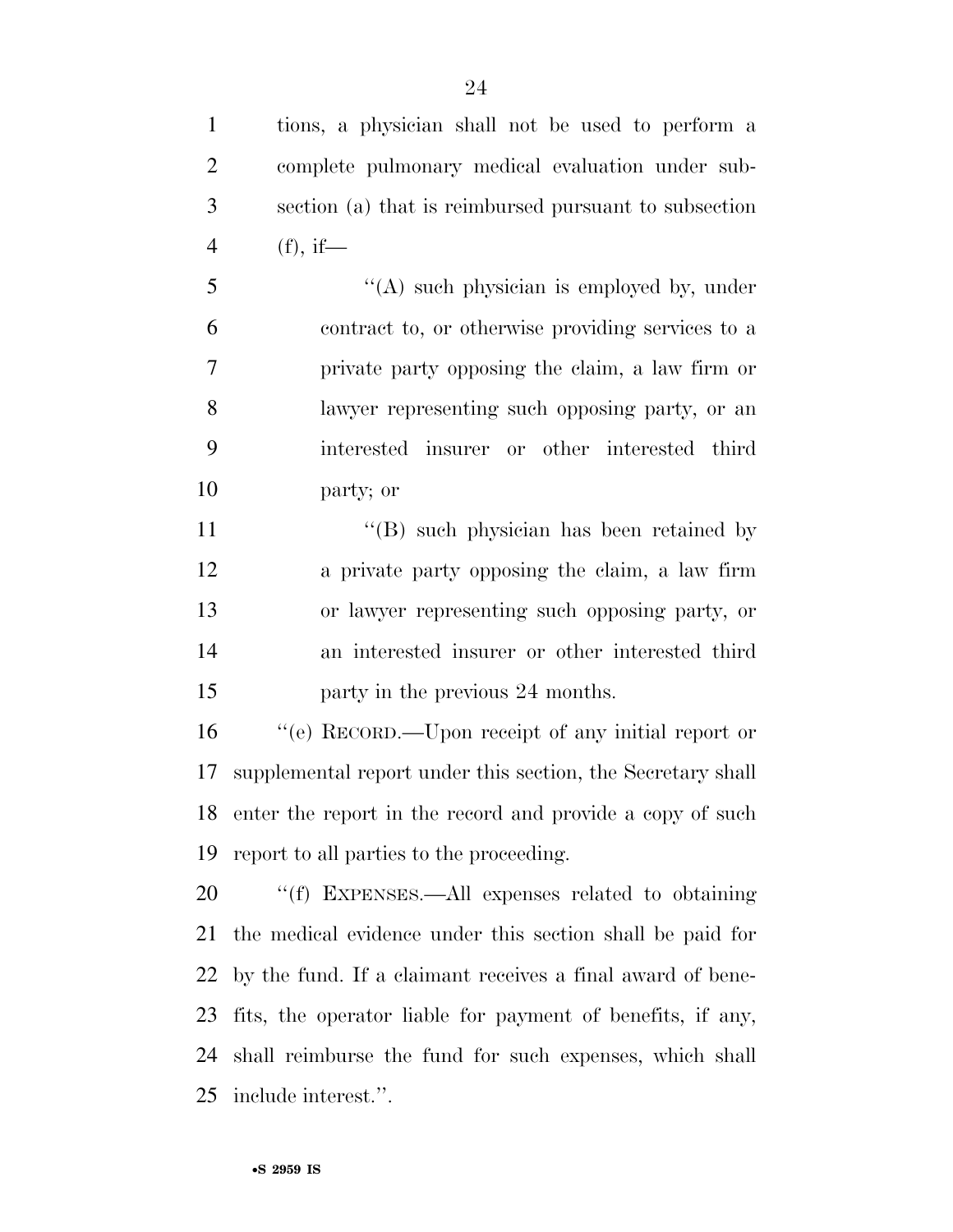tions, a physician shall not be used to perform a complete pulmonary medical evaluation under sub- section (a) that is reimbursed pursuant to subsection (f), if—

 ''(A) such physician is employed by, under contract to, or otherwise providing services to a private party opposing the claim, a law firm or lawyer representing such opposing party, or an interested insurer or other interested third party; or

11 ''(B) such physician has been retained by a private party opposing the claim, a law firm or lawyer representing such opposing party, or an interested insurer or other interested third **party in the previous 24 months.** 

 ''(e) RECORD.—Upon receipt of any initial report or supplemental report under this section, the Secretary shall enter the report in the record and provide a copy of such report to all parties to the proceeding.

 ''(f) EXPENSES.—All expenses related to obtaining the medical evidence under this section shall be paid for by the fund. If a claimant receives a final award of bene- fits, the operator liable for payment of benefits, if any, shall reimburse the fund for such expenses, which shall include interest.''.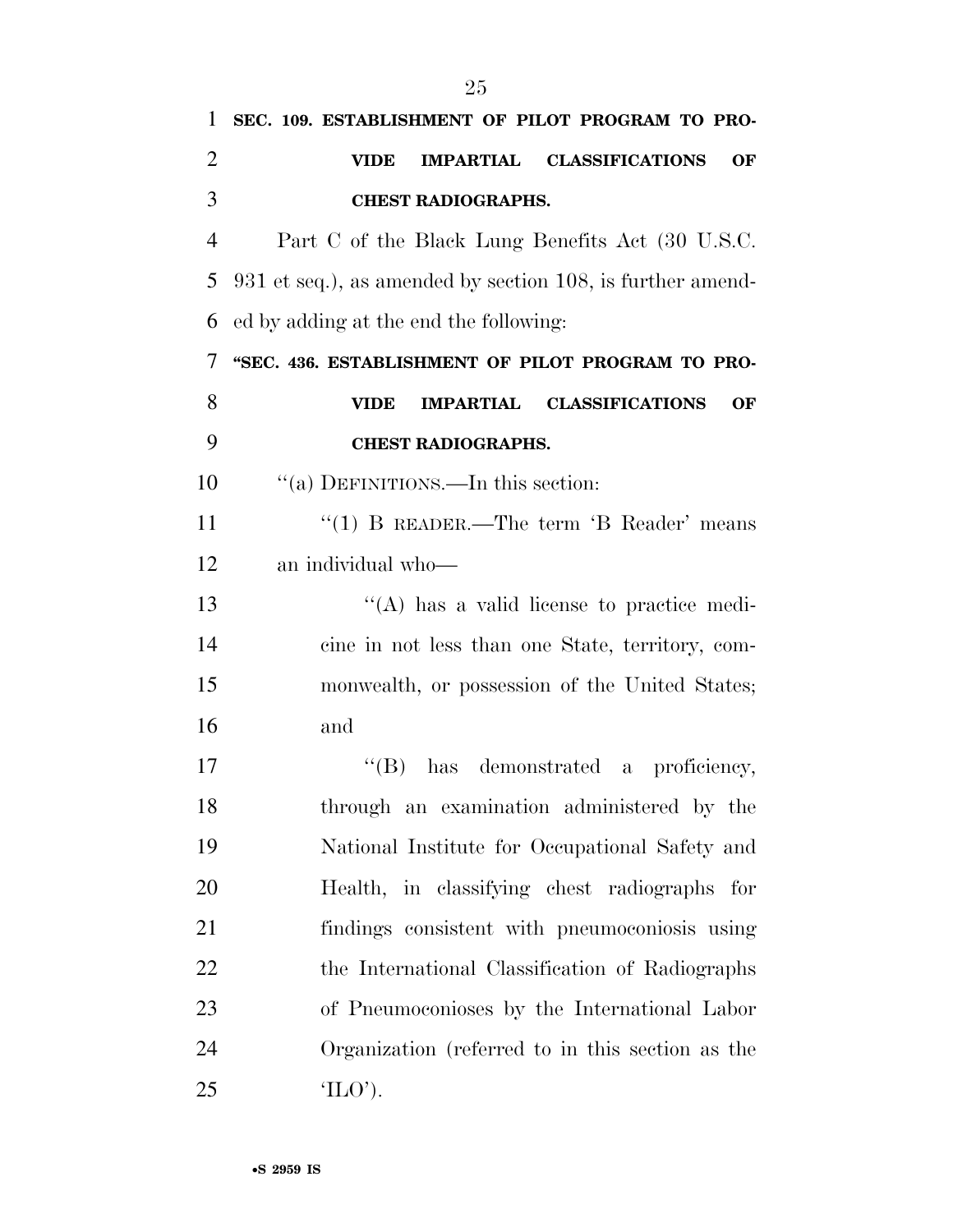| 1              | SEC. 109. ESTABLISHMENT OF PILOT PROGRAM TO PRO-           |
|----------------|------------------------------------------------------------|
| $\overline{2}$ | IMPARTIAL CLASSIFICATIONS<br><b>VIDE</b><br>OF             |
| 3              | <b>CHEST RADIOGRAPHS.</b>                                  |
| $\overline{4}$ | Part C of the Black Lung Benefits Act (30 U.S.C.           |
| 5              | 931 et seq.), as amended by section 108, is further amend- |
| 6              | ed by adding at the end the following:                     |
| 7              | "SEC. 436. ESTABLISHMENT OF PILOT PROGRAM TO PRO-          |
| 8              | IMPARTIAL CLASSIFICATIONS<br><b>VIDE</b><br>OF             |
| 9              | <b>CHEST RADIOGRAPHS.</b>                                  |
| 10             | "(a) DEFINITIONS.—In this section:                         |
| 11             | "(1) B READER.—The term $B$ Reader' means                  |
| 12             | an individual who-                                         |
| 13             | $\lq\lq$ has a valid license to practice medi-             |
| 14             | cine in not less than one State, territory, com-           |
| 15             | monwealth, or possession of the United States;             |
| 16             | and                                                        |
| 17             | $\lq\lq (B)$<br>has demonstrated a proficiency,            |
| 18             | through an examination administered by the                 |
| 19             | National Institute for Occupational Safety and             |
| 20             | Health, in classifying chest radiographs for               |
| 21             | findings consistent with pneumoconiosis using              |
| 22             | the International Classification of Radiographs            |
| 23             | of Pneumoconioses by the International Labor               |
| 24             | Organization (referred to in this section as the           |
| 25             | $'_{\text{L}(\cdot)}$ .                                    |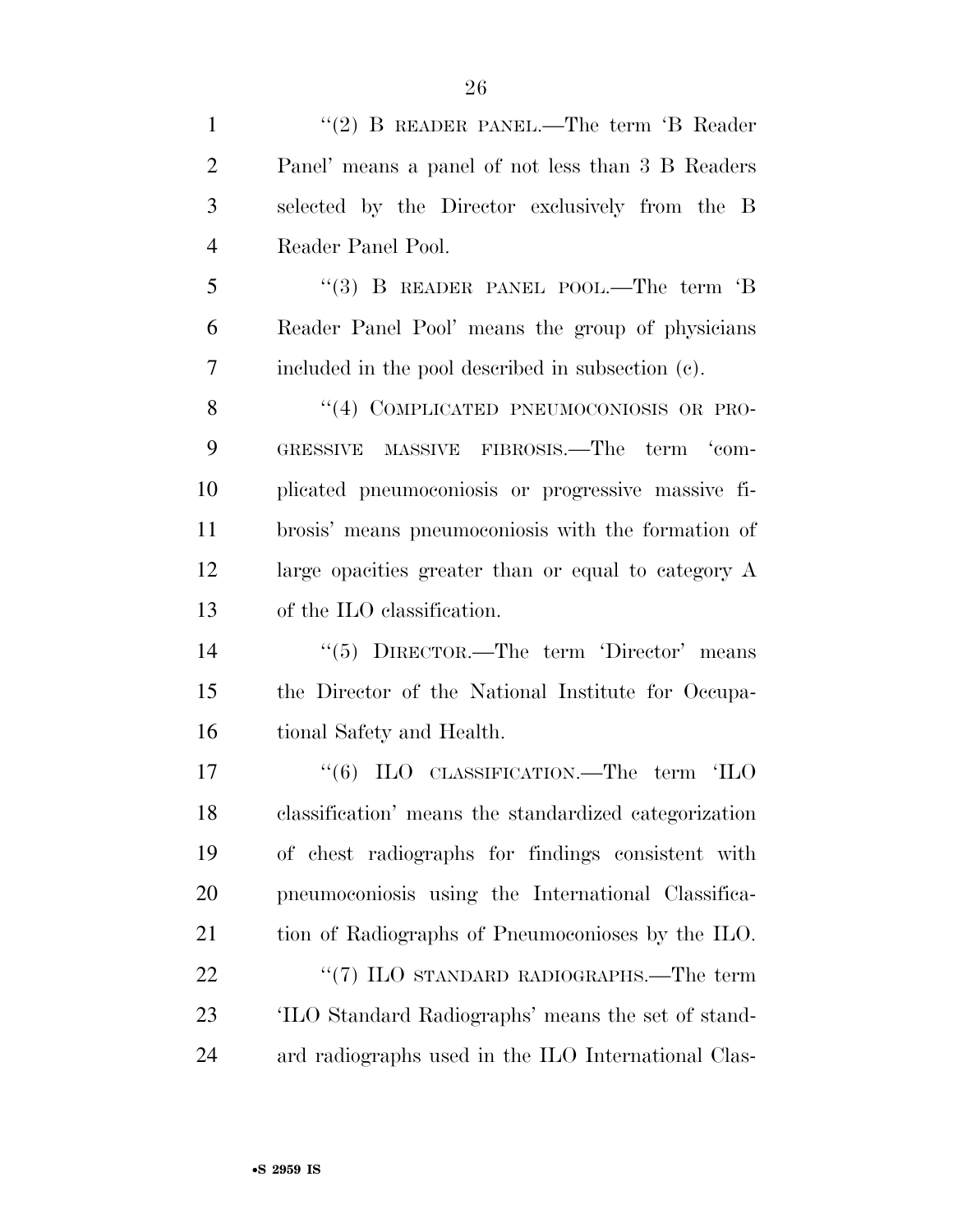1 "(2) B READER PANEL.—The term 'B Reader Panel' means a panel of not less than 3 B Readers selected by the Director exclusively from the B Reader Panel Pool. 5 "(3) B READER PANEL POOL.—The term 'B

 Reader Panel Pool' means the group of physicians included in the pool described in subsection (c).

8 "(4) COMPLICATED PNEUMOCONIOSIS OR PRO- GRESSIVE MASSIVE FIBROSIS.—The term 'com- plicated pneumoconiosis or progressive massive fi- brosis' means pneumoconiosis with the formation of large opacities greater than or equal to category A of the ILO classification.

 ''(5) DIRECTOR.—The term 'Director' means the Director of the National Institute for Occupa-tional Safety and Health.

17 "(6) ILO CLASSIFICATION.—The term 'ILO classification' means the standardized categorization of chest radiographs for findings consistent with pneumoconiosis using the International Classifica- tion of Radiographs of Pneumoconioses by the ILO. 22 "(7) ILO STANDARD RADIOGRAPHS.—The term 'ILO Standard Radiographs' means the set of stand-ard radiographs used in the ILO International Clas-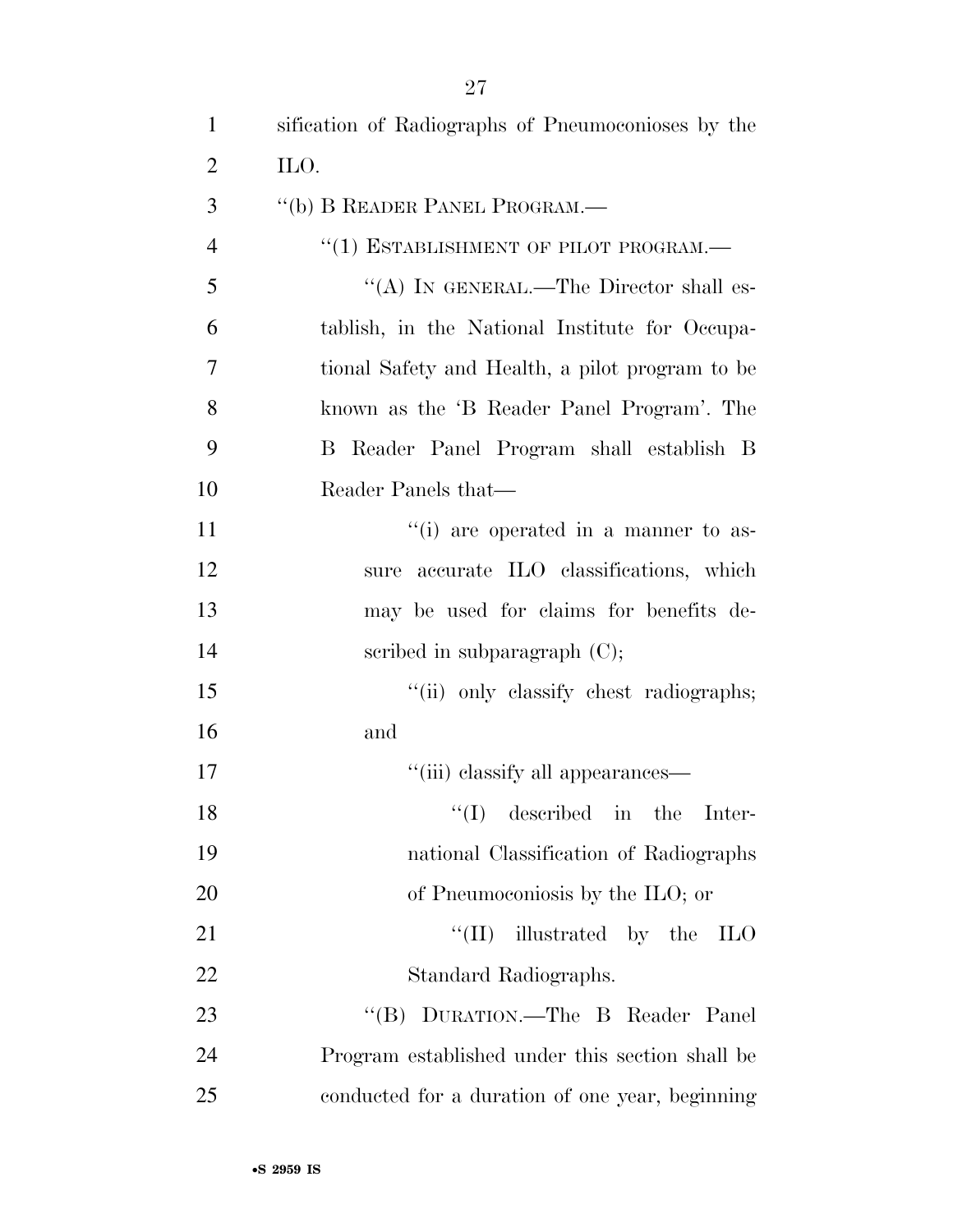| $\mathbf{1}$   | sification of Radiographs of Pneumoconioses by the |
|----------------|----------------------------------------------------|
| 2              | ILO.                                               |
| 3              | "(b) B READER PANEL PROGRAM.—                      |
| $\overline{4}$ | "(1) ESTABLISHMENT OF PILOT PROGRAM.-              |
| 5              | "(A) IN GENERAL.—The Director shall es-            |
| 6              | tablish, in the National Institute for Occupa-     |
| 7              | tional Safety and Health, a pilot program to be    |
| 8              | known as the 'B Reader Panel Program'. The         |
| 9              | B Reader Panel Program shall establish B           |
| 10             | Reader Panels that—                                |
| 11             | "(i) are operated in a manner to as-               |
| 12             | sure accurate ILO classifications, which           |
| 13             | may be used for claims for benefits de-            |
| 14             | scribed in subparagraph $(C)$ ;                    |
| 15             | "(ii) only classify chest radiographs;             |
| 16             | and                                                |
| 17             | "(iii) classify all appearances—                   |
| 18             | $f'(I)$ described in the Inter-                    |
| 19             | national Classification of Radiographs             |
| 20             | of Pneumoconiosis by the ILO; or                   |
| 21             | "(II) illustrated by the $\text{ILO}$              |
| 22             | Standard Radiographs.                              |
| 23             | "(B) DURATION.—The B Reader Panel                  |
| 24             | Program established under this section shall be    |
| 25             | conducted for a duration of one year, beginning    |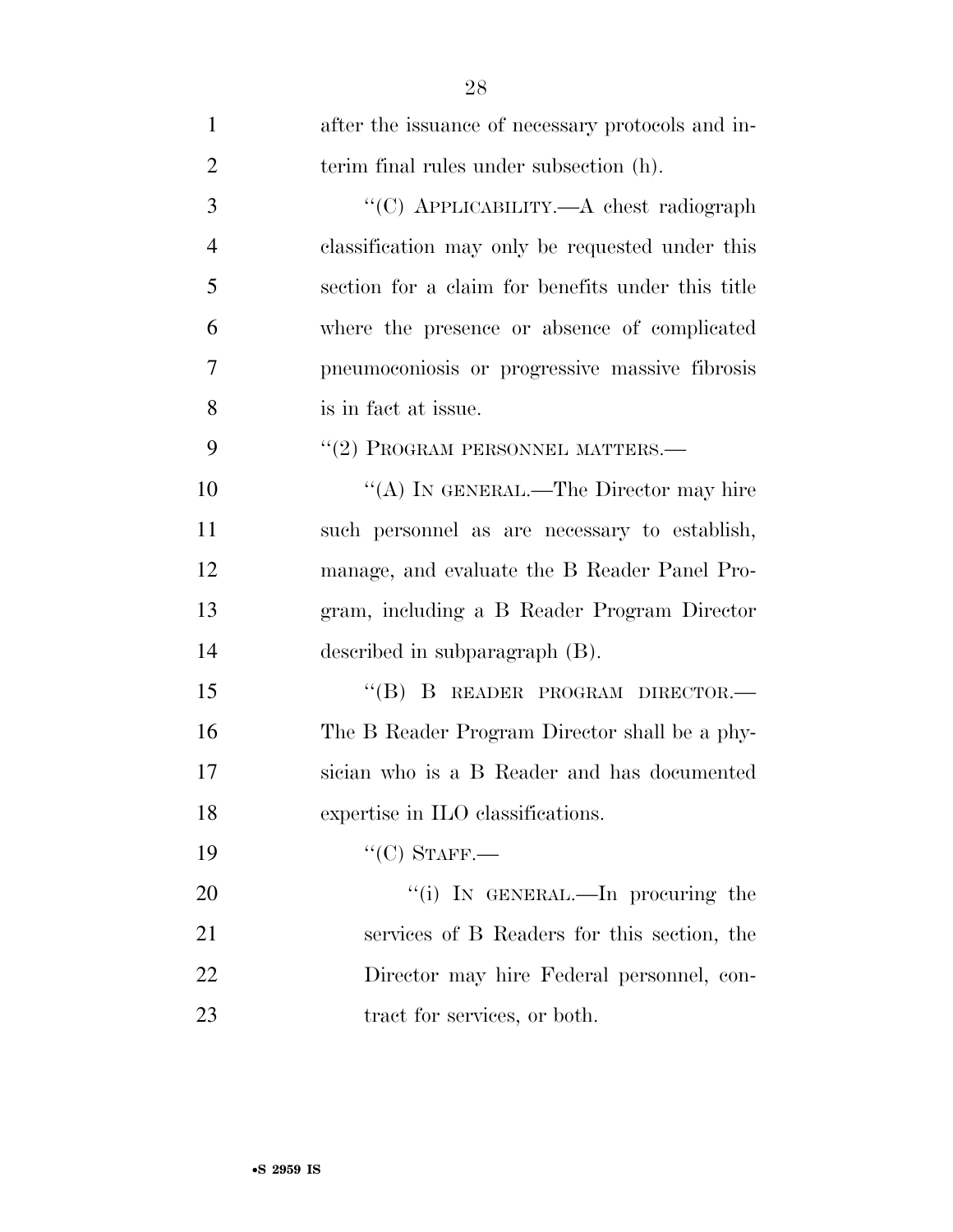| $\mathbf{1}$   | after the issuance of necessary protocols and in- |
|----------------|---------------------------------------------------|
| $\overline{2}$ | terim final rules under subsection (h).           |
| 3              | "(C) APPLICABILITY.—A chest radiograph            |
| $\overline{4}$ | classification may only be requested under this   |
| 5              | section for a claim for benefits under this title |
| 6              | where the presence or absence of complicated      |
| $\overline{7}$ | pneumoconiosis or progressive massive fibrosis    |
| 8              | is in fact at issue.                              |
| 9              | "(2) PROGRAM PERSONNEL MATTERS.-                  |
| 10             | "(A) IN GENERAL.—The Director may hire            |
| 11             | such personnel as are necessary to establish,     |
| 12             | manage, and evaluate the B Reader Panel Pro-      |
| 13             | gram, including a B Reader Program Director       |
| 14             | described in subparagraph $(B)$ .                 |
| 15             | "(B) B READER PROGRAM DIRECTOR.—                  |
| 16             | The B Reader Program Director shall be a phy-     |
| 17             | sician who is a B Reader and has documented       |
| 18             | expertise in ILO classifications.                 |
| 19             | $``(C)$ STAFF.—                                   |
| 20             | "(i) IN GENERAL.—In procuring the                 |
| 21             | services of B Readers for this section, the       |
| 22             | Director may hire Federal personnel, con-         |
| 23             | tract for services, or both.                      |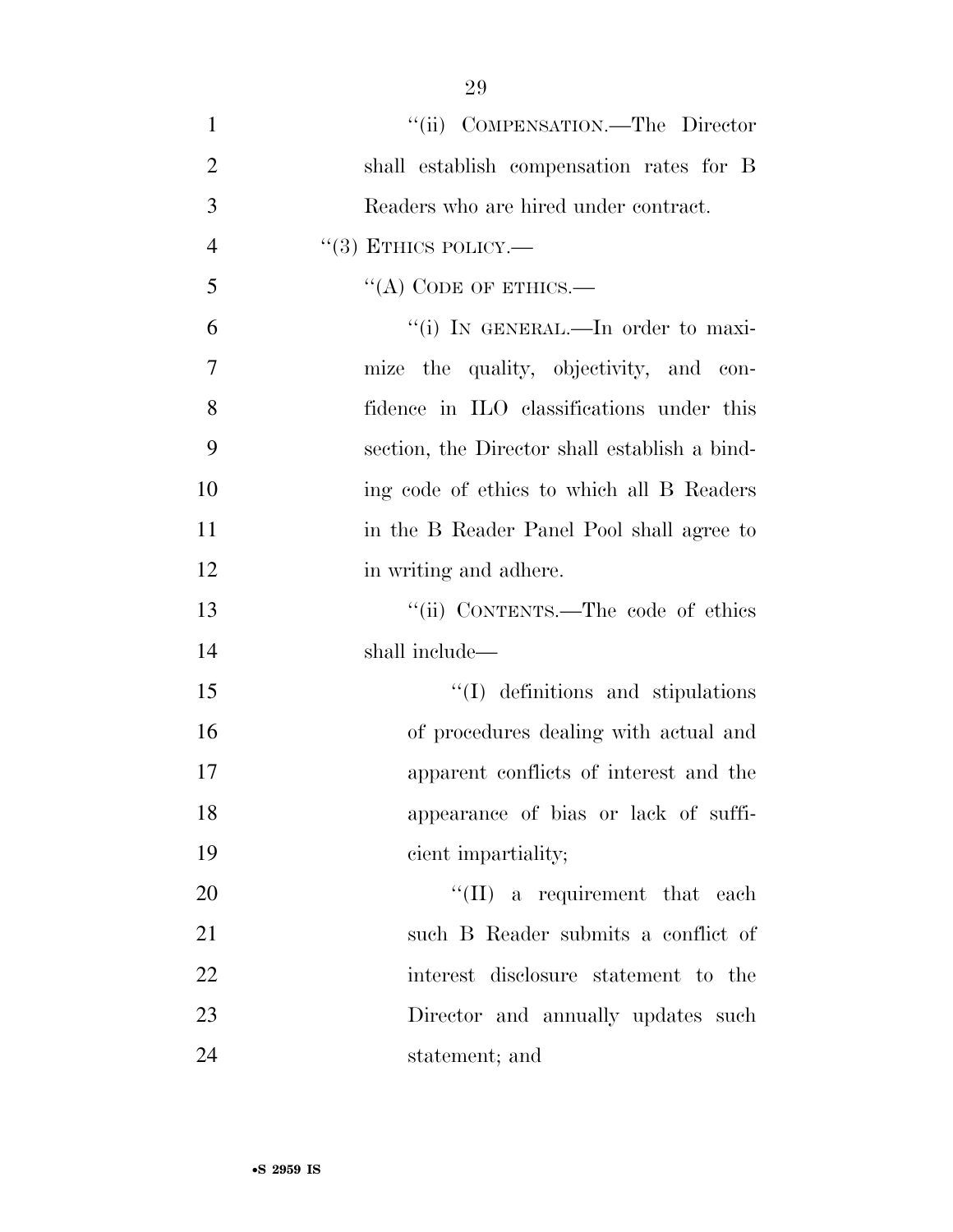| $\mathbf{1}$   | "(ii) COMPENSATION.—The Director              |
|----------------|-----------------------------------------------|
| $\overline{2}$ | shall establish compensation rates for B      |
| 3              | Readers who are hired under contract.         |
| $\overline{4}$ | $``(3)$ ETHICS POLICY.—                       |
| 5              | "(A) CODE OF ETHICS.—                         |
| 6              | "(i) IN GENERAL.—In order to maxi-            |
| 7              | mize the quality, objectivity, and con-       |
| 8              | fidence in ILO classifications under this     |
| 9              | section, the Director shall establish a bind- |
| 10             | ing code of ethics to which all B Readers     |
| 11             | in the B Reader Panel Pool shall agree to     |
| 12             | in writing and adhere.                        |
| 13             | "(ii) CONTENTS.—The code of ethics            |
| 14             | shall include—                                |
| 15             | $\lq\lq$ definitions and stipulations         |
| 16             | of procedures dealing with actual and         |
| 17             | apparent conflicts of interest and the        |
| 18             | appearance of bias or lack of suffi-          |
| 19             | cient impartiality;                           |
| 20             | $\lq\lq$ (II) a requirement that each         |
| 21             | such B Reader submits a conflict of           |
| 22             | interest disclosure statement to the          |
| 23             | Director and annually updates such            |
| 24             | statement; and                                |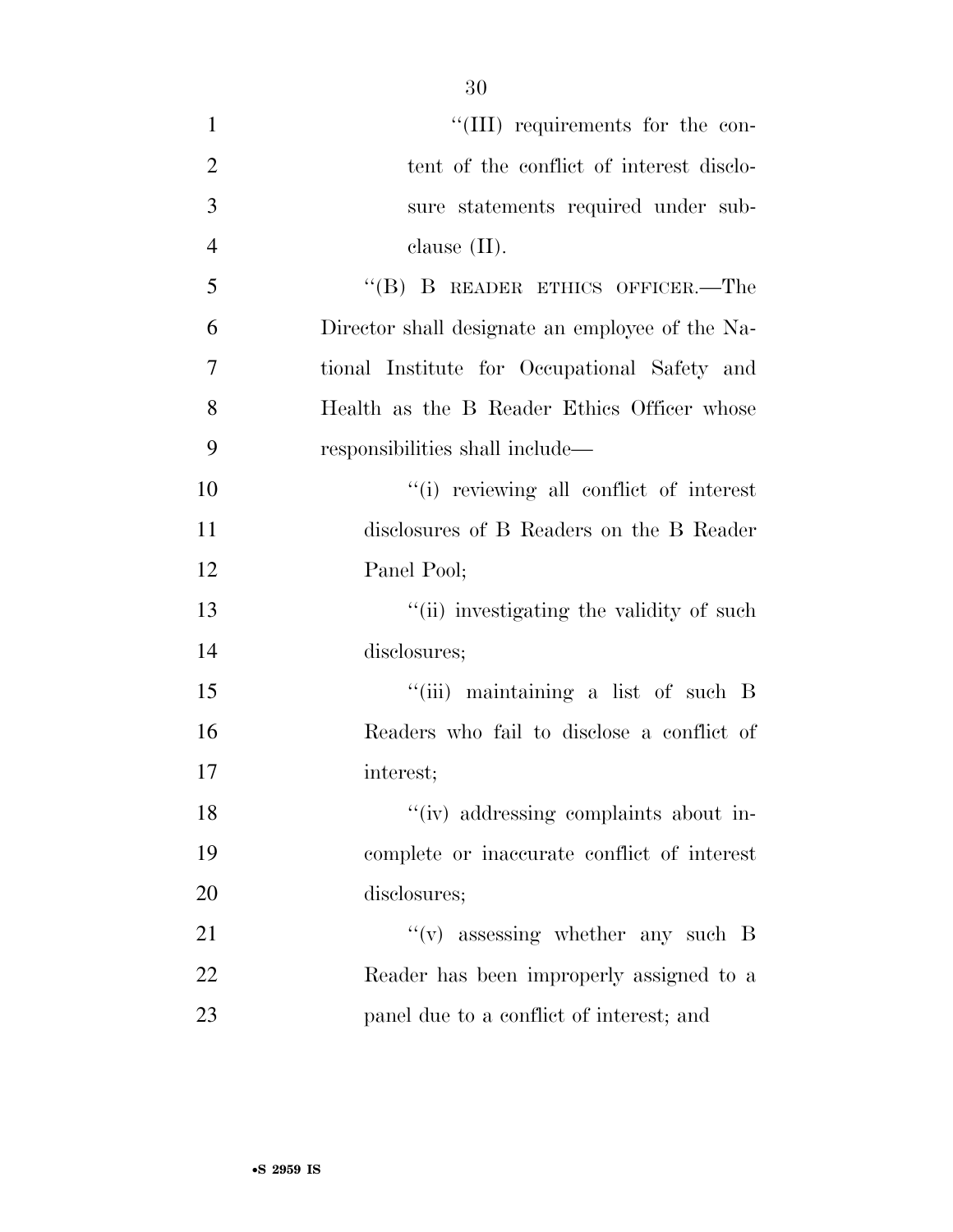| $\mathbf{1}$   | "(III) requirements for the con-                |
|----------------|-------------------------------------------------|
| $\overline{2}$ | tent of the conflict of interest disclo-        |
| 3              | sure statements required under sub-             |
| $\overline{4}$ | clause $(II)$ .                                 |
| 5              | $``$ (B) B READER ETHICS OFFICER.—The           |
| 6              | Director shall designate an employee of the Na- |
| 7              | tional Institute for Occupational Safety and    |
| 8              | Health as the B Reader Ethics Officer whose     |
| 9              | responsibilities shall include—                 |
| 10             | "(i) reviewing all conflict of interest         |
| 11             | disclosures of B Readers on the B Reader        |
| 12             | Panel Pool;                                     |
| 13             | "(ii) investigating the validity of such        |
| 14             | disclosures;                                    |
| 15             | "(iii) maintaining a list of such B             |
| 16             | Readers who fail to disclose a conflict of      |
| 17             | interest;                                       |
| 18             | "(iv) addressing complaints about in-           |
| 19             | complete or inaccurate conflict of interest     |
| 20             | disclosures;                                    |
| 21             | $f'(v)$ assessing whether any such B            |
| 22             | Reader has been improperly assigned to a        |
| 23             | panel due to a conflict of interest; and        |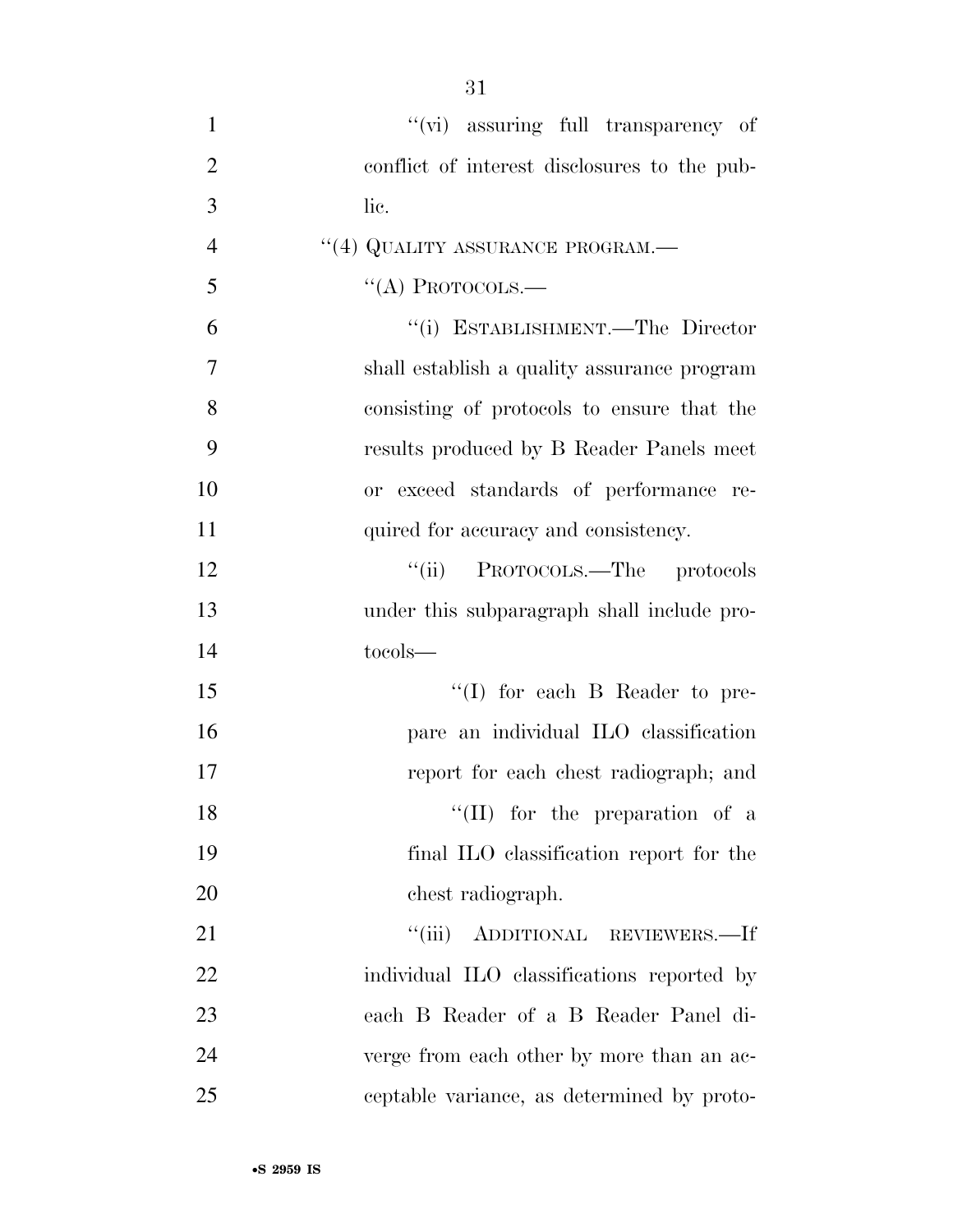| $\mathbf{1}$   | "(vi) assuring full transparency of          |
|----------------|----------------------------------------------|
| $\overline{2}$ | conflict of interest disclosures to the pub- |
| 3              | lic.                                         |
| $\overline{4}$ | "(4) QUALITY ASSURANCE PROGRAM.—             |
| 5              | $\lq\lq$ Protocols.—                         |
| 6              | "(i) ESTABLISHMENT.—The Director             |
| $\overline{7}$ | shall establish a quality assurance program  |
| 8              | consisting of protocols to ensure that the   |
| 9              | results produced by B Reader Panels meet     |
| 10             | or exceed standards of performance re-       |
| 11             | quired for accuracy and consistency.         |
| 12             | PROTOCOLS.—The protocols<br>``(ii)           |
| 13             | under this subparagraph shall include pro-   |
| 14             | tocols-                                      |
| 15             | "(I) for each B Reader to pre-               |
| 16             | pare an individual ILO classification        |
| 17             | report for each chest radiograph; and        |
| 18             | $\lq\lq$ (II) for the preparation of a       |
| 19             | final ILO classification report for the      |
| 20             | chest radiograph.                            |
| 21             | "(iii) ADDITIONAL REVIEWERS.—If              |
| 22             | individual ILO classifications reported by   |
| 23             | each B Reader of a B Reader Panel di-        |
| 24             | verge from each other by more than an ac-    |
| 25             | ceptable variance, as determined by proto-   |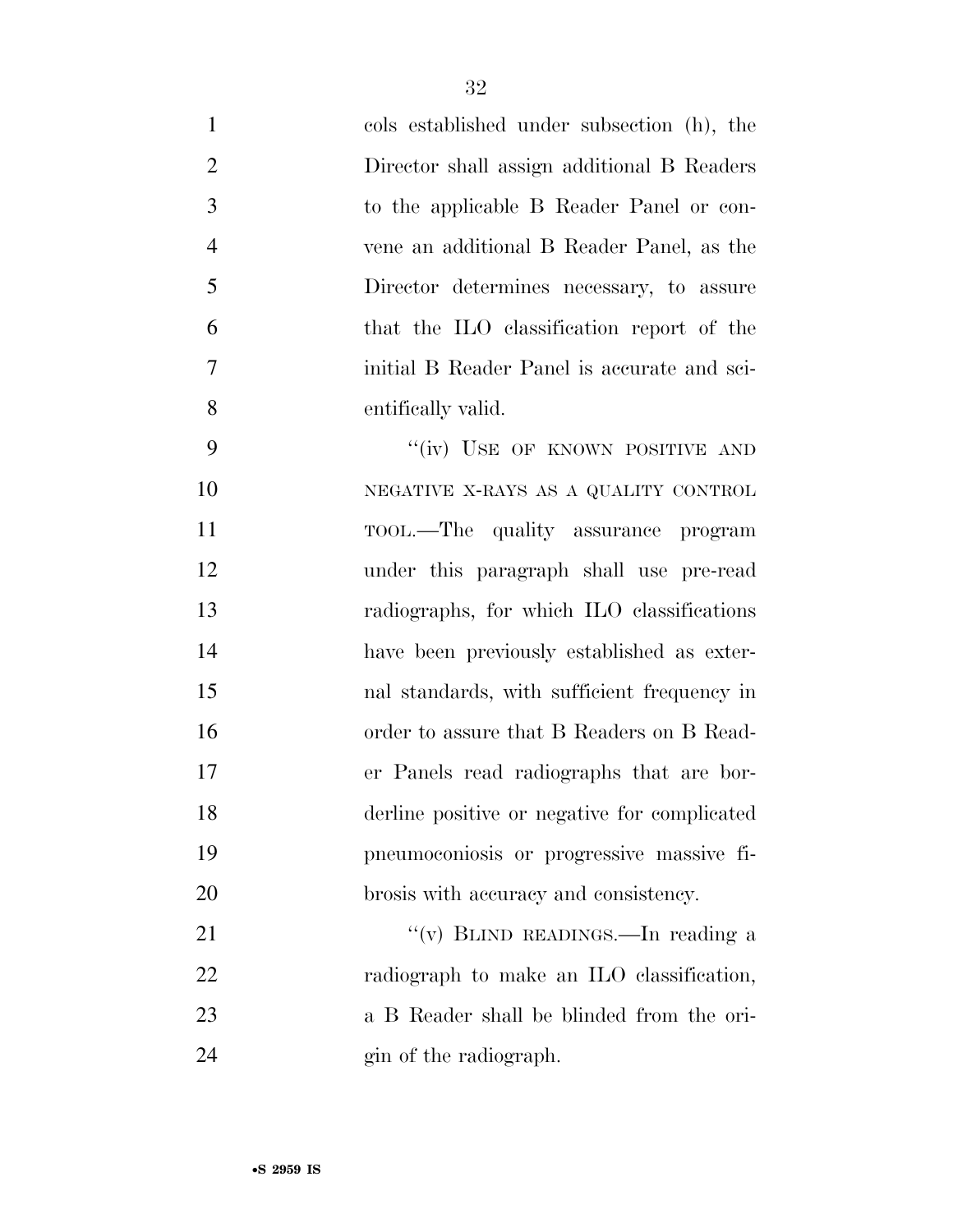| $\mathbf{1}$   | cols established under subsection (h), the   |
|----------------|----------------------------------------------|
| $\overline{2}$ | Director shall assign additional B Readers   |
| 3              | to the applicable B Reader Panel or con-     |
| $\overline{4}$ | vene an additional B Reader Panel, as the    |
| 5              | Director determines necessary, to assure     |
| 6              | that the ILO classification report of the    |
| 7              | initial B Reader Panel is accurate and sci-  |
| 8              | entifically valid.                           |
| 9              | "(iv) USE OF KNOWN POSITIVE AND              |
| 10             | NEGATIVE X-RAYS AS A QUALITY CONTROL         |
| 11             | TOOL.—The quality assurance program          |
| 12             | under this paragraph shall use pre-read      |
| 13             | radiographs, for which ILO classifications   |
| 14             | have been previously established as exter-   |
| 15             | nal standards, with sufficient frequency in  |
| 16             | order to assure that B Readers on B Read-    |
| 17             | er Panels read radiographs that are bor-     |
| 18             | derline positive or negative for complicated |
| 19             | pneumoconiosis or progressive massive fi-    |
| 20             | brosis with accuracy and consistency.        |
| 21             | "(v) BLIND READINGS.—In reading a            |
| 22             | radiograph to make an ILO classification,    |
| 23             | a B Reader shall be blinded from the ori-    |
| 24             | gin of the radiograph.                       |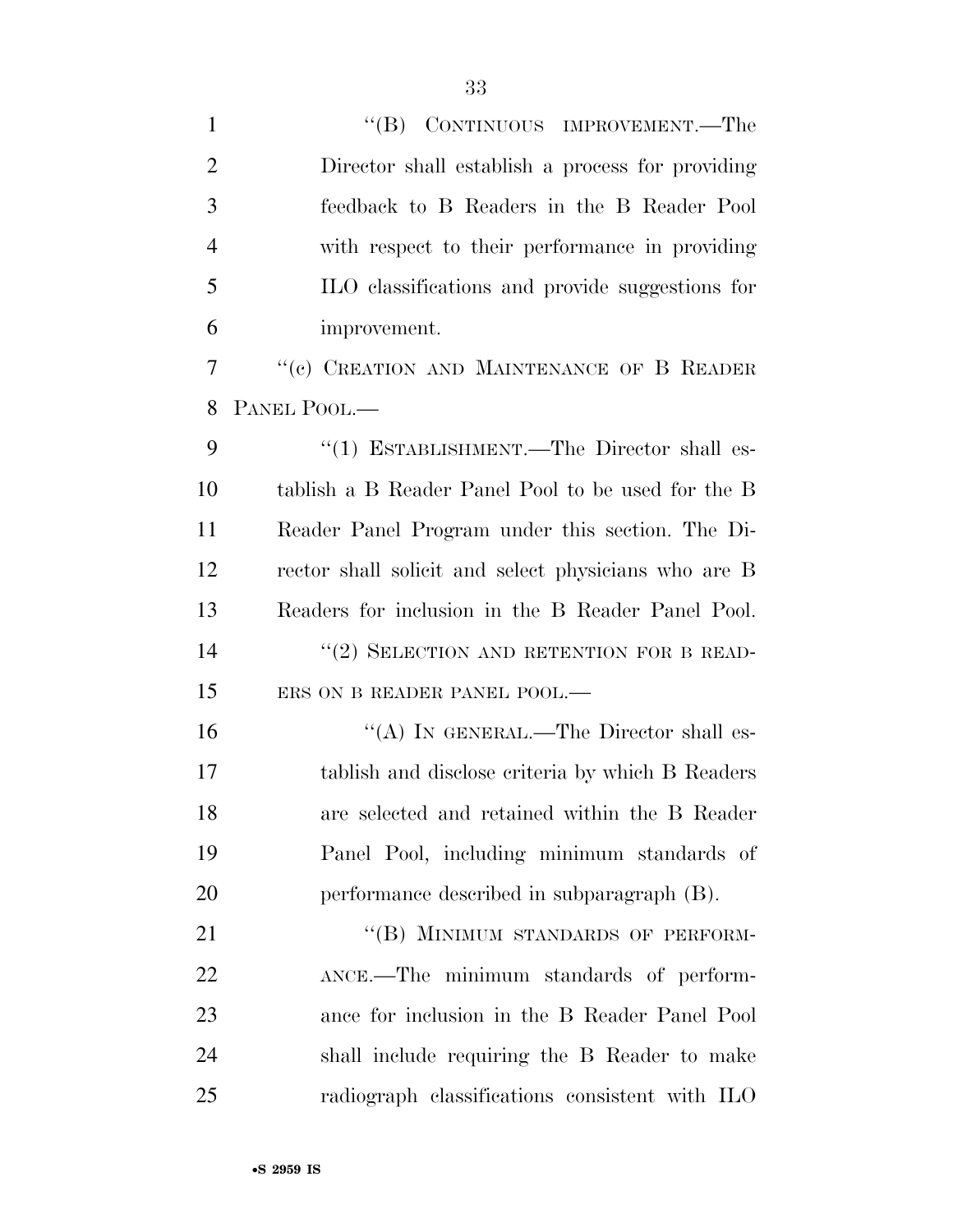1 ''(B) CONTINUOUS IMPROVEMENT.—The Director shall establish a process for providing feedback to B Readers in the B Reader Pool with respect to their performance in providing ILO classifications and provide suggestions for improvement. ''(c) CREATION AND MAINTENANCE OF B READER PANEL POOL.— 9 "(1) ESTABLISHMENT.—The Director shall es- tablish a B Reader Panel Pool to be used for the B Reader Panel Program under this section. The Di- rector shall solicit and select physicians who are B Readers for inclusion in the B Reader Panel Pool. 14 "(2) SELECTION AND RETENTION FOR B READ-15 ERS ON B READER PANEL POOL.— 16 "(A) IN GENERAL.—The Director shall es- tablish and disclose criteria by which B Readers are selected and retained within the B Reader Panel Pool, including minimum standards of performance described in subparagraph (B). 21 "(B) MINIMUM STANDARDS OF PERFORM- ANCE.—The minimum standards of perform- ance for inclusion in the B Reader Panel Pool shall include requiring the B Reader to make radiograph classifications consistent with ILO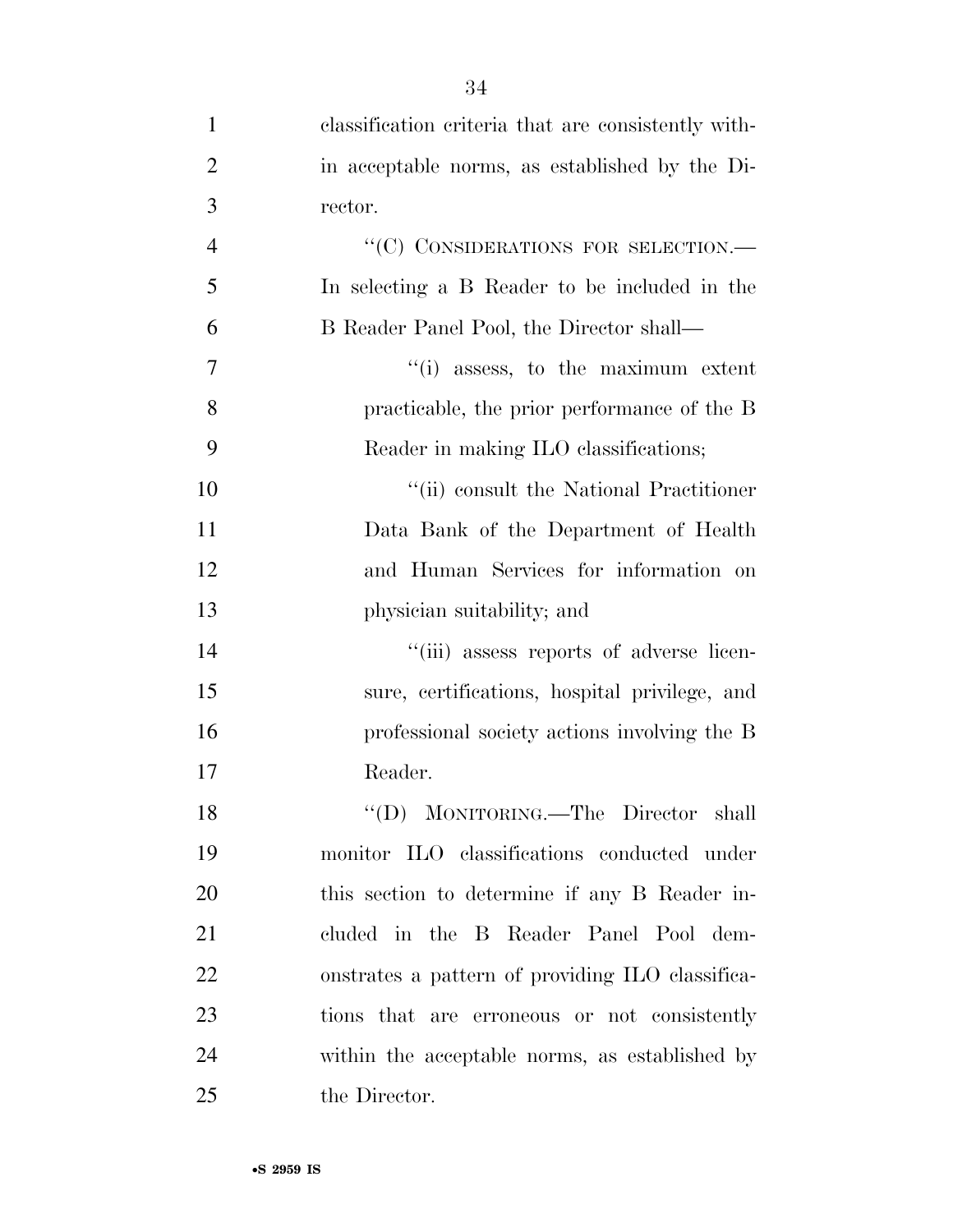| $\mathbf{1}$   | classification criteria that are consistently with- |
|----------------|-----------------------------------------------------|
| $\overline{2}$ | in acceptable norms, as established by the Di-      |
| 3              | rector.                                             |
| $\overline{4}$ | "(C) CONSIDERATIONS FOR SELECTION.-                 |
| 5              | In selecting a B Reader to be included in the       |
| 6              | B Reader Panel Pool, the Director shall—            |
| 7              | "(i) assess, to the maximum extent                  |
| 8              | practicable, the prior performance of the B         |
| 9              | Reader in making ILO classifications;               |
| 10             | "(ii) consult the National Practitioner             |
| 11             | Data Bank of the Department of Health               |
| 12             | and Human Services for information on               |
| 13             | physician suitability; and                          |
| 14             | "(iii) assess reports of adverse licen-             |
| 15             | sure, certifications, hospital privilege, and       |
| 16             | professional society actions involving the B        |
| 17             | Reader.                                             |
| 18             | "(D) MONITORING.—The Director shall                 |
| 19             | monitor ILO classifications conducted under         |
| 20             | this section to determine if any B Reader in-       |
| 21             | cluded in the B Reader Panel Pool dem-              |
| 22             | onstrates a pattern of providing ILO classifica-    |
| 23             | tions that are erroneous or not consistently        |
| 24             | within the acceptable norms, as established by      |
| 25             | the Director.                                       |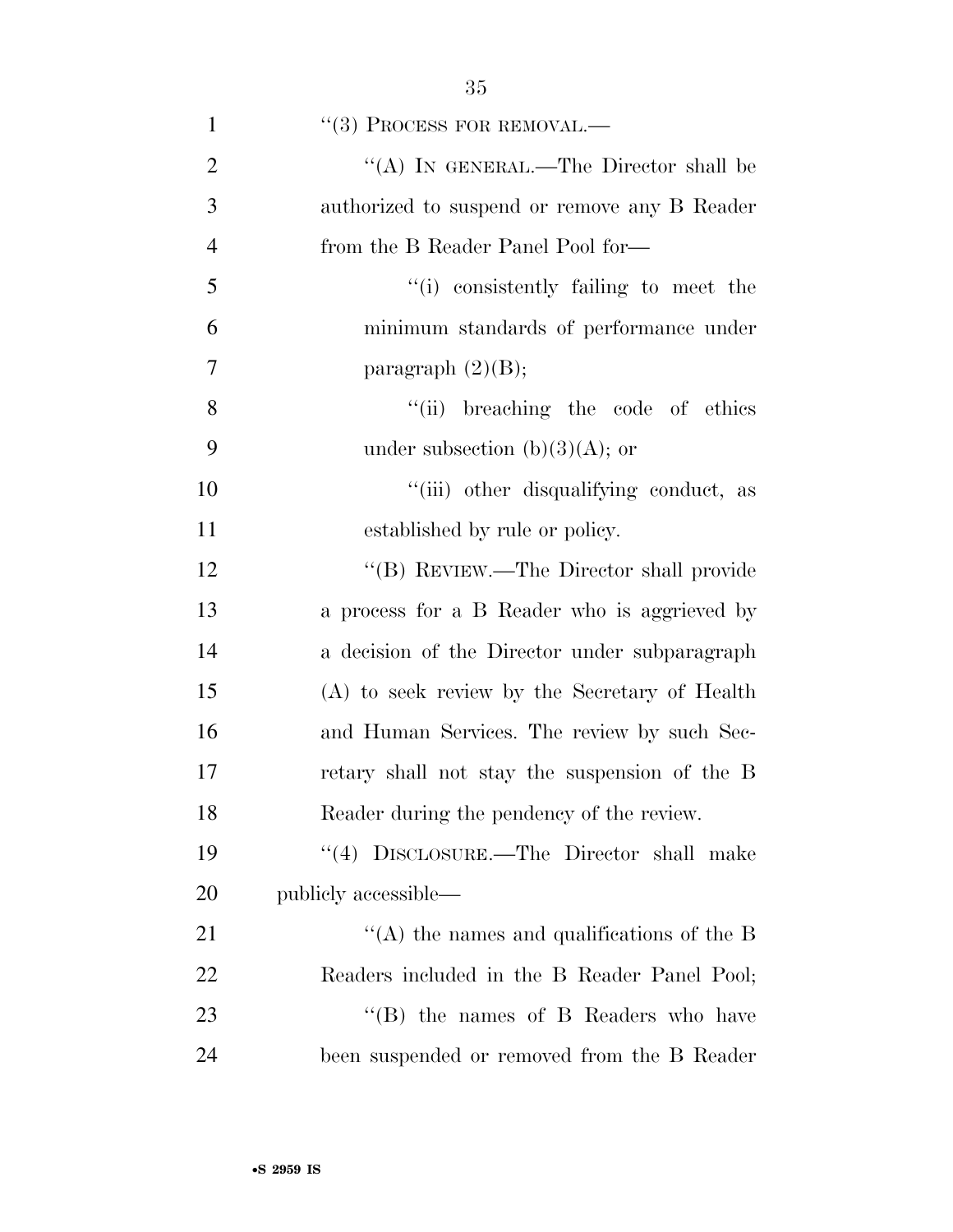| $\mathbf{1}$   | $``(3)$ PROCESS FOR REMOVAL.—                 |
|----------------|-----------------------------------------------|
| $\overline{2}$ | "(A) IN GENERAL.—The Director shall be        |
| 3              | authorized to suspend or remove any B Reader  |
| $\overline{4}$ | from the B Reader Panel Pool for-             |
| 5              | "(i) consistently failing to meet the         |
| 6              | minimum standards of performance under        |
| 7              | paragraph $(2)(B)$ ;                          |
| 8              | "(ii) breaching the code of ethics            |
| 9              | under subsection $(b)(3)(A)$ ; or             |
| 10             | "(iii) other disqualifying conduct, as        |
| 11             | established by rule or policy.                |
| 12             | "(B) REVIEW.—The Director shall provide       |
| 13             | a process for a B Reader who is aggrieved by  |
| 14             | a decision of the Director under subparagraph |
| 15             | (A) to seek review by the Secretary of Health |
| 16             | and Human Services. The review by such Sec-   |
| 17             | retary shall not stay the suspension of the B |
| 18             | Reader during the pendency of the review.     |
| 19             | "(4) DISCLOSURE.—The Director shall make      |
| 20             | publicly accessible—                          |
| 21             | "(A) the names and qualifications of the B    |
| 22             | Readers included in the B Reader Panel Pool;  |
| 23             | $\lq\lq$ (B) the names of B Readers who have  |
| 24             | been suspended or removed from the B Reader   |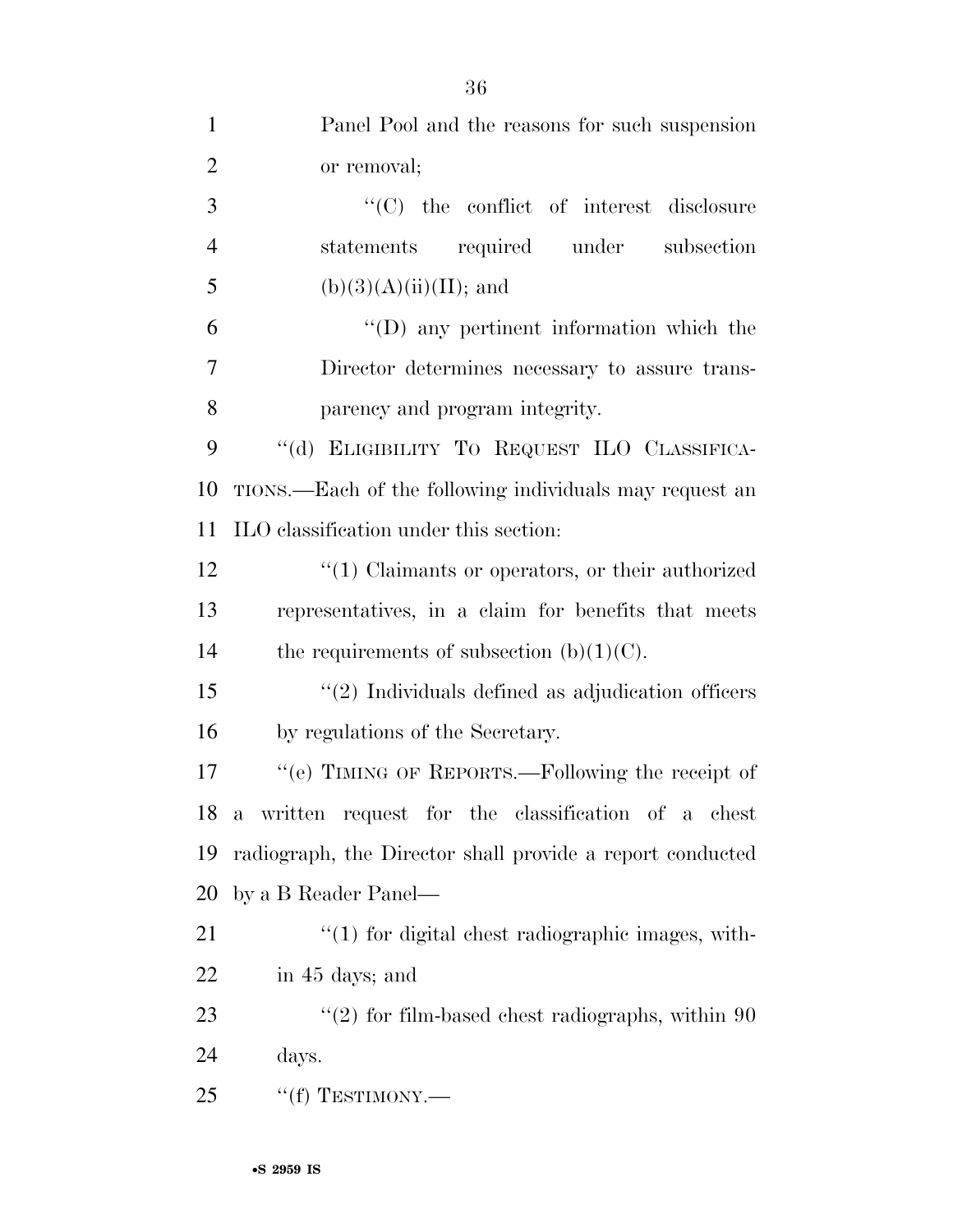| $\mathbf{1}$   | Panel Pool and the reasons for such suspension            |
|----------------|-----------------------------------------------------------|
| $\overline{2}$ | or removal;                                               |
| 3              | $\lq\lq$ the conflict of interest disclosure              |
| $\overline{4}$ | statements required under subsection                      |
| 5              | $(b)(3)(A)(ii)(II);$ and                                  |
| 6              | $\lq\lq$ (D) any pertinent information which the          |
| 7              | Director determines necessary to assure trans-            |
| 8              | parency and program integrity.                            |
| 9              | "(d) ELIGIBILITY TO REQUEST ILO CLASSIFICA-               |
| 10             | TIONS.—Each of the following individuals may request an   |
| 11             | ILO classification under this section:                    |
| 12             | $\cdot$ (1) Claimants or operators, or their authorized   |
| 13             | representatives, in a claim for benefits that meets       |
| 14             | the requirements of subsection $(b)(1)(C)$ .              |
| 15             | $"(2)$ Individuals defined as adjudication officers       |
| 16             | by regulations of the Secretary.                          |
| 17             | "(e) TIMING OF REPORTS.—Following the receipt of          |
|                | 18 a written request for the classification of a chest    |
| 19             | radiograph, the Director shall provide a report conducted |
| 20             | by a B Reader Panel—                                      |
| 21             | $"(1)$ for digital chest radiographic images, with-       |
| 22             | in 45 days; and                                           |
| 23             | $\lq(2)$ for film-based chest radiographs, within 90      |
| 24             | days.                                                     |
| 25             | $``(f)$ TESTIMONY.—                                       |
|                |                                                           |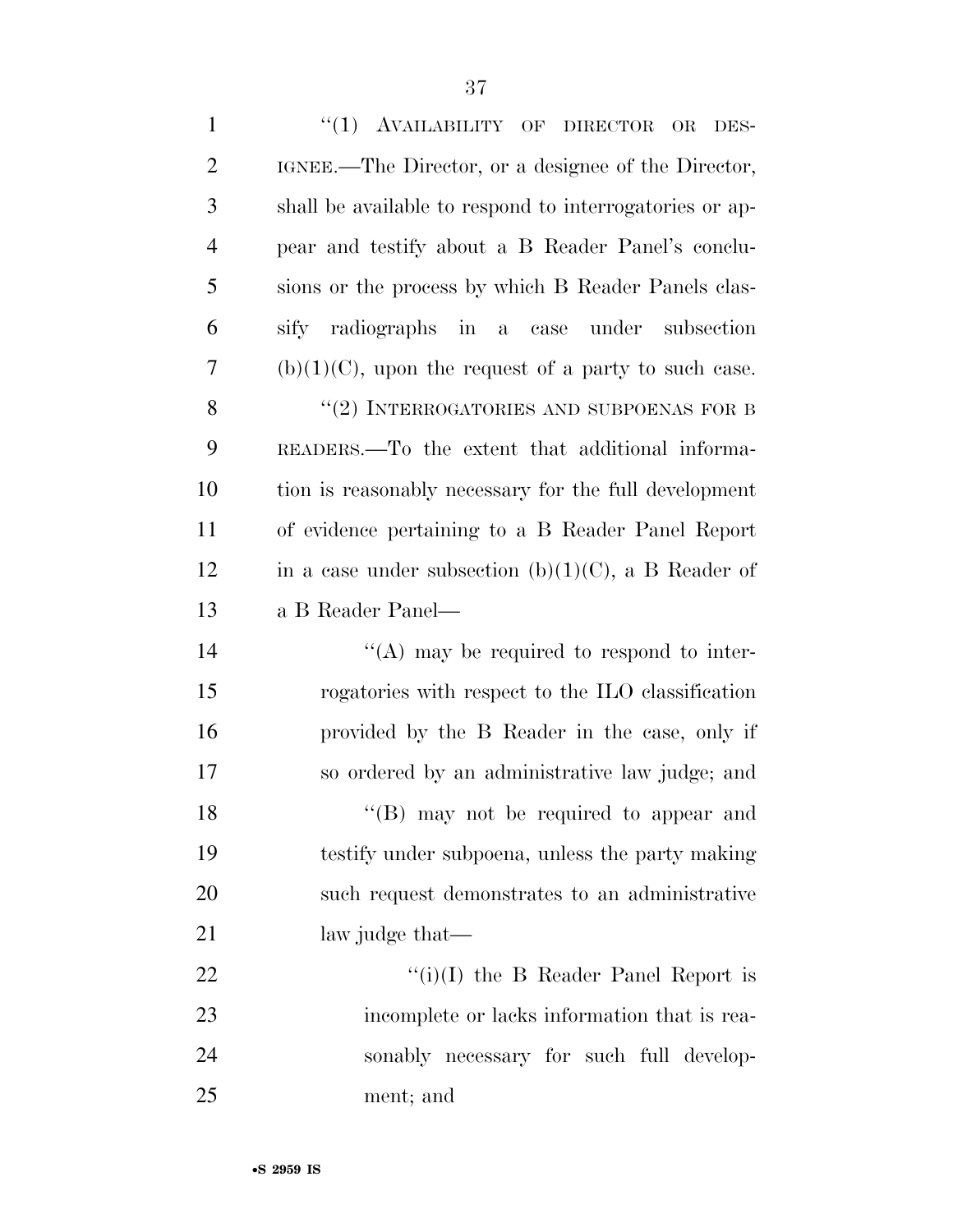| $\mathbf{1}$   | "(1) AVAILABILITY OF DIRECTOR OR<br>DES-                |
|----------------|---------------------------------------------------------|
| $\overline{2}$ | IGNEE.—The Director, or a designee of the Director,     |
| 3              | shall be available to respond to interrogatories or ap- |
| $\overline{4}$ | pear and testify about a B Reader Panel's conclu-       |
| 5              | sions or the process by which B Reader Panels clas-     |
| 6              | sify radiographs in a case under<br>subsection          |
| 7              | $(b)(1)(C)$ , upon the request of a party to such case. |
| 8              | "(2) INTERROGATORIES AND SUBPOENAS FOR B                |
| 9              | READERS.—To the extent that additional informa-         |
| 10             | tion is reasonably necessary for the full development   |
| 11             | of evidence pertaining to a B Reader Panel Report       |
| 12             | in a case under subsection (b) $(1)(C)$ , a B Reader of |
| 13             | a B Reader Panel—                                       |
| 14             | $\lq\lq$ (A) may be required to respond to inter-       |
| 15             | rogatories with respect to the ILO classification       |
| 16             | provided by the B Reader in the case, only if           |
| 17             | so ordered by an administrative law judge; and          |
| 18             | "(B) may not be required to appear and                  |
| 19             | testify under subpoena, unless the party making         |
| 20             | such request demonstrates to an administrative          |
| 21             | law judge that—                                         |
| 22             | "(i)(I) the B Reader Panel Report is                    |
| 23             | incomplete or lacks information that is rea-            |
| 24             | sonably necessary for such full develop-                |
| 25             | ment; and                                               |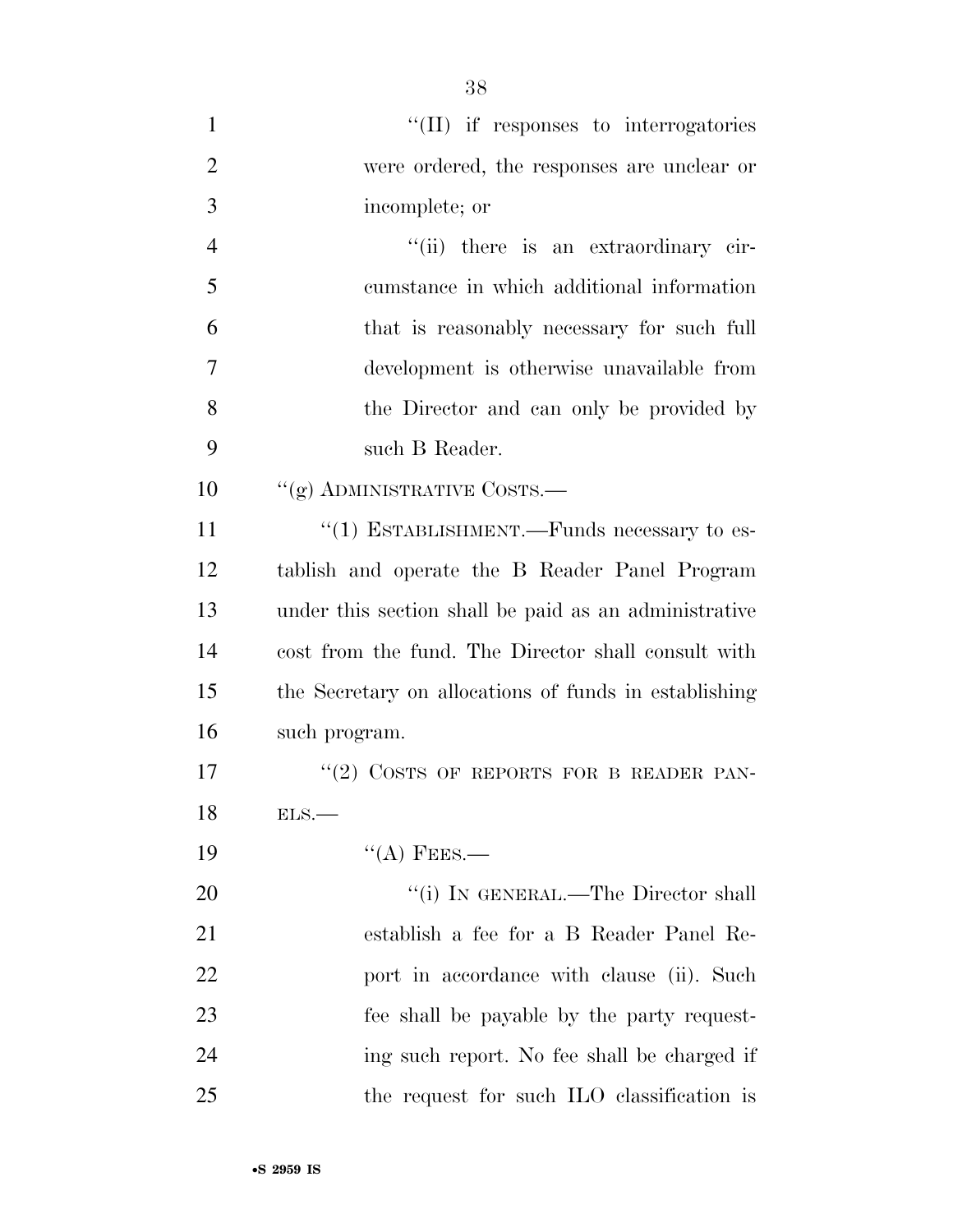| $\mathbf{1}$   | "(II) if responses to interrogatories                 |
|----------------|-------------------------------------------------------|
| $\overline{2}$ | were ordered, the responses are unclear or            |
| 3              | incomplete; or                                        |
| $\overline{4}$ | "(ii) there is an extraordinary cir-                  |
| 5              | cumstance in which additional information             |
| 6              | that is reasonably necessary for such full            |
| 7              | development is otherwise unavailable from             |
| 8              | the Director and can only be provided by              |
| 9              | such B Reader.                                        |
| 10             | "(g) ADMINISTRATIVE COSTS.—                           |
| 11             | $\cdot\cdot(1)$ ESTABLISHMENT.—Funds necessary to es- |
| 12             | tablish and operate the B Reader Panel Program        |
| 13             | under this section shall be paid as an administrative |
| 14             | cost from the fund. The Director shall consult with   |
| 15             | the Secretary on allocations of funds in establishing |
| 16             | such program.                                         |
| 17             | $(2)$ COSTS OF REPORTS FOR B READER PAN-              |
| 18             | ELS.                                                  |
| 19             | $\lq\lq$ (A) FEES.—                                   |
| 20             | "(i) IN GENERAL.—The Director shall                   |
| 21             | establish a fee for a B Reader Panel Re-              |
| 22             | port in accordance with clause (ii). Such             |
| 23             | fee shall be payable by the party request-            |
| 24             | ing such report. No fee shall be charged if           |
| 25             | the request for such ILO classification is            |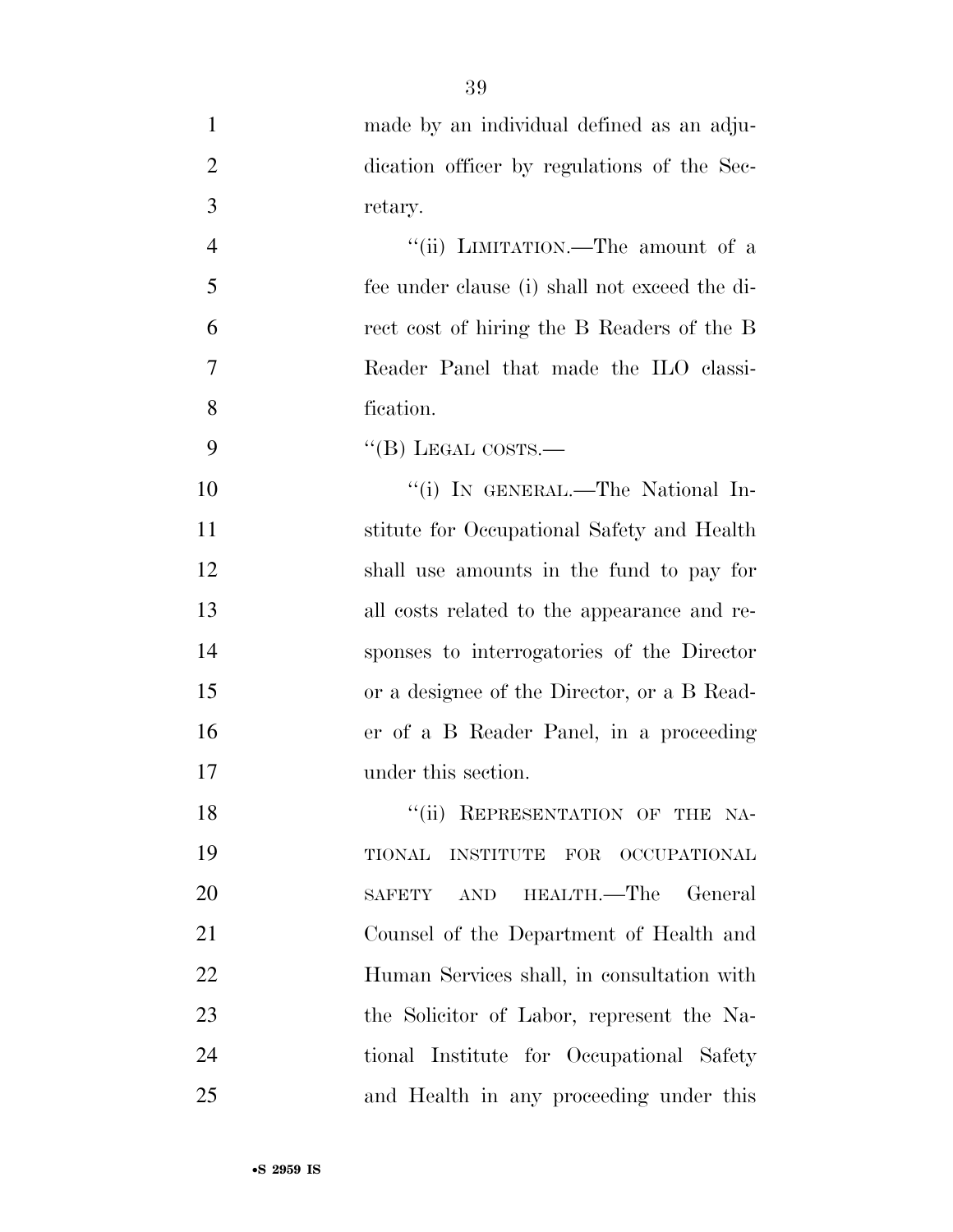| $\mathbf{1}$   | made by an individual defined as an adju-      |
|----------------|------------------------------------------------|
| $\overline{2}$ | dication officer by regulations of the Sec-    |
| 3              | retary.                                        |
| $\overline{4}$ | "(ii) LIMITATION.—The amount of a              |
| 5              | fee under clause (i) shall not exceed the di-  |
| 6              | rect cost of hiring the B Readers of the B     |
| 7              | Reader Panel that made the ILO classi-         |
| 8              | fication.                                      |
| 9              | "(B) LEGAL COSTS.—                             |
| 10             | "(i) IN GENERAL.—The National In-              |
| 11             | stitute for Occupational Safety and Health     |
| 12             | shall use amounts in the fund to pay for       |
| 13             | all costs related to the appearance and re-    |
| 14             | sponses to interrogatories of the Director     |
| 15             | or a designee of the Director, or a B Read-    |
| 16             | er of a B Reader Panel, in a proceeding        |
| 17             | under this section.                            |
| 18             | "(ii) REPRESENTATION OF THE NA-                |
| 19             | INSTITUTE FOR OCCUPATIONAL<br>TIONAL           |
| 20             | HEALTH.—The<br>General<br><b>SAFETY</b><br>AND |
| 21             | Counsel of the Department of Health and        |
| 22             | Human Services shall, in consultation with     |
| 23             | the Solicitor of Labor, represent the Na-      |
| 24             | tional Institute for Occupational Safety       |
| 25             | and Health in any proceeding under this        |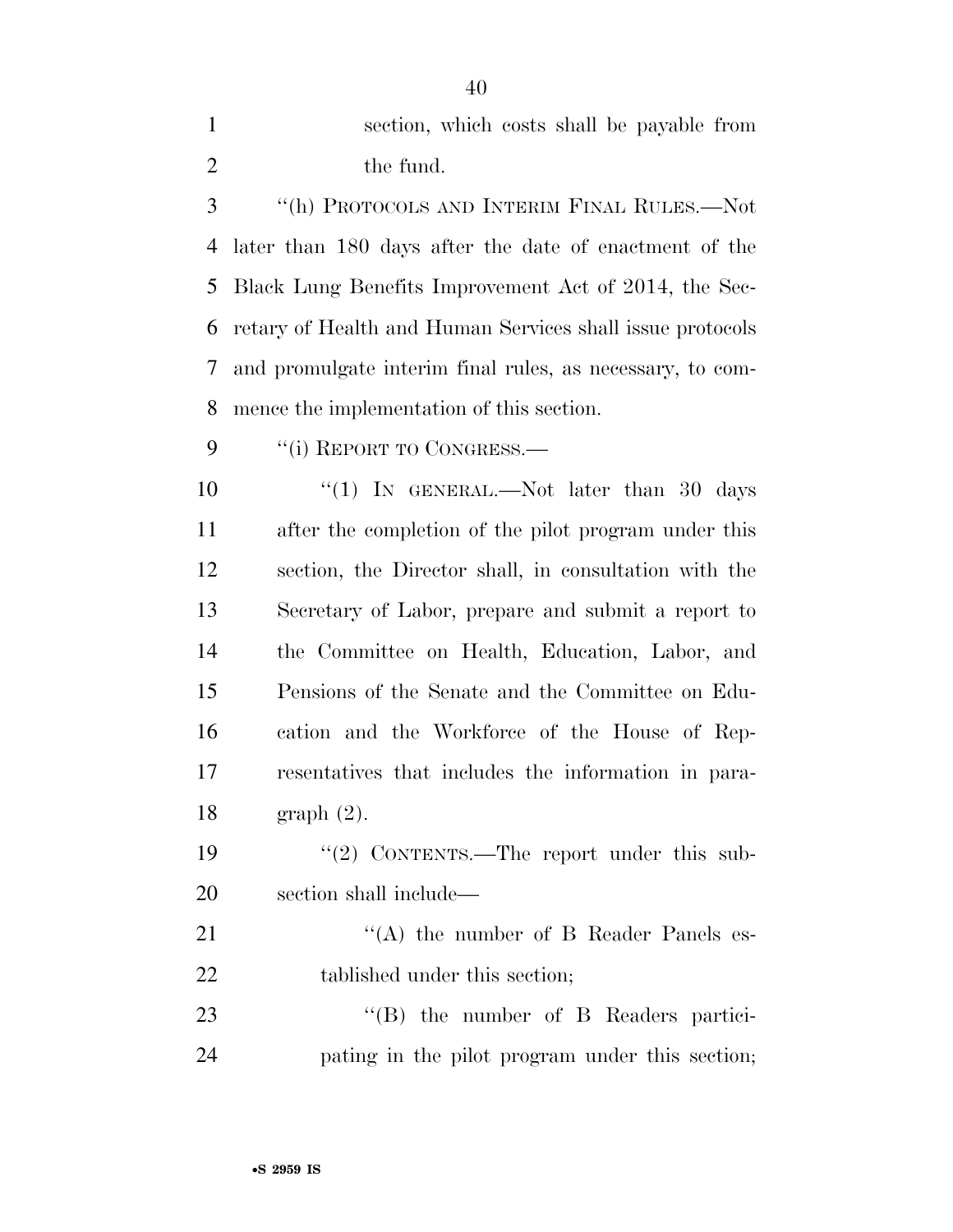section, which costs shall be payable from 2 the fund.

 ''(h) PROTOCOLS AND INTERIM FINAL RULES.—Not later than 180 days after the date of enactment of the Black Lung Benefits Improvement Act of 2014, the Sec- retary of Health and Human Services shall issue protocols and promulgate interim final rules, as necessary, to com-mence the implementation of this section.

9 "(i) REPORT TO CONGRESS.

 $\frac{1}{1}$  IN GENERAL.—Not later than 30 days after the completion of the pilot program under this section, the Director shall, in consultation with the Secretary of Labor, prepare and submit a report to the Committee on Health, Education, Labor, and Pensions of the Senate and the Committee on Edu- cation and the Workforce of the House of Rep- resentatives that includes the information in para-graph (2).

19 "(2) CONTENTS.—The report under this sub-section shall include—

21 ''(A) the number of B Reader Panels es-22 tablished under this section;

23 "(B) the number of B Readers partici-pating in the pilot program under this section;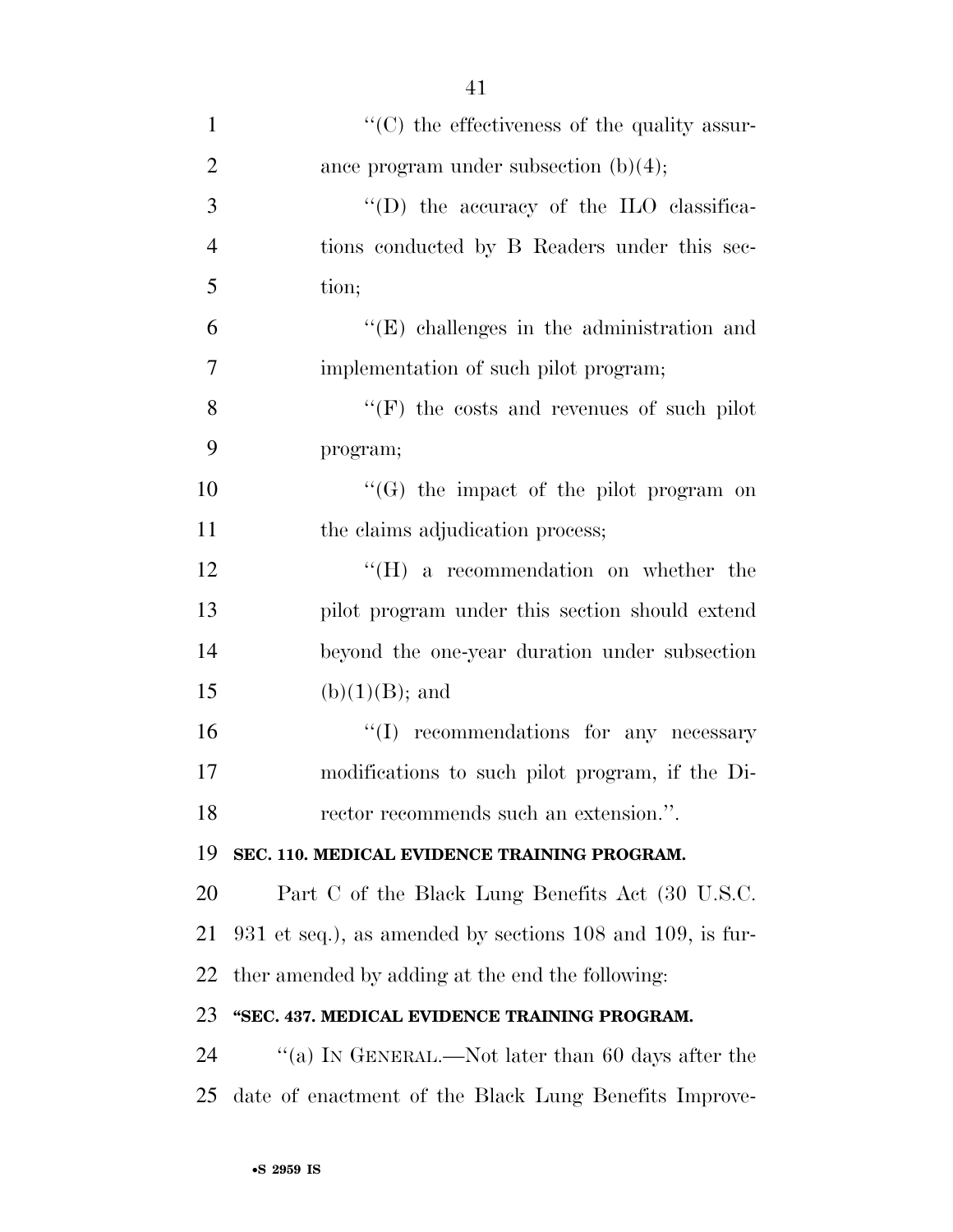| $\mathbf{1}$   | $\lq\lq$ (C) the effectiveness of the quality assur-        |
|----------------|-------------------------------------------------------------|
| $\overline{2}$ | ance program under subsection $(b)(4)$ ;                    |
| 3              | "(D) the accuracy of the ILO classifica-                    |
| $\overline{4}$ | tions conducted by B Readers under this sec-                |
| 5              | tion;                                                       |
| 6              | $\lq\lq$ (E) challenges in the administration and           |
| $\overline{7}$ | implementation of such pilot program;                       |
| 8              | $``(F)$ the costs and revenues of such pilot                |
| 9              | program;                                                    |
| 10             | $\lq\lq(G)$ the impact of the pilot program on              |
| 11             | the claims adjudication process;                            |
| 12             | $\lq\lq(H)$ a recommendation on whether the                 |
| 13             | pilot program under this section should extend              |
| 14             | beyond the one-year duration under subsection               |
| 15             | $(b)(1)(B)$ ; and                                           |
| 16             | "(I) recommendations for any necessary                      |
| 17             | modifications to such pilot program, if the Di-             |
| 18             | rector recommends such an extension.".                      |
| 19             | SEC. 110. MEDICAL EVIDENCE TRAINING PROGRAM.                |
| 20             | Part C of the Black Lung Benefits Act (30 U.S.C.            |
| 21             | $931$ et seq.), as amended by sections 108 and 109, is fur- |
| 22             | ther amended by adding at the end the following:            |
| 23             | "SEC. 437. MEDICAL EVIDENCE TRAINING PROGRAM.               |
| 24             | "(a) IN GENERAL.—Not later than 60 days after the           |
| 25             | date of enactment of the Black Lung Benefits Improve-       |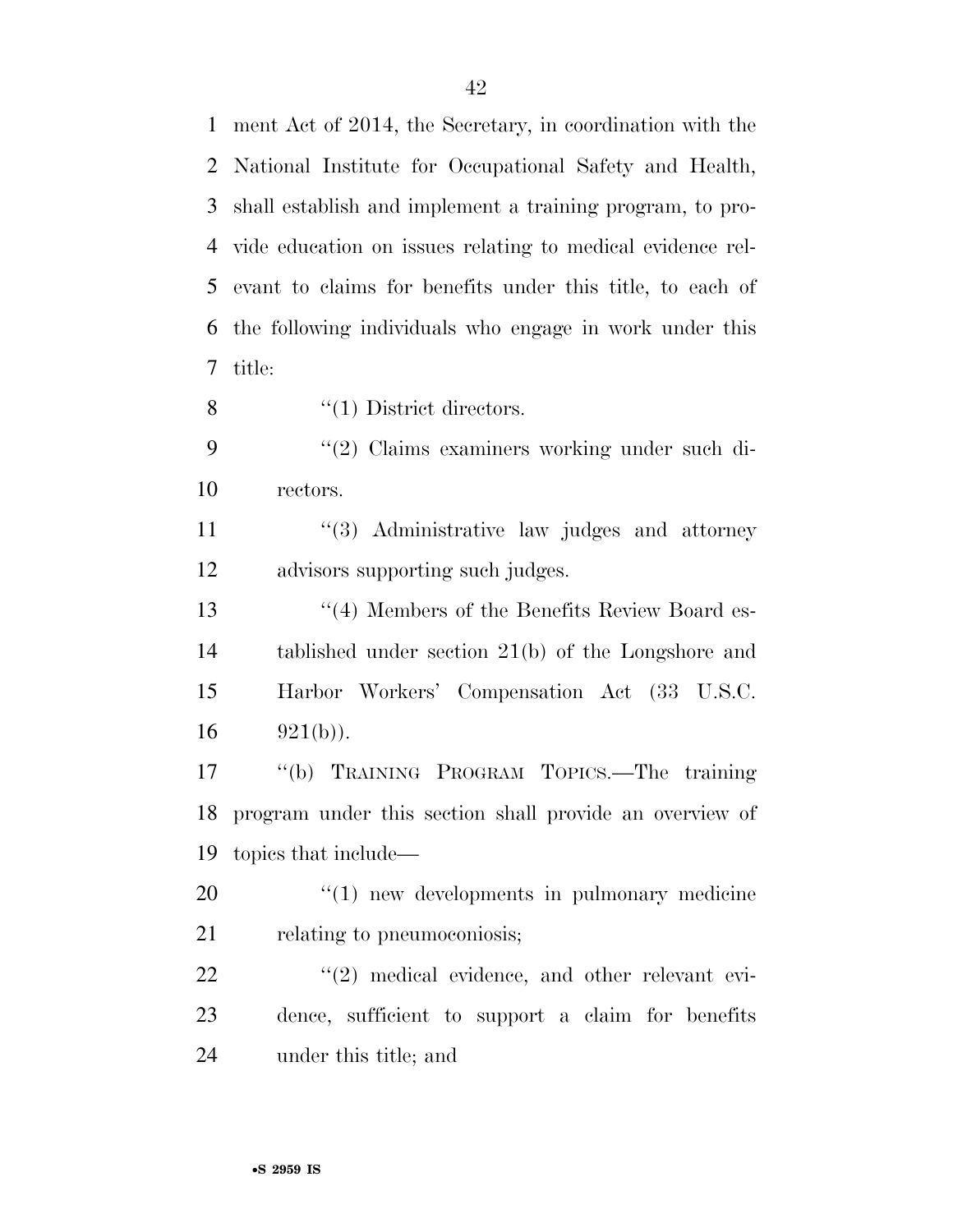ment Act of 2014, the Secretary, in coordination with the National Institute for Occupational Safety and Health, shall establish and implement a training program, to pro- vide education on issues relating to medical evidence rel- evant to claims for benefits under this title, to each of the following individuals who engage in work under this title:

8  $\qquad(1)$  District directors.

9 ''(2) Claims examiners working under such di-rectors.

11 ''(3) Administrative law judges and attorney advisors supporting such judges.

13 ''(4) Members of the Benefits Review Board es- tablished under section 21(b) of the Longshore and Harbor Workers' Compensation Act (33 U.S.C. 16  $921(b)$ ).

 ''(b) TRAINING PROGRAM TOPICS.—The training program under this section shall provide an overview of topics that include—

20  $\frac{1}{20}$  The v developments in pulmonary medicine 21 relating to pneumoconiosis;

22  $\frac{1}{2}$  medical evidence, and other relevant evi- dence, sufficient to support a claim for benefits under this title; and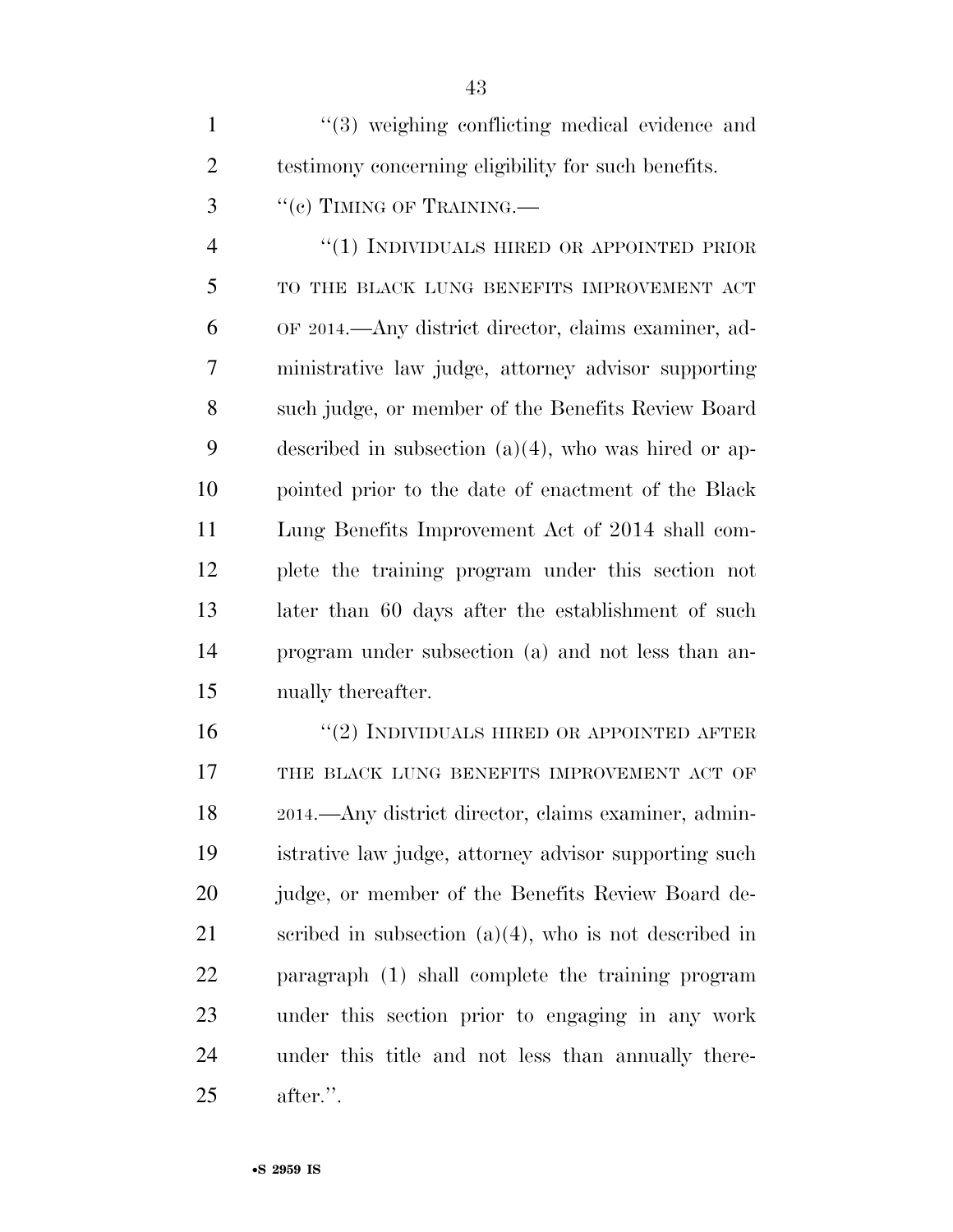| $\mathbf{1}$   | "(3) weighing conflicting medical evidence and          |
|----------------|---------------------------------------------------------|
| $\overline{2}$ | testimony concerning eligibility for such benefits.     |
| 3              | "(c) TIMING OF TRAINING.—                               |
| $\overline{4}$ | "(1) INDIVIDUALS HIRED OR APPOINTED PRIOR               |
| 5              | TO THE BLACK LUNG BENEFITS IMPROVEMENT ACT              |
| 6              | OF 2014.—Any district director, claims examiner, ad-    |
| 7              | ministrative law judge, attorney advisor supporting     |
| 8              | such judge, or member of the Benefits Review Board      |
| 9              | described in subsection $(a)(4)$ , who was hired or ap- |
| 10             | pointed prior to the date of enactment of the Black     |
| 11             | Lung Benefits Improvement Act of 2014 shall com-        |
| 12             | plete the training program under this section not       |
| 13             | later than 60 days after the establishment of such      |
| 14             | program under subsection (a) and not less than an-      |
| 15             | nually thereafter.                                      |
| 16             | $\cdot$ (2) INDIVIDUALS HIRED OR APPOINTED AFTER        |

 ''(2) INDIVIDUALS HIRED OR APPOINTED AFTER 17 THE BLACK LUNG BENEFITS IMPROVEMENT ACT OF 2014.—Any district director, claims examiner, admin- istrative law judge, attorney advisor supporting such judge, or member of the Benefits Review Board de-21 scribed in subsection  $(a)(4)$ , who is not described in paragraph (1) shall complete the training program under this section prior to engaging in any work under this title and not less than annually there-after.''.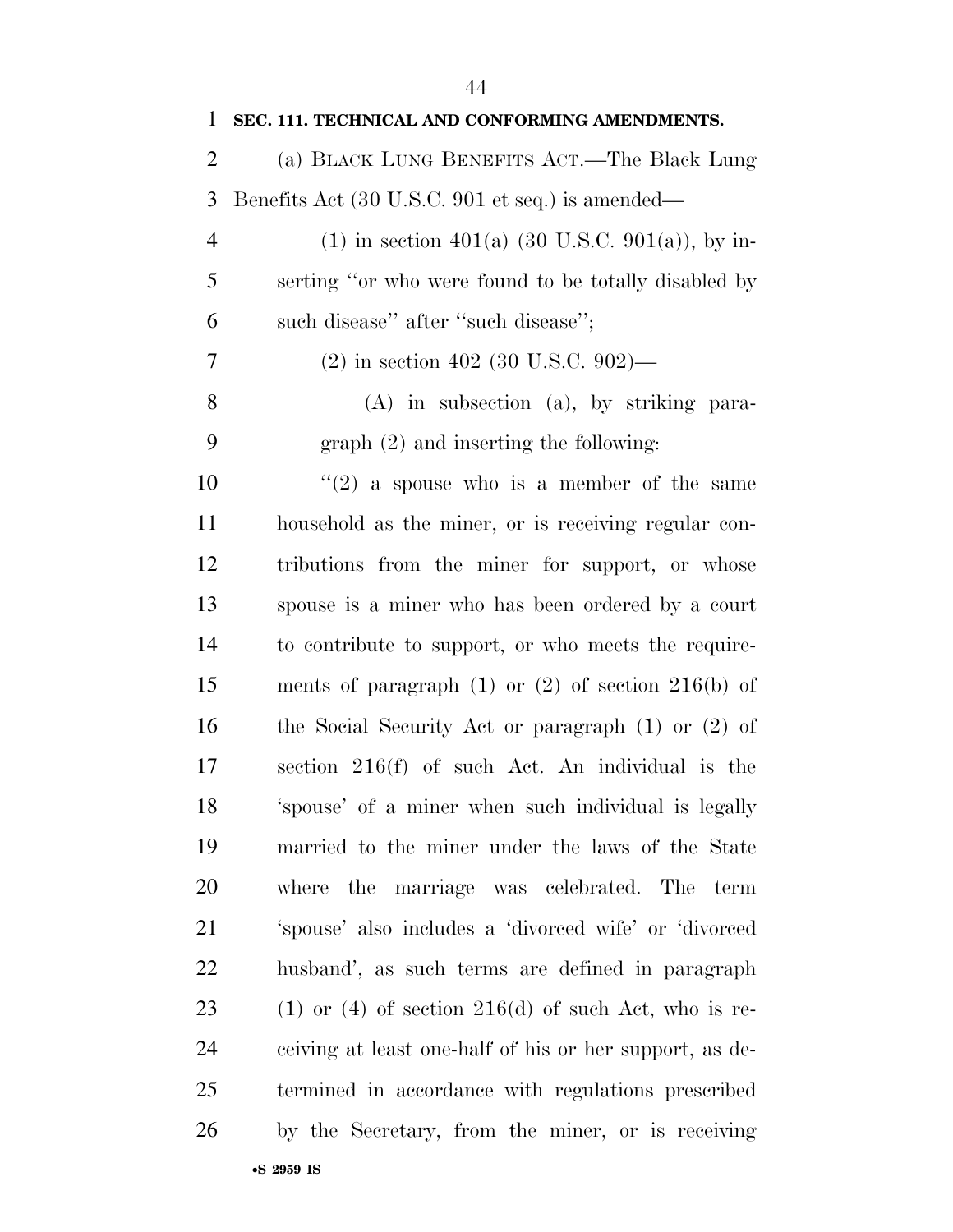| 1              | SEC. 111. TECHNICAL AND CONFORMING AMENDMENTS.             |
|----------------|------------------------------------------------------------|
| $\overline{2}$ | (a) BLACK LUNG BENEFITS ACT.—The Black Lung                |
| 3              | Benefits Act (30 U.S.C. 901 et seq.) is amended—           |
| 4              | (1) in section 401(a) (30 U.S.C. 901(a)), by in-           |
| 5              | serting "or who were found to be totally disabled by       |
| 6              | such disease" after "such disease";                        |
| 7              | $(2)$ in section 402 (30 U.S.C. 902)—                      |
| 8              | $(A)$ in subsection $(a)$ , by striking para-              |
| 9              | $graph (2)$ and inserting the following:                   |
| 10             | "(2) a spouse who is a member of the same                  |
| 11             | household as the miner, or is receiving regular con-       |
| 12             | tributions from the miner for support, or whose            |
| 13             | spouse is a miner who has been ordered by a court          |
| 14             | to contribute to support, or who meets the require-        |
| 15             | ments of paragraph $(1)$ or $(2)$ of section $216(b)$ of   |
| 16             | the Social Security Act or paragraph $(1)$ or $(2)$ of     |
| 17             | section $216(f)$ of such Act. An individual is the         |
| 18             | 'spouse' of a miner when such individual is legally        |
| 19             | married to the miner under the laws of the State           |
| <b>20</b>      | where the marriage was celebrated.<br>The<br>term          |
| 21             | 'spouse' also includes a 'divorced wife' or 'divorced      |
| 22             | husband', as such terms are defined in paragraph           |
| 23             | $(1)$ or $(4)$ of section $216(d)$ of such Act, who is re- |
| 24             | ceiving at least one-half of his or her support, as de-    |
| 25             | termined in accordance with regulations prescribed         |
| 26             | by the Secretary, from the miner, or is receiving          |
|                | •S 2959 IS                                                 |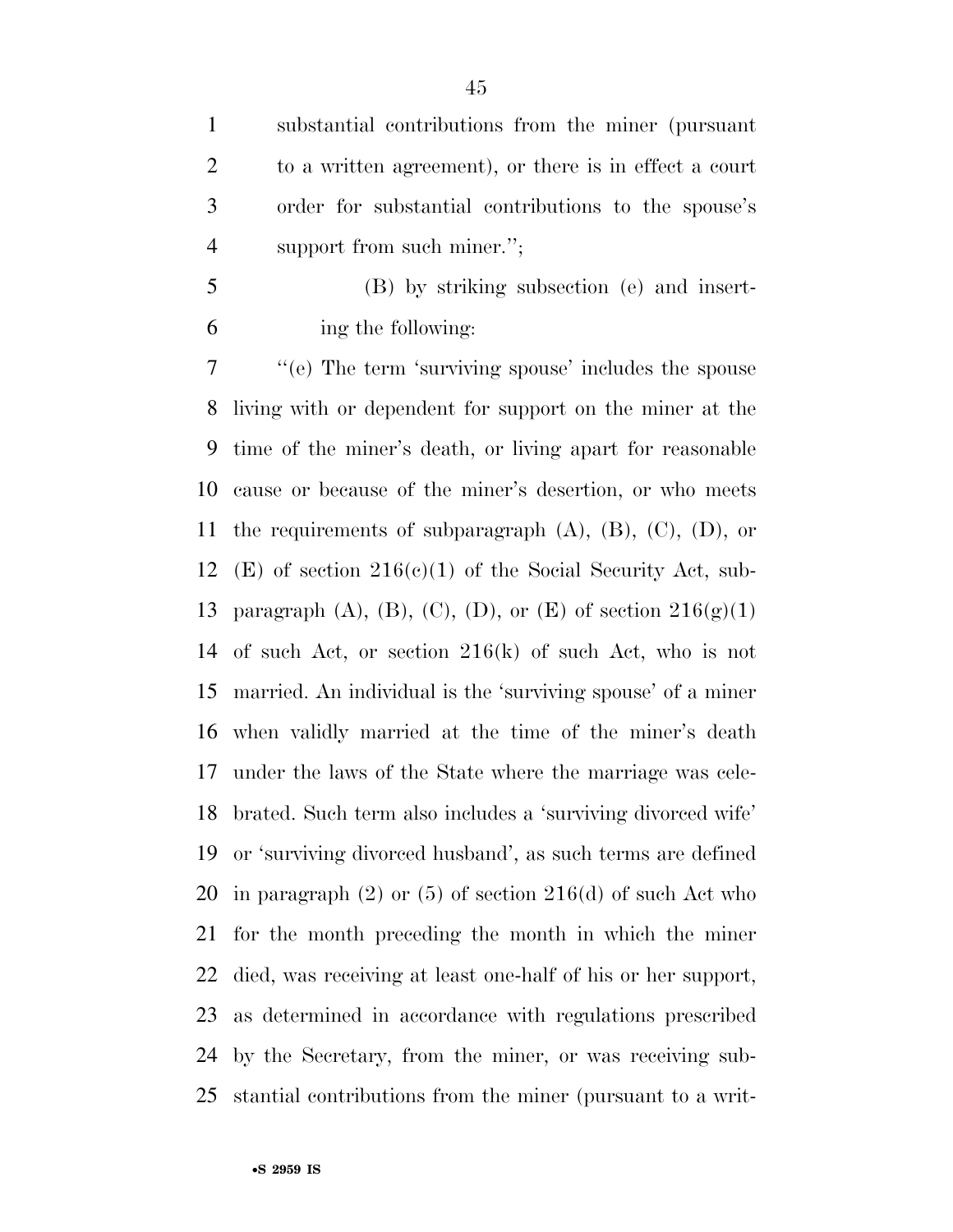substantial contributions from the miner (pursuant to a written agreement), or there is in effect a court order for substantial contributions to the spouse's 4 support from such miner.";

 (B) by striking subsection (e) and insert-ing the following:

 ''(e) The term 'surviving spouse' includes the spouse living with or dependent for support on the miner at the time of the miner's death, or living apart for reasonable cause or because of the miner's desertion, or who meets 11 the requirements of subparagraph  $(A)$ ,  $(B)$ ,  $(C)$ ,  $(D)$ , or 12 (E) of section  $216(c)(1)$  of the Social Security Act, sub-13 paragraph (A), (B), (C), (D), or (E) of section  $216(g)(1)$  of such Act, or section 216(k) of such Act, who is not married. An individual is the 'surviving spouse' of a miner when validly married at the time of the miner's death under the laws of the State where the marriage was cele- brated. Such term also includes a 'surviving divorced wife' or 'surviving divorced husband', as such terms are defined 20 in paragraph  $(2)$  or  $(5)$  of section  $216(d)$  of such Act who for the month preceding the month in which the miner died, was receiving at least one-half of his or her support, as determined in accordance with regulations prescribed by the Secretary, from the miner, or was receiving sub-stantial contributions from the miner (pursuant to a writ-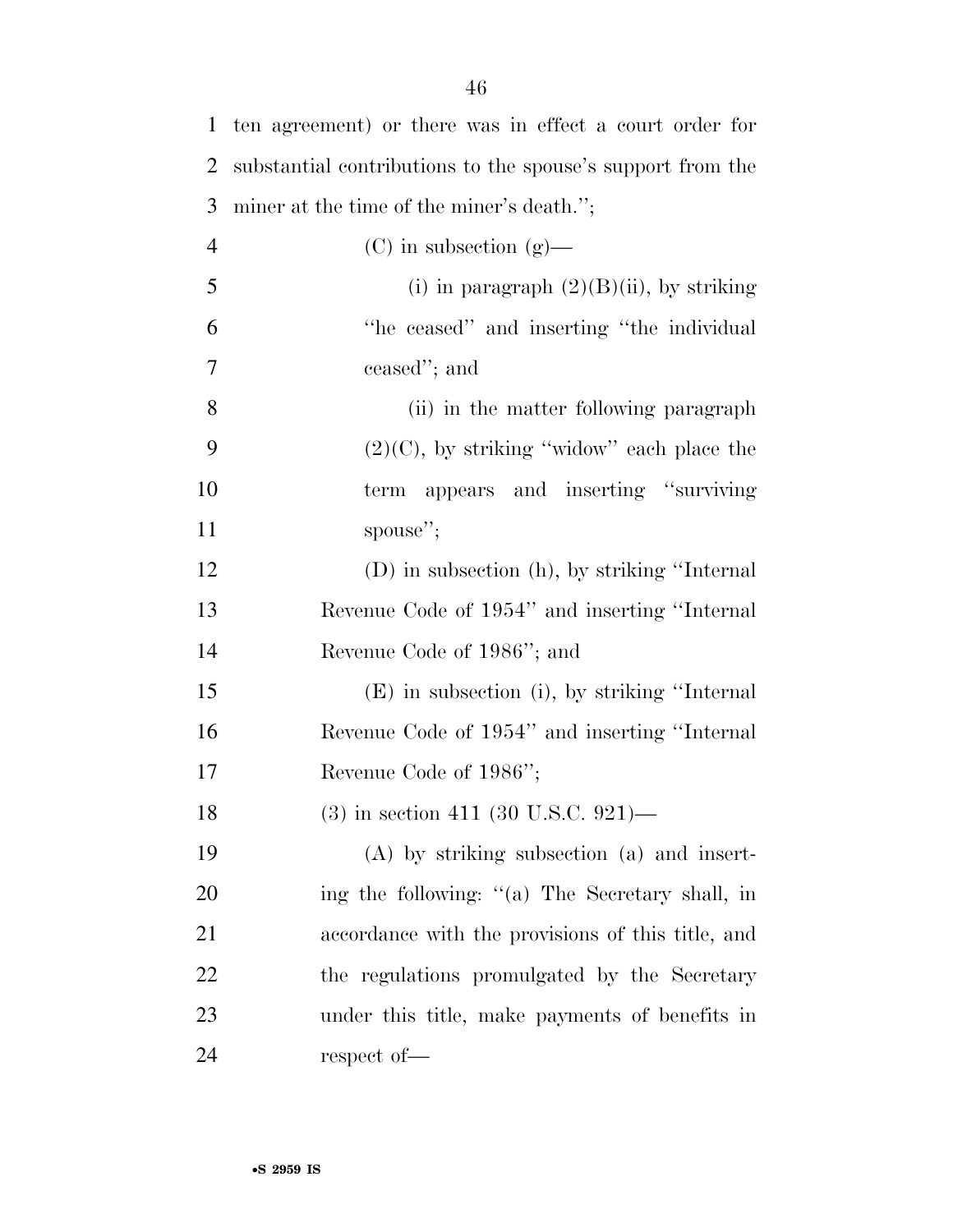| $\mathbf{1}$   | ten agreement) or there was in effect a court order for    |
|----------------|------------------------------------------------------------|
| $\overline{2}$ | substantial contributions to the spouse's support from the |
| 3              | miner at the time of the miner's death.";                  |
| $\overline{4}$ | $(C)$ in subsection $(g)$ —                                |
| 5              | (i) in paragraph $(2)(B)(ii)$ , by striking                |
| 6              | "he ceased" and inserting "the individual"                 |
| 7              | ceased"; and                                               |
| 8              | (ii) in the matter following paragraph                     |
| 9              | $(2)(C)$ , by striking "widow" each place the              |
| 10             | term appears and inserting "surviving"                     |
| 11             | spouse";                                                   |
| 12             | (D) in subsection (h), by striking "Internal"              |
| 13             | Revenue Code of 1954" and inserting "Internal              |
| 14             | Revenue Code of 1986"; and                                 |
| 15             | (E) in subsection (i), by striking "Internal               |
| 16             | Revenue Code of 1954" and inserting "Internal"             |
| 17             | Revenue Code of 1986";                                     |
| 18             | $(3)$ in section 411 (30 U.S.C. 921)—                      |
| 19             | (A) by striking subsection (a) and insert-                 |
| 20             | ing the following: "(a) The Secretary shall, in            |
| 21             | accordance with the provisions of this title, and          |
| 22             | the regulations promulgated by the Secretary               |
| 23             | under this title, make payments of benefits in             |
| 24             | respect of-                                                |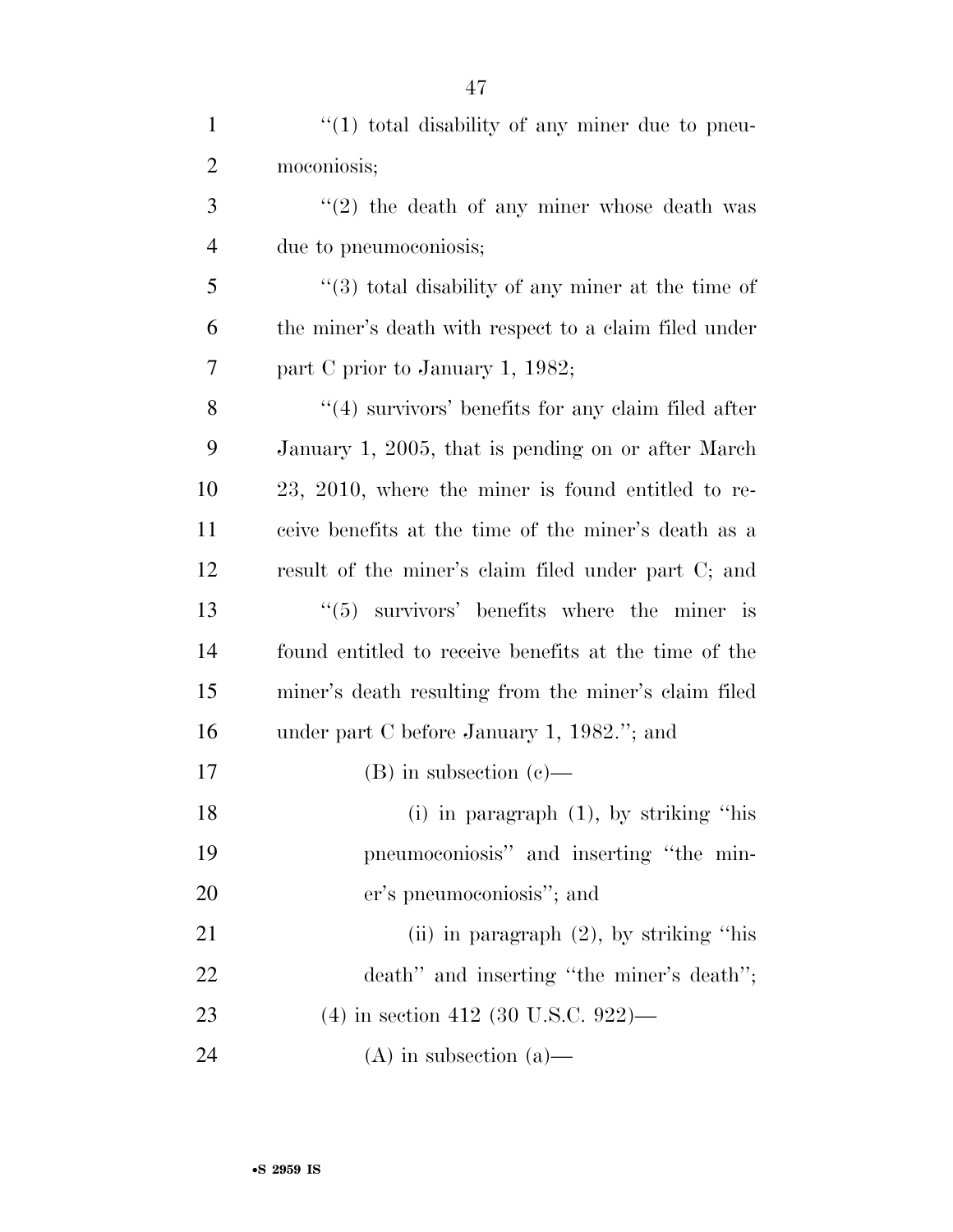| $\mathbf{1}$   | $\lq(1)$ total disability of any miner due to pneu-    |
|----------------|--------------------------------------------------------|
| $\overline{2}$ | moconiosis;                                            |
| 3              | $\lq(2)$ the death of any miner whose death was        |
| $\overline{4}$ | due to pneumoconiosis;                                 |
| 5              | $(3)$ total disability of any miner at the time of     |
| 6              | the miner's death with respect to a claim filed under  |
| 7              | part C prior to January 1, 1982;                       |
| 8              | $\lq(4)$ survivors' benefits for any claim filed after |
| 9              | January 1, 2005, that is pending on or after March     |
| 10             | 23, 2010, where the miner is found entitled to re-     |
| 11             | ceive benefits at the time of the miner's death as a   |
| 12             | result of the miner's claim filed under part C; and    |
| 13             | $(5)$ survivors' benefits where the miner is           |
| 14             | found entitled to receive benefits at the time of the  |
| 15             | miner's death resulting from the miner's claim filed   |
| 16             | under part C before January 1, 1982."; and             |
| 17             | $(B)$ in subsection $(c)$ —                            |
| 18             | (i) in paragraph $(1)$ , by striking "his              |
| 19             | pneumoconiosis" and inserting "the min-                |
| 20             | er's pneumoconiosis"; and                              |
| 21             | (ii) in paragraph $(2)$ , by striking "his             |
| 22             | death" and inserting "the miner's death";              |
| 23             | $(4)$ in section 412 (30 U.S.C. 922)—                  |
| 24             | $(A)$ in subsection $(a)$ —                            |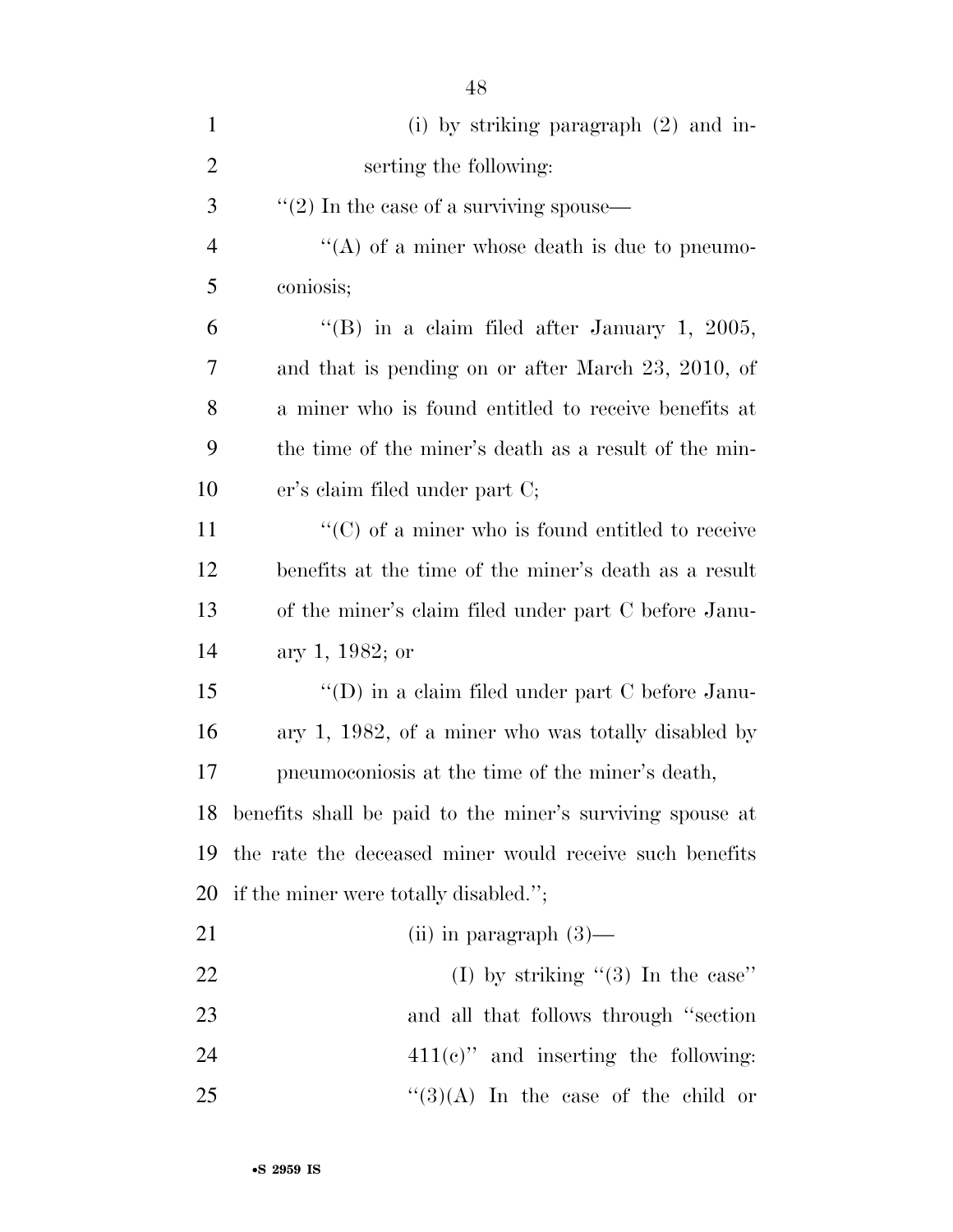| $\mathbf{1}$   | (i) by striking paragraph $(2)$ and in-                      |
|----------------|--------------------------------------------------------------|
| $\overline{2}$ | serting the following:                                       |
| 3              | $\cdot\cdot\cdot(2)$ In the case of a surviving spouse—      |
| $\overline{4}$ | "(A) of a miner whose death is due to pneumo-                |
| 5              | coniosis;                                                    |
| 6              | "(B) in a claim filed after January 1, 2005,                 |
| 7              | and that is pending on or after March 23, 2010, of           |
| 8              | a miner who is found entitled to receive benefits at         |
| 9              | the time of the miner's death as a result of the min-        |
| 10             | er's claim filed under part C;                               |
| 11             | $\cdot\cdot$ (C) of a miner who is found entitled to receive |
| 12             | benefits at the time of the miner's death as a result        |
| 13             | of the miner's claim filed under part C before Janu-         |
| 14             | ary 1, 1982; or                                              |
| 15             | $\lq\lq$ (D) in a claim filed under part C before Janu-      |
| 16             | ary 1, 1982, of a miner who was totally disabled by          |
| 17             | pneumoconiosis at the time of the miner's death,             |
| 18             | benefits shall be paid to the miner's surviving spouse at    |
| 19             | the rate the deceased miner would receive such benefits      |
| 20             | if the miner were totally disabled.";                        |
| 21             | (ii) in paragraph $(3)$ —                                    |
| 22             | (I) by striking " $(3)$ In the case"                         |
| 23             | and all that follows through "section"                       |
| 24             | $411(e)$ " and inserting the following:                      |
| 25             | $\lq(3)(A)$ In the case of the child or                      |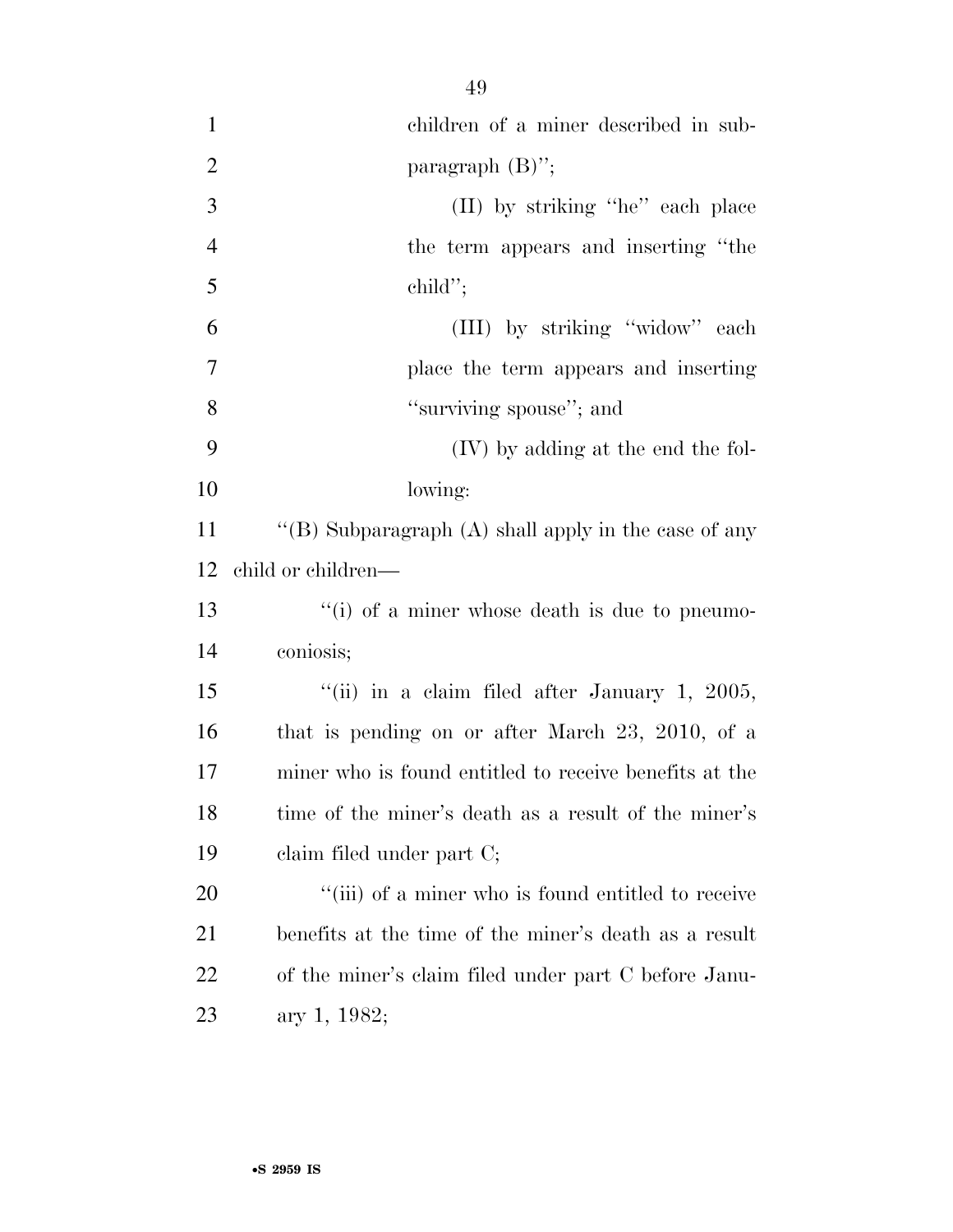| $\mathbf{1}$   | children of a miner described in sub-                  |
|----------------|--------------------------------------------------------|
| $\overline{2}$ | paragraph $(B)$ ";                                     |
| 3              | (II) by striking "he" each place                       |
| $\overline{4}$ | the term appears and inserting "the                    |
| 5              | $\text{child}$ ";                                      |
| 6              | (III) by striking "widow" each                         |
| $\overline{7}$ | place the term appears and inserting                   |
| 8              | "surviving spouse"; and                                |
| 9              | (IV) by adding at the end the fol-                     |
| 10             | lowing:                                                |
| 11             | "(B) Subparagraph $(A)$ shall apply in the case of any |
| 12             | child or children—                                     |
| 13             | "(i) of a miner whose death is due to pneumo-          |
| 14             | coniosis;                                              |
| 15             | "(ii) in a claim filed after January 1, 2005,          |
| 16             | that is pending on or after March $23, 2010,$ of a     |
| 17             | miner who is found entitled to receive benefits at the |
| 18             | time of the miner's death as a result of the miner's   |
| 19             | claim filed under part C;                              |
| 20             | "(iii) of a miner who is found entitled to receive     |
| 21             | benefits at the time of the miner's death as a result  |
| 22             | of the miner's claim filed under part C before Janu-   |
| 23             | ary 1, 1982;                                           |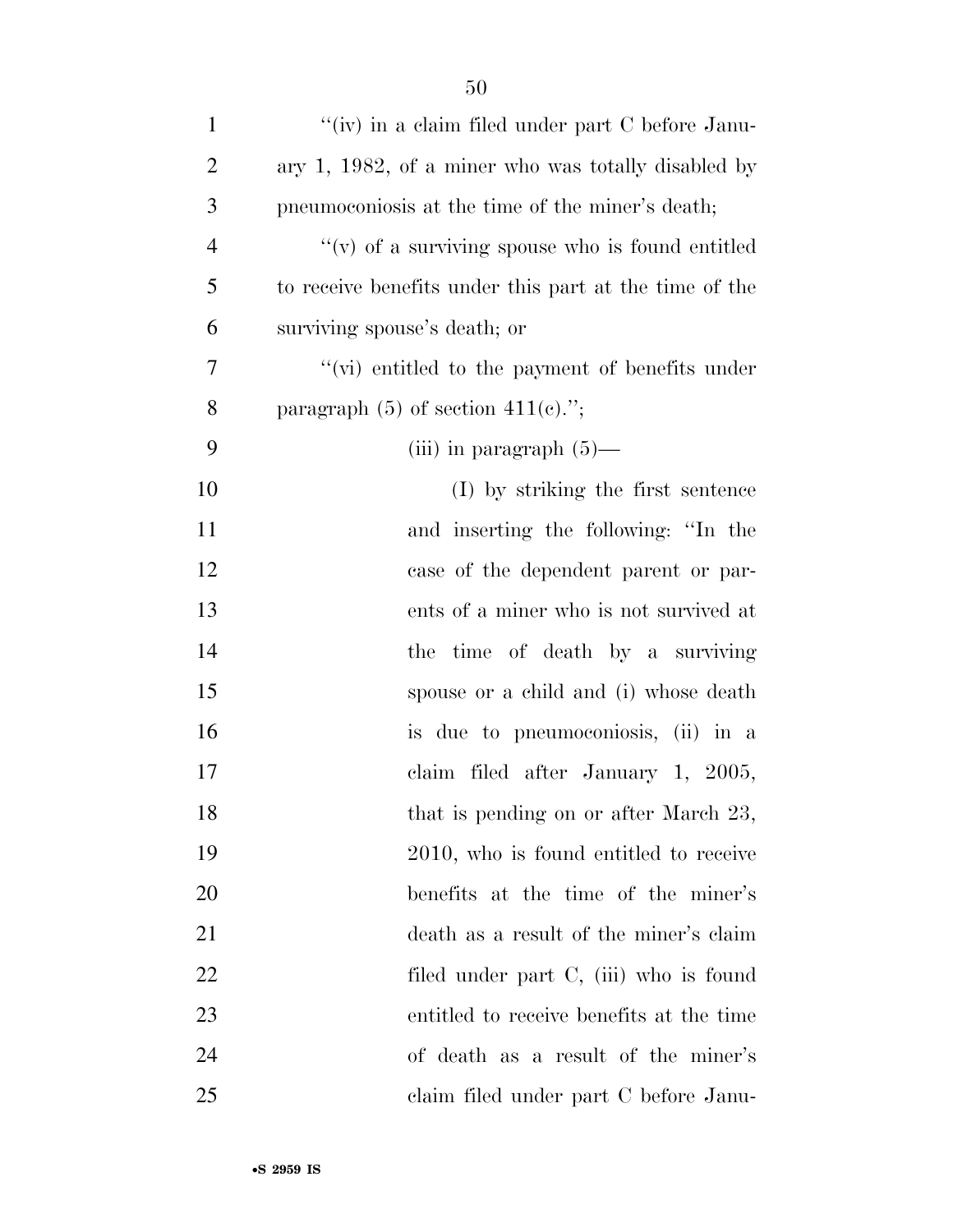| $\mathbf{1}$   | "(iv) in a claim filed under part $C$ before Janu-     |
|----------------|--------------------------------------------------------|
| $\overline{2}$ | ary 1, 1982, of a miner who was totally disabled by    |
| 3              | pneumoconiosis at the time of the miner's death;       |
| $\overline{4}$ | $``(v)$ of a surviving spouse who is found entitled    |
| 5              | to receive benefits under this part at the time of the |
| 6              | surviving spouse's death; or                           |
| 7              | "(vi) entitled to the payment of benefits under        |
| 8              | paragraph $(5)$ of section $411(e)$ .";                |
| 9              | (iii) in paragraph $(5)$ —                             |
| 10             | (I) by striking the first sentence                     |
| 11             | and inserting the following: "In the                   |
| 12             | case of the dependent parent or par-                   |
| 13             | ents of a miner who is not survived at                 |
| 14             | the time of death by a surviving                       |
| 15             | spouse or a child and (i) whose death                  |
| 16             | is due to pneumoconiosis, (ii) in a                    |
| $17\,$         | claim filed after January 1, 2005,                     |
| 18             | that is pending on or after March 23,                  |
| 19             | 2010, who is found entitled to receive                 |
| 20             | benefits at the time of the miner's                    |
| 21             | death as a result of the miner's claim                 |
| 22             | filed under part C, (iii) who is found                 |
| 23             | entitled to receive benefits at the time               |
| 24             | of death as a result of the miner's                    |
| 25             | claim filed under part C before Janu-                  |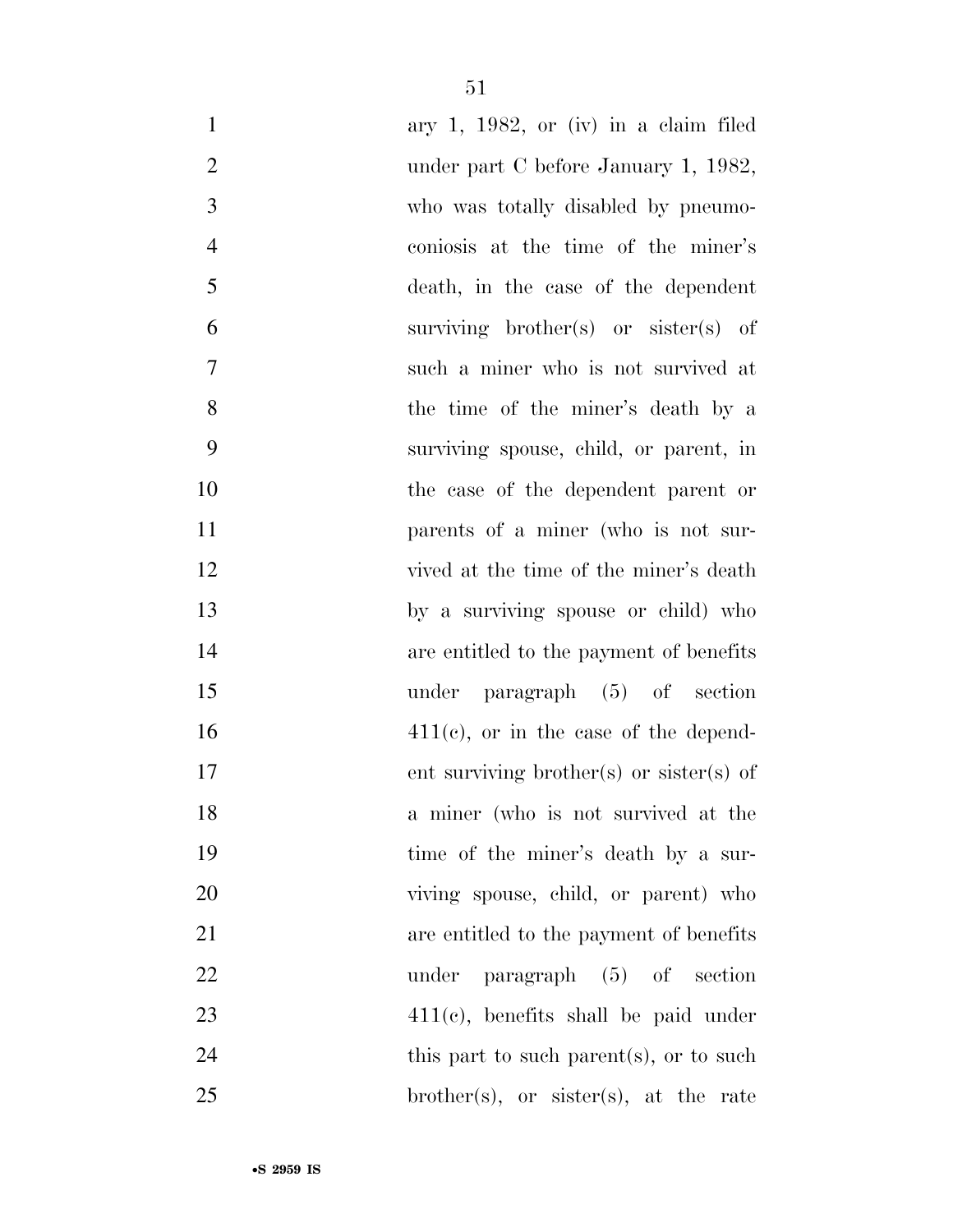| $\mathbf{1}$   | ary 1, 1982, or (iv) in a claim filed        |
|----------------|----------------------------------------------|
| $\mathbf{2}$   | under part C before January 1, 1982,         |
| 3              | who was totally disabled by pneumo-          |
| $\overline{4}$ | coniosis at the time of the miner's          |
| 5              | death, in the case of the dependent          |
| 6              | surviving brother(s) or sister(s) of         |
| $\tau$         | such a miner who is not survived at          |
| 8              | the time of the miner's death by a           |
| 9              | surviving spouse, child, or parent, in       |
| 10             | the case of the dependent parent or          |
| 11             | parents of a miner (who is not sur-          |
| 12             | vived at the time of the miner's death       |
| 13             | by a surviving spouse or child) who          |
| 14             | are entitled to the payment of benefits      |
| 15             | under paragraph $(5)$ of section             |
| 16             | $411(c)$ , or in the case of the depend-     |
| 17             | ent surviving brother(s) or sister(s) of     |
| 18             | a miner (who is not survived at the          |
| 19             | time of the miner's death by a sur-          |
| 20             | viving spouse, child, or parent) who         |
| 21             | are entitled to the payment of benefits      |
| 22             | $\alpha$ paragraph $(5)$ of section<br>under |
| 23             | $411(c)$ , benefits shall be paid under      |
| 24             | this part to such parent(s), or to such      |
| 25             | brother(s), or sister(s), at the rate        |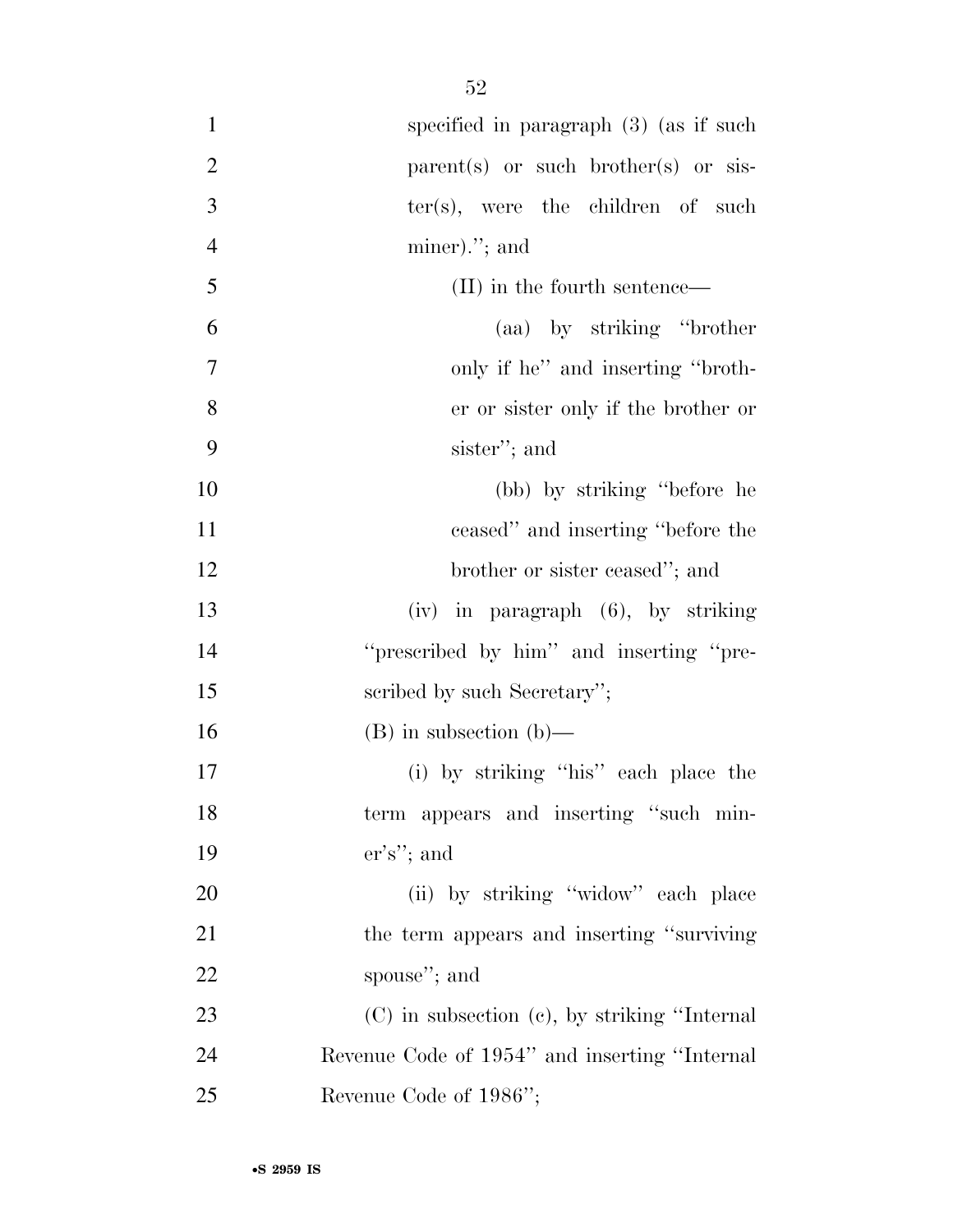| $\mathbf{1}$   | specified in paragraph $(3)$ (as if such           |
|----------------|----------------------------------------------------|
| $\overline{2}$ | parent(s) or such brother(s) or sis-               |
| 3              | $ter(s)$ , were the children of such               |
| $\overline{4}$ | $miner$ ."; and                                    |
| 5              | (II) in the fourth sentence—                       |
| 6              | (aa) by striking "brother"                         |
| 7              | only if he" and inserting "broth-                  |
| 8              | er or sister only if the brother or                |
| 9              | sister"; and                                       |
| 10             | (bb) by striking "before he                        |
| 11             | ceased" and inserting "before the                  |
| 12             | brother or sister ceased"; and                     |
| 13             | (iv) in paragraph (6), by striking                 |
| 14             | "prescribed by him" and inserting "pre-            |
| 15             | scribed by such Secretary";                        |
| 16             | $(B)$ in subsection $(b)$ —                        |
| 17             | (i) by striking "his" each place the               |
| 18             | term appears and inserting "such min-              |
| 19             | $er's$ "; and                                      |
| 20             | (ii) by striking "widow" each place                |
| 21             | the term appears and inserting "surviving"         |
| 22             | spouse"; and                                       |
| 23             | $(C)$ in subsection $(e)$ , by striking "Internal" |
| 24             | Revenue Code of 1954" and inserting "Internal"     |
| 25             | Revenue Code of 1986";                             |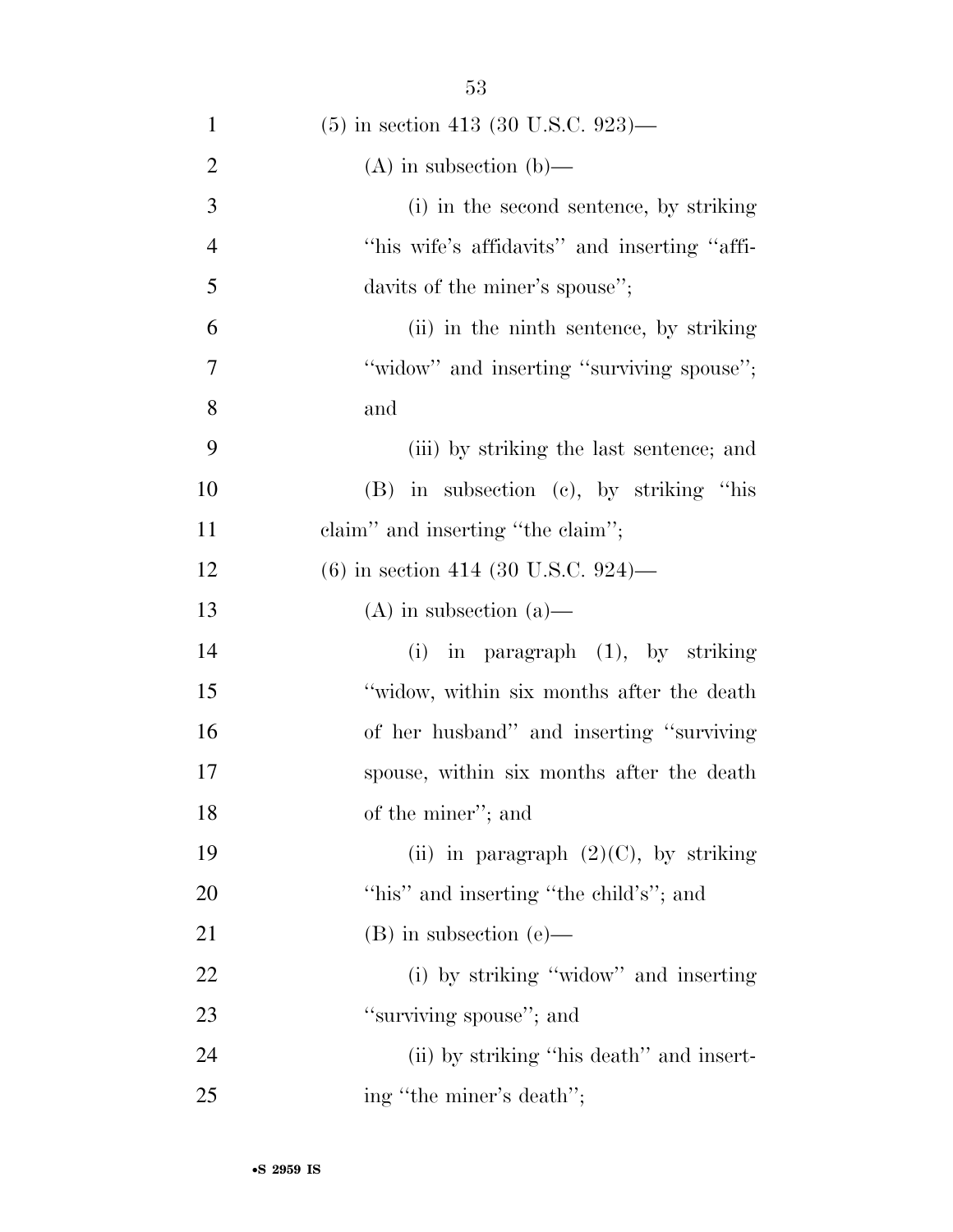| $\mathbf{1}$   | $(5)$ in section 413 (30 U.S.C. 923)—        |
|----------------|----------------------------------------------|
| $\overline{2}$ | $(A)$ in subsection $(b)$ —                  |
| 3              | (i) in the second sentence, by striking      |
| $\overline{4}$ | "his wife's affidavits" and inserting "affi- |
| 5              | davits of the miner's spouse";               |
| 6              | (ii) in the ninth sentence, by striking      |
| 7              | "widow" and inserting "surviving spouse";    |
| 8              | and                                          |
| 9              | (iii) by striking the last sentence; and     |
| 10             | $(B)$ in subsection $(c)$ , by striking "his |
| 11             | claim" and inserting "the claim";            |
| 12             | $(6)$ in section 414 (30 U.S.C. 924)—        |
| 13             | $(A)$ in subsection $(a)$ —                  |
| 14             | $(i)$ in paragraph $(1)$ , by striking       |
| 15             | "widow, within six months after the death"   |
| 16             | of her husband" and inserting "surviving"    |
| 17             | spouse, within six months after the death    |
| 18             | of the miner"; and                           |
| 19             | (ii) in paragraph $(2)(C)$ , by striking     |
| 20             | "his" and inserting "the child's"; and       |
| 21             | $(B)$ in subsection $(e)$ —                  |
| 22             | (i) by striking "widow" and inserting        |
| 23             | "surviving spouse"; and                      |
| 24             | (ii) by striking "his death" and insert-     |
| 25             | ing "the miner's death";                     |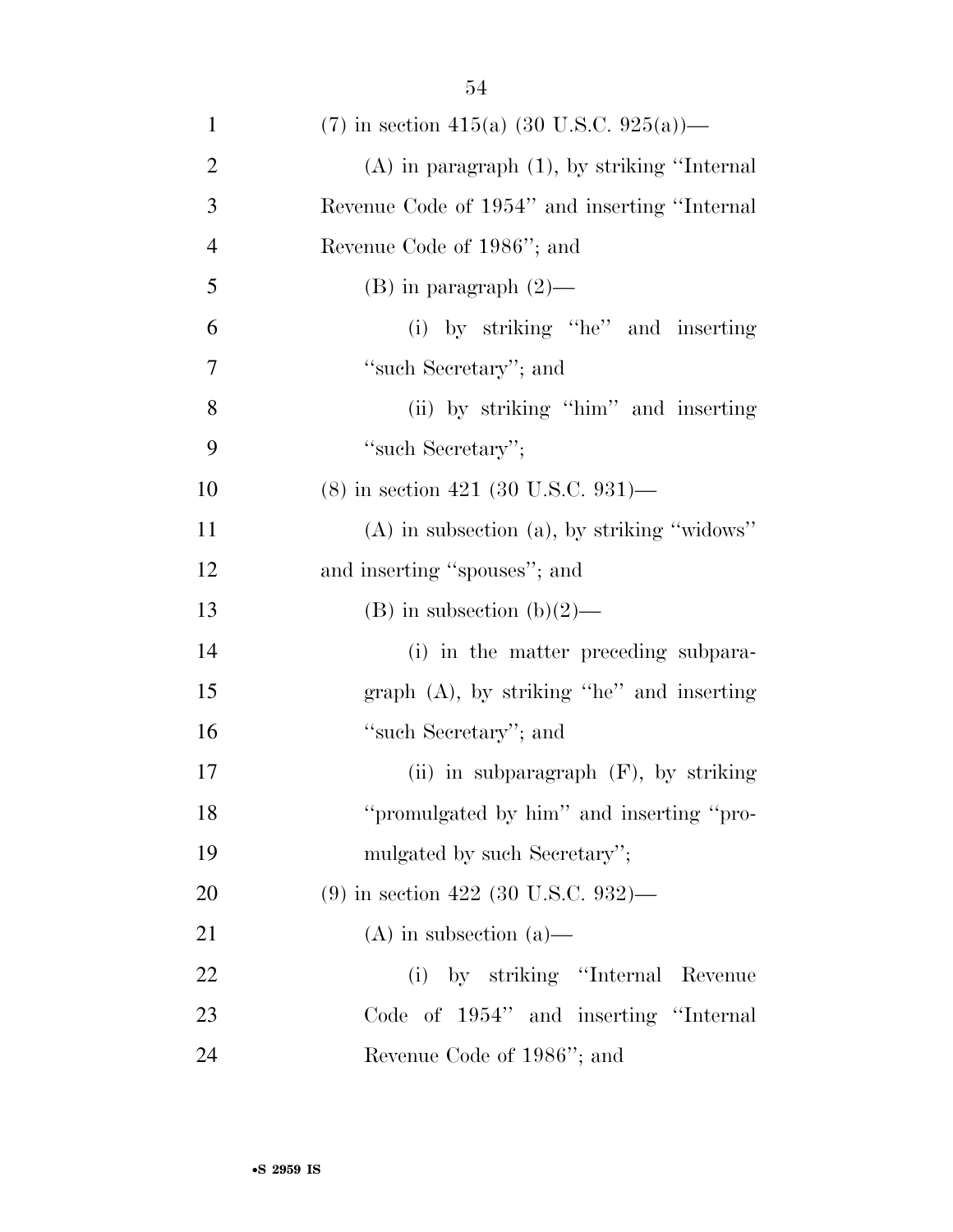| $\mathbf{1}$   | (7) in section 415(a) (30 U.S.C. 925(a))—         |
|----------------|---------------------------------------------------|
| $\overline{c}$ | $(A)$ in paragraph $(1)$ , by striking "Internal" |
| 3              | Revenue Code of 1954" and inserting "Internal     |
| $\overline{4}$ | Revenue Code of 1986"; and                        |
| 5              | $(B)$ in paragraph $(2)$ —                        |
| 6              | (i) by striking "he" and inserting                |
| 7              | "such Secretary"; and                             |
| 8              | (ii) by striking "him" and inserting              |
| 9              | "such Secretary";                                 |
| 10             | $(8)$ in section 421 (30 U.S.C. 931)—             |
| 11             | $(A)$ in subsection $(a)$ , by striking "widows"  |
| 12             | and inserting "spouses"; and                      |
| 13             | (B) in subsection (b)(2)—                         |
| 14             | (i) in the matter preceding subpara-              |
| 15             | graph $(A)$ , by striking "he" and inserting      |
| 16             | "such Secretary"; and                             |
| 17             | (ii) in subparagraph (F), by striking             |
| 18             | "promulgated by him" and inserting "pro-          |
| 19             | mulgated by such Secretary";                      |
| <b>20</b>      | $(9)$ in section 422 (30 U.S.C. 932)—             |
| 21             | $(A)$ in subsection $(a)$ —                       |
| 22             | (i) by striking "Internal Revenue                 |
| 23             | Code of 1954" and inserting "Internal             |
| 24             | Revenue Code of 1986"; and                        |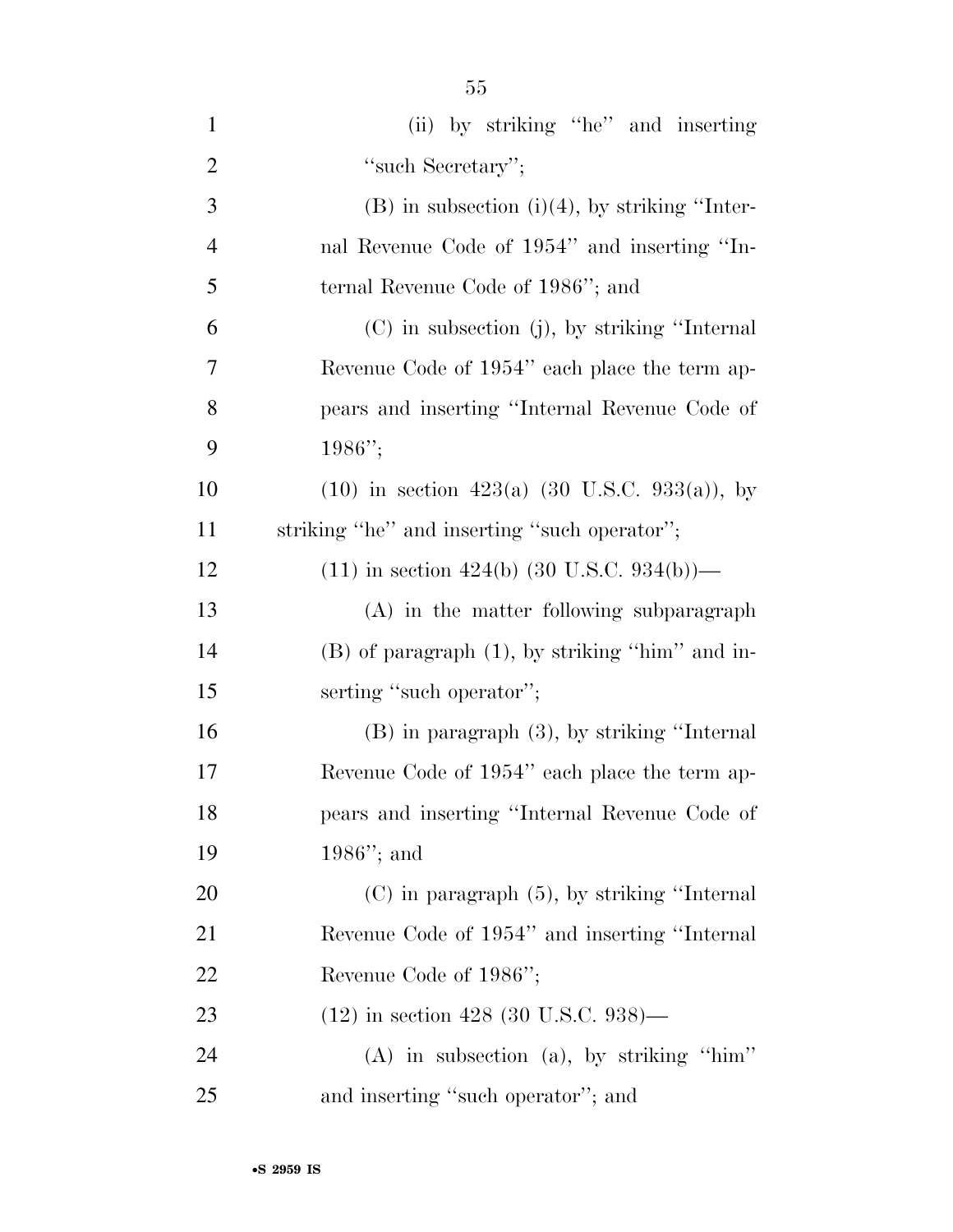| $\mathbf{1}$   | (ii) by striking "he" and inserting                  |
|----------------|------------------------------------------------------|
| $\overline{2}$ | "such Secretary";                                    |
| 3              | $(B)$ in subsection $(i)(4)$ , by striking "Inter-   |
| $\overline{4}$ | nal Revenue Code of 1954" and inserting "In-         |
| 5              | ternal Revenue Code of 1986"; and                    |
| 6              | (C) in subsection (j), by striking "Internal         |
| 7              | Revenue Code of 1954" each place the term ap-        |
| 8              | pears and inserting "Internal Revenue Code of        |
| 9              | $1986"$ ;                                            |
| 10             | $(10)$ in section 423(a) (30 U.S.C. 933(a)), by      |
| 11             | striking "he" and inserting "such operator";         |
| 12             | $(11)$ in section 424(b) (30 U.S.C. 934(b))—         |
| 13             | (A) in the matter following subparagraph             |
| 14             | $(B)$ of paragraph $(1)$ , by striking "him" and in- |
| 15             | serting "such operator";                             |
| 16             | $(B)$ in paragraph $(3)$ , by striking "Internal     |
| 17             | Revenue Code of 1954" each place the term ap-        |
| 18             | pears and inserting "Internal Revenue Code of        |
| 19             | $1986$ "; and                                        |
| 20             | $(C)$ in paragraph $(5)$ , by striking "Internal"    |
| 21             | Revenue Code of 1954" and inserting "Internal        |
| 22             | Revenue Code of 1986";                               |
| 23             | $(12)$ in section 428 (30 U.S.C. 938)—               |
| 24             | $(A)$ in subsection $(a)$ , by striking "him"        |
| 25             | and inserting "such operator"; and                   |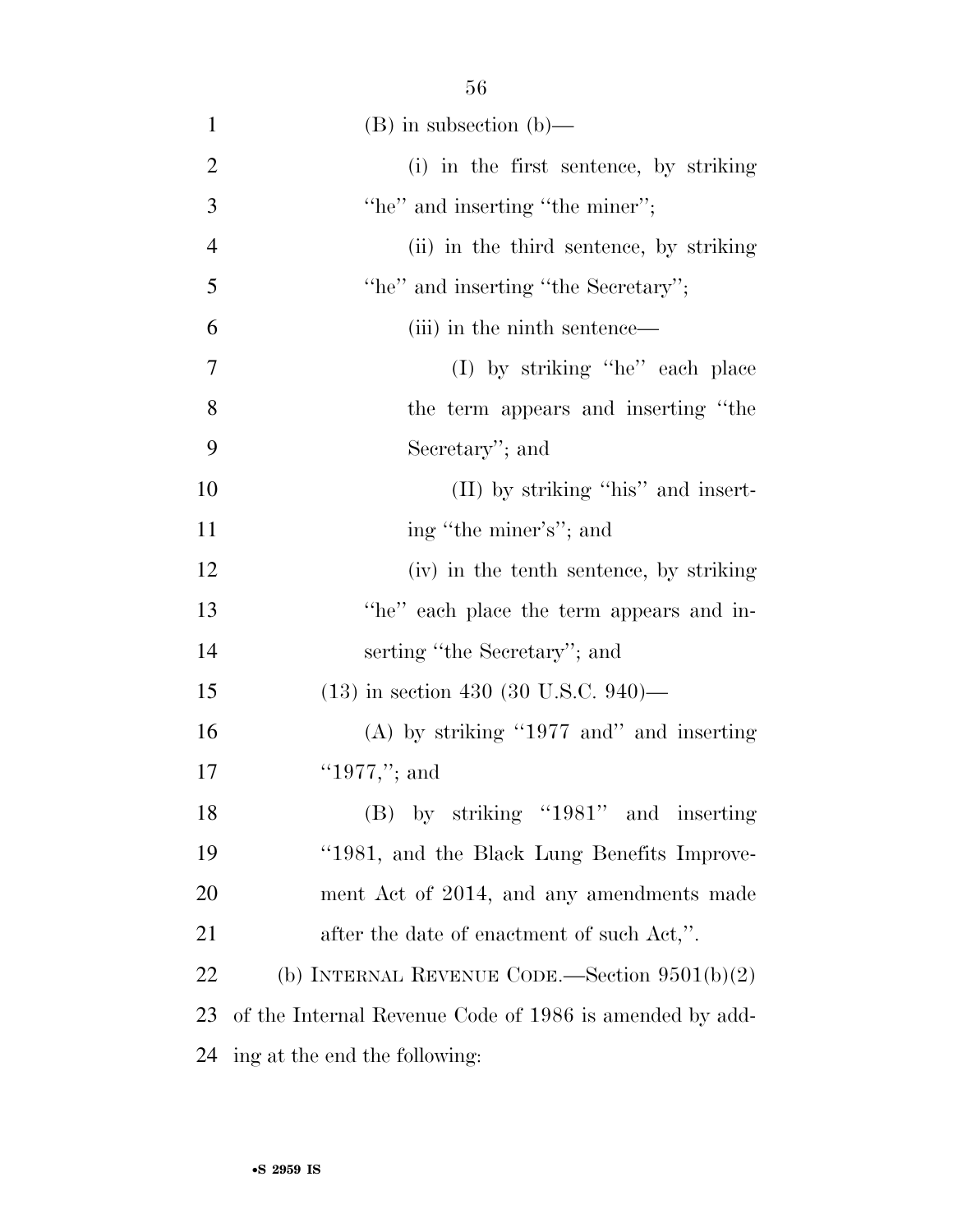| $\mathbf{1}$   | $(B)$ in subsection $(b)$ —                             |
|----------------|---------------------------------------------------------|
| $\overline{2}$ | (i) in the first sentence, by striking                  |
| 3              | "he" and inserting "the miner";                         |
| $\overline{4}$ | (ii) in the third sentence, by striking                 |
| 5              | "he" and inserting "the Secretary";                     |
| 6              | (iii) in the ninth sentence—                            |
| 7              | (I) by striking "he" each place                         |
| 8              | the term appears and inserting "the                     |
| 9              | Secretary"; and                                         |
| 10             | (II) by striking "his" and insert-                      |
| 11             | ing "the miner's"; and                                  |
| 12             | (iv) in the tenth sentence, by striking                 |
| 13             | "he" each place the term appears and in-                |
| 14             | serting "the Secretary"; and                            |
| 15             | $(13)$ in section 430 (30 U.S.C. 940)—                  |
| 16             | (A) by striking "1977 and" and inserting                |
| 17             | "1977,"; and                                            |
| 18             | $(B)$ by striking "1981" and inserting                  |
| 19             | "1981, and the Black Lung Benefits Improve-             |
| 20             | ment Act of 2014, and any amendments made               |
| 21             | after the date of enactment of such Act,".              |
| 22             | (b) INTERNAL REVENUE CODE.—Section $9501(b)(2)$         |
| 23             | of the Internal Revenue Code of 1986 is amended by add- |
| 24             | ing at the end the following:                           |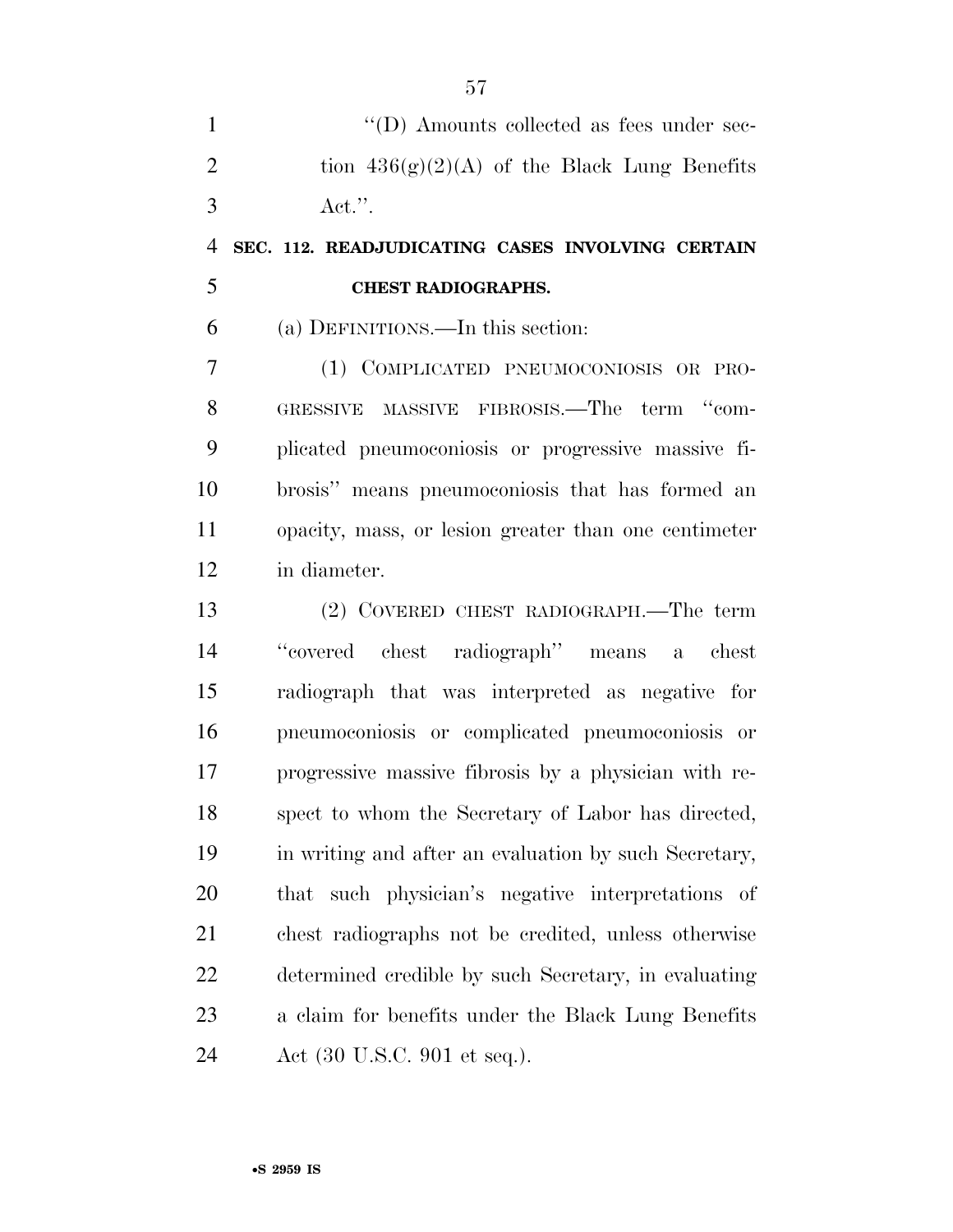1  $\langle (D) \rangle$  Amounts collected as fees under sec-2 tion  $436(g)(2)(A)$  of the Black Lung Benefits Act.''.

### **SEC. 112. READJUDICATING CASES INVOLVING CERTAIN CHEST RADIOGRAPHS.**

(a) DEFINITIONS.—In this section:

 (1) COMPLICATED PNEUMOCONIOSIS OR PRO- GRESSIVE MASSIVE FIBROSIS.—The term ''com- plicated pneumoconiosis or progressive massive fi- brosis'' means pneumoconiosis that has formed an opacity, mass, or lesion greater than one centimeter in diameter.

 (2) COVERED CHEST RADIOGRAPH.—The term ''covered chest radiograph'' means a chest radiograph that was interpreted as negative for pneumoconiosis or complicated pneumoconiosis or progressive massive fibrosis by a physician with re- spect to whom the Secretary of Labor has directed, in writing and after an evaluation by such Secretary, that such physician's negative interpretations of chest radiographs not be credited, unless otherwise determined credible by such Secretary, in evaluating a claim for benefits under the Black Lung Benefits Act (30 U.S.C. 901 et seq.).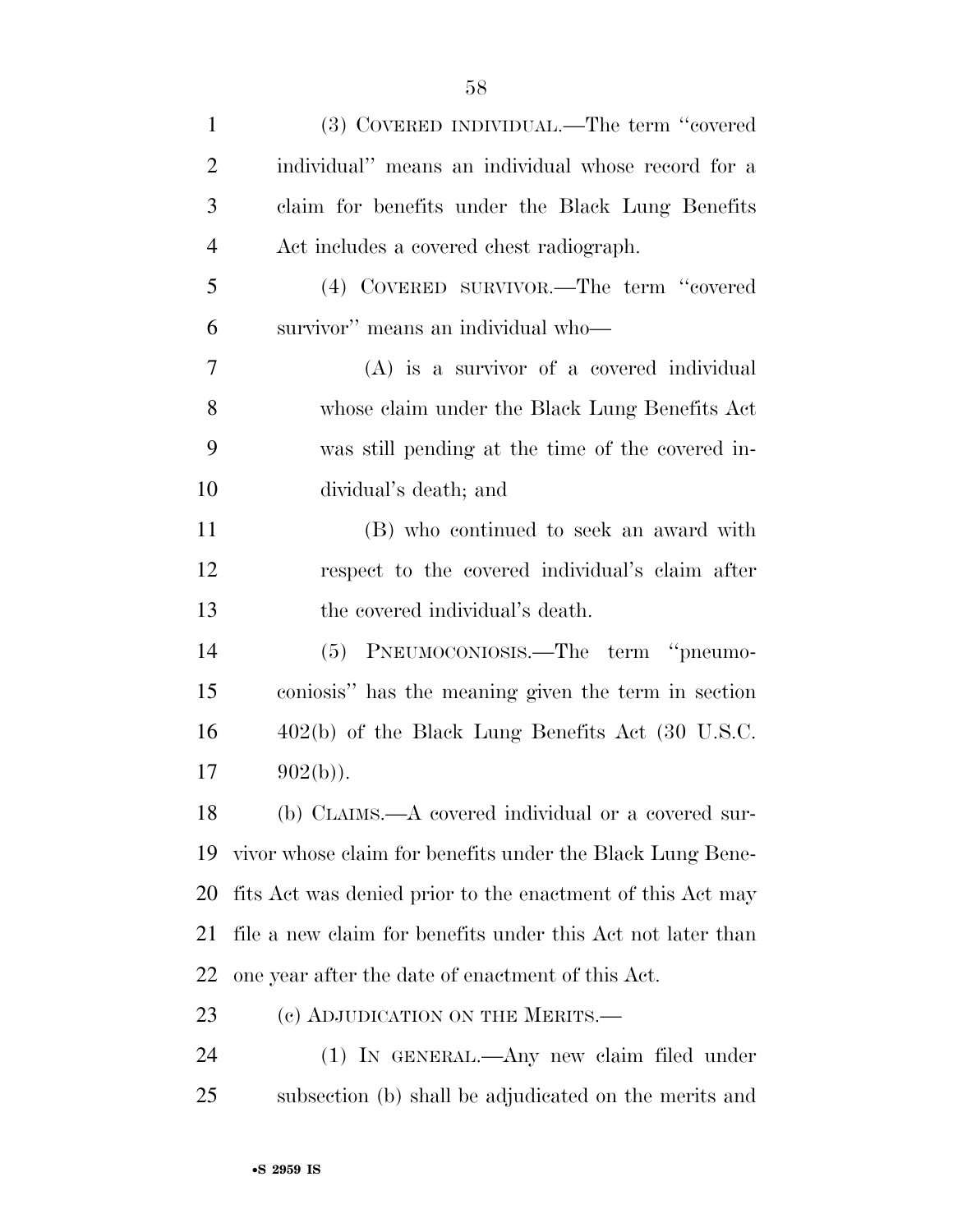| $\mathbf{1}$ | (3) COVERED INDIVIDUAL.—The term "covered                   |
|--------------|-------------------------------------------------------------|
| 2            | individual" means an individual whose record for a          |
| 3            | claim for benefits under the Black Lung Benefits            |
| 4            | Act includes a covered chest radiograph.                    |
| 5            | (4) COVERED SURVIVOR.—The term "covered                     |
| 6            | survivor" means an individual who-                          |
| 7            | $(A)$ is a survivor of a covered individual                 |
| 8            | whose claim under the Black Lung Benefits Act               |
| 9            | was still pending at the time of the covered in-            |
| 10           | dividual's death; and                                       |
| 11           | (B) who continued to seek an award with                     |
| 12           | respect to the covered individual's claim after             |
| 13           | the covered individual's death.                             |
| 14           | (5) PNEUMOCONIOSIS.—The term "pneumo-                       |
| 15           | coniosis" has the meaning given the term in section         |
| 16           | $402(b)$ of the Black Lung Benefits Act (30 U.S.C.          |
| 17           | $902(b)$ ).                                                 |
| 18           | (b) CLAIMS.—A covered individual or a covered sur-          |
| 19           | vivor whose claim for benefits under the Black Lung Bene-   |
| 20           | fits Act was denied prior to the enactment of this Act may  |
| 21           | file a new claim for benefits under this Act not later than |
| 22           | one year after the date of enactment of this Act.           |
| 23           | (c) ADJUDICATION ON THE MERITS.—                            |
| 24           | (1) IN GENERAL.—Any new claim filed under                   |
| 25           | subsection (b) shall be adjudicated on the merits and       |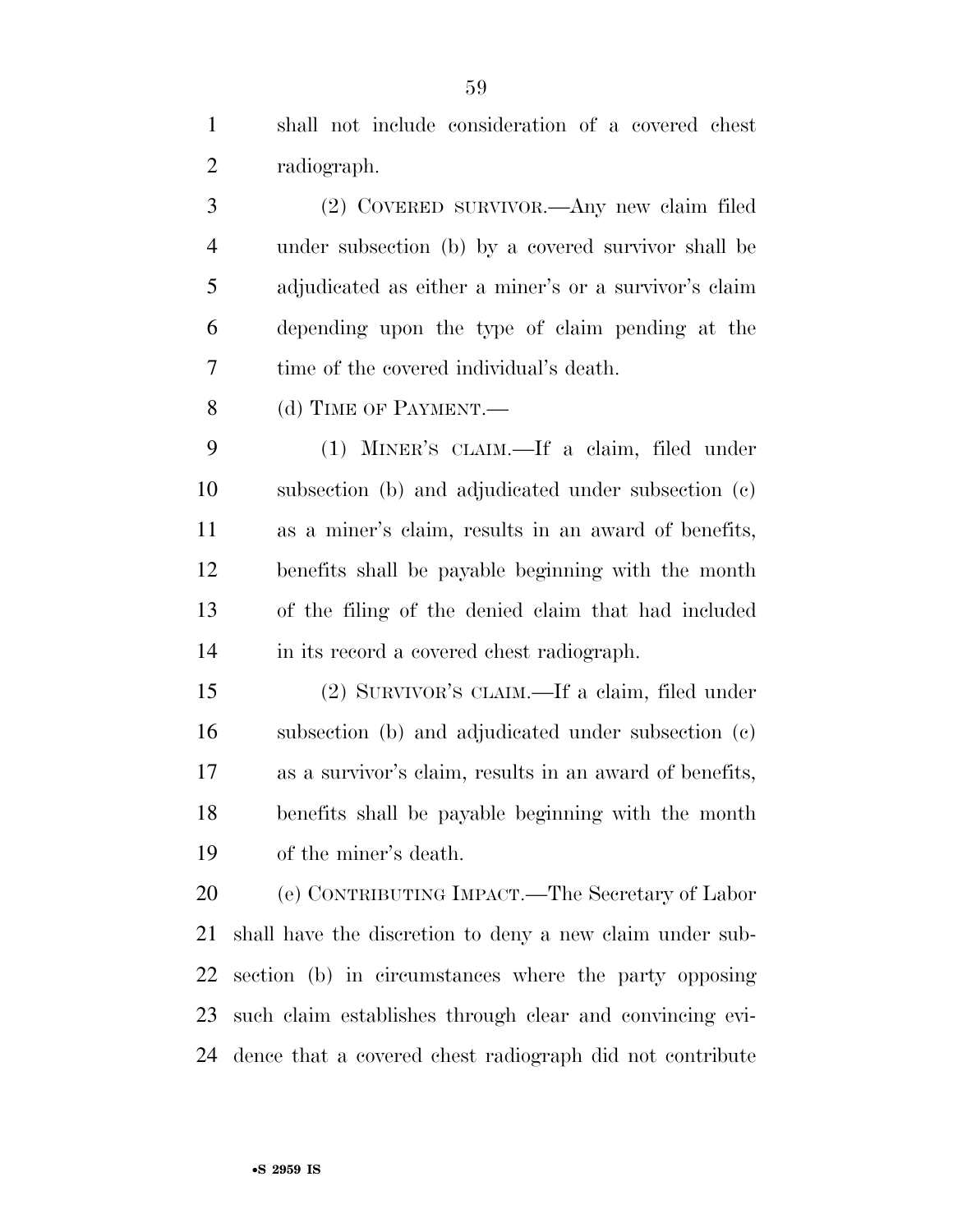shall not include consideration of a covered chest radiograph.

 (2) COVERED SURVIVOR.—Any new claim filed under subsection (b) by a covered survivor shall be adjudicated as either a miner's or a survivor's claim depending upon the type of claim pending at the time of the covered individual's death.

8 (d) TIME OF PAYMENT.

 (1) MINER'S CLAIM.—If a claim, filed under subsection (b) and adjudicated under subsection (c) as a miner's claim, results in an award of benefits, benefits shall be payable beginning with the month of the filing of the denied claim that had included in its record a covered chest radiograph.

 (2) SURVIVOR'S CLAIM.—If a claim, filed under subsection (b) and adjudicated under subsection (c) as a survivor's claim, results in an award of benefits, benefits shall be payable beginning with the month of the miner's death.

 (e) CONTRIBUTING IMPACT.—The Secretary of Labor shall have the discretion to deny a new claim under sub- section (b) in circumstances where the party opposing such claim establishes through clear and convincing evi-dence that a covered chest radiograph did not contribute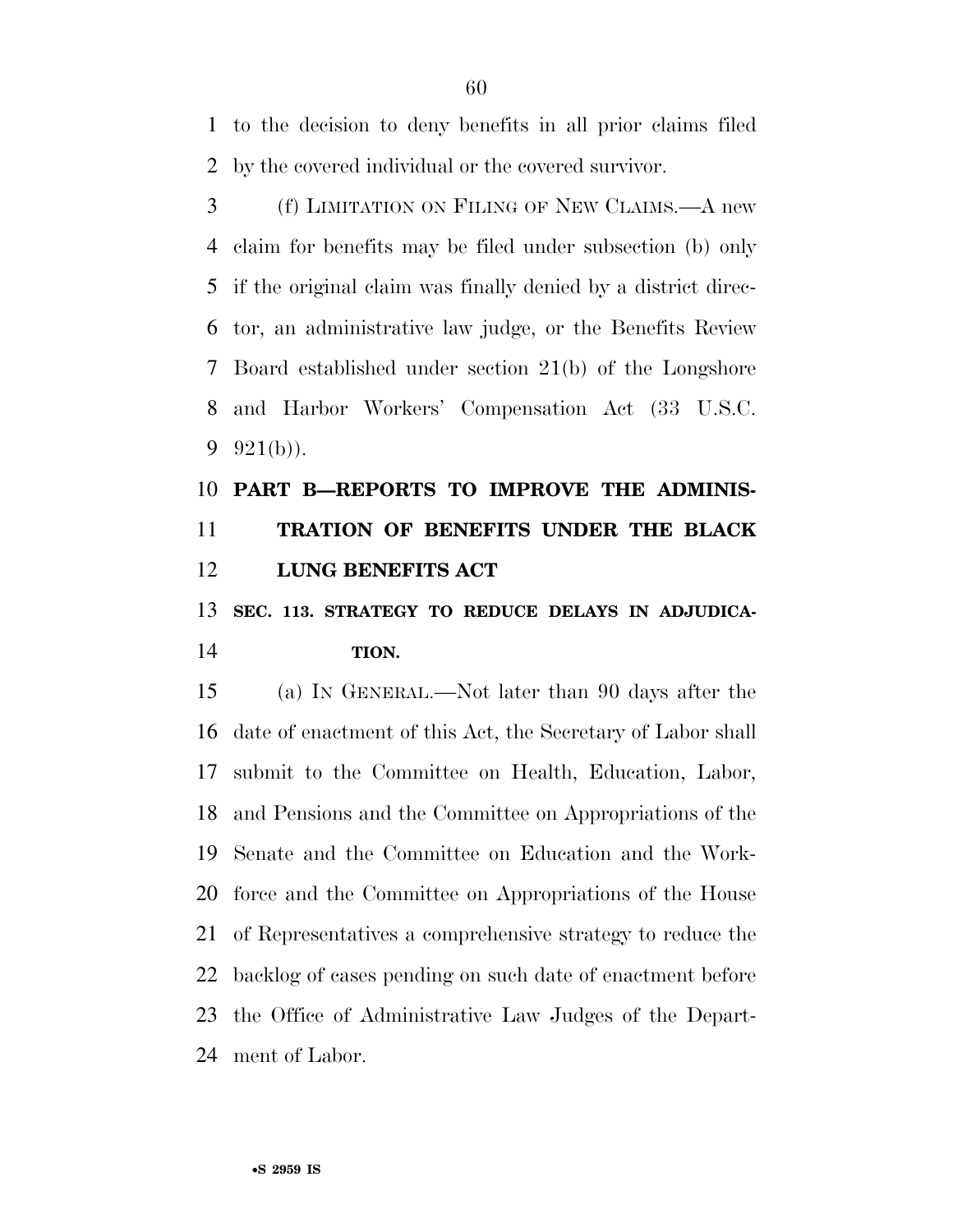to the decision to deny benefits in all prior claims filed by the covered individual or the covered survivor.

 (f) LIMITATION ON FILING OF NEW CLAIMS.—A new claim for benefits may be filed under subsection (b) only if the original claim was finally denied by a district direc- tor, an administrative law judge, or the Benefits Review Board established under section 21(b) of the Longshore and Harbor Workers' Compensation Act (33 U.S.C. 9  $921(b)$ ).

## **PART B—REPORTS TO IMPROVE THE ADMINIS- TRATION OF BENEFITS UNDER THE BLACK LUNG BENEFITS ACT**

### **SEC. 113. STRATEGY TO REDUCE DELAYS IN ADJUDICA-TION.**

 (a) IN GENERAL.—Not later than 90 days after the date of enactment of this Act, the Secretary of Labor shall submit to the Committee on Health, Education, Labor, and Pensions and the Committee on Appropriations of the Senate and the Committee on Education and the Work- force and the Committee on Appropriations of the House of Representatives a comprehensive strategy to reduce the backlog of cases pending on such date of enactment before the Office of Administrative Law Judges of the Depart-ment of Labor.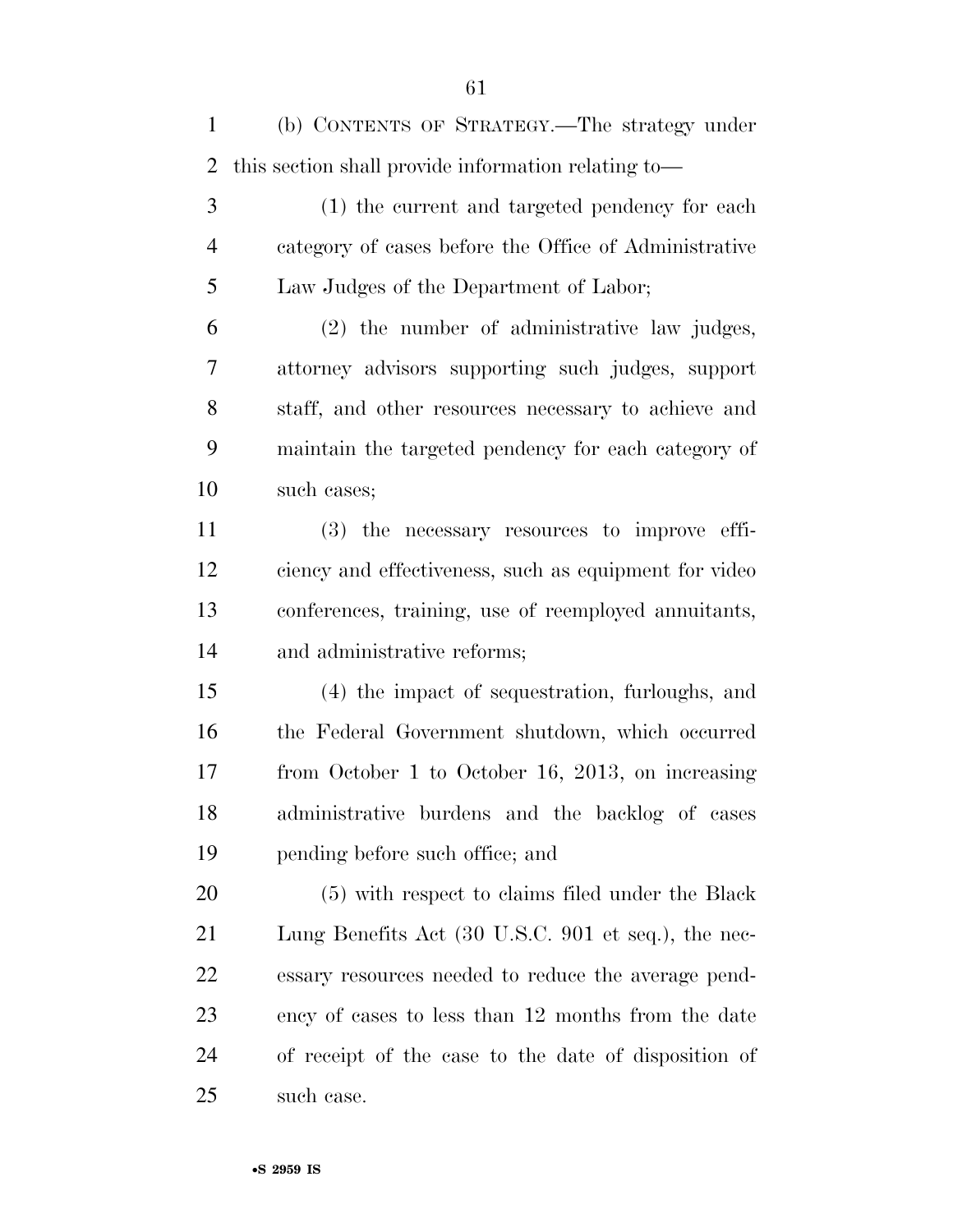(b) CONTENTS OF STRATEGY.—The strategy under this section shall provide information relating to—

 (1) the current and targeted pendency for each category of cases before the Office of Administrative Law Judges of the Department of Labor;

 (2) the number of administrative law judges, attorney advisors supporting such judges, support staff, and other resources necessary to achieve and maintain the targeted pendency for each category of such cases;

 (3) the necessary resources to improve effi- ciency and effectiveness, such as equipment for video conferences, training, use of reemployed annuitants, and administrative reforms;

 (4) the impact of sequestration, furloughs, and the Federal Government shutdown, which occurred from October 1 to October 16, 2013, on increasing administrative burdens and the backlog of cases pending before such office; and

 (5) with respect to claims filed under the Black Lung Benefits Act (30 U.S.C. 901 et seq.), the nec- essary resources needed to reduce the average pend- ency of cases to less than 12 months from the date of receipt of the case to the date of disposition of such case.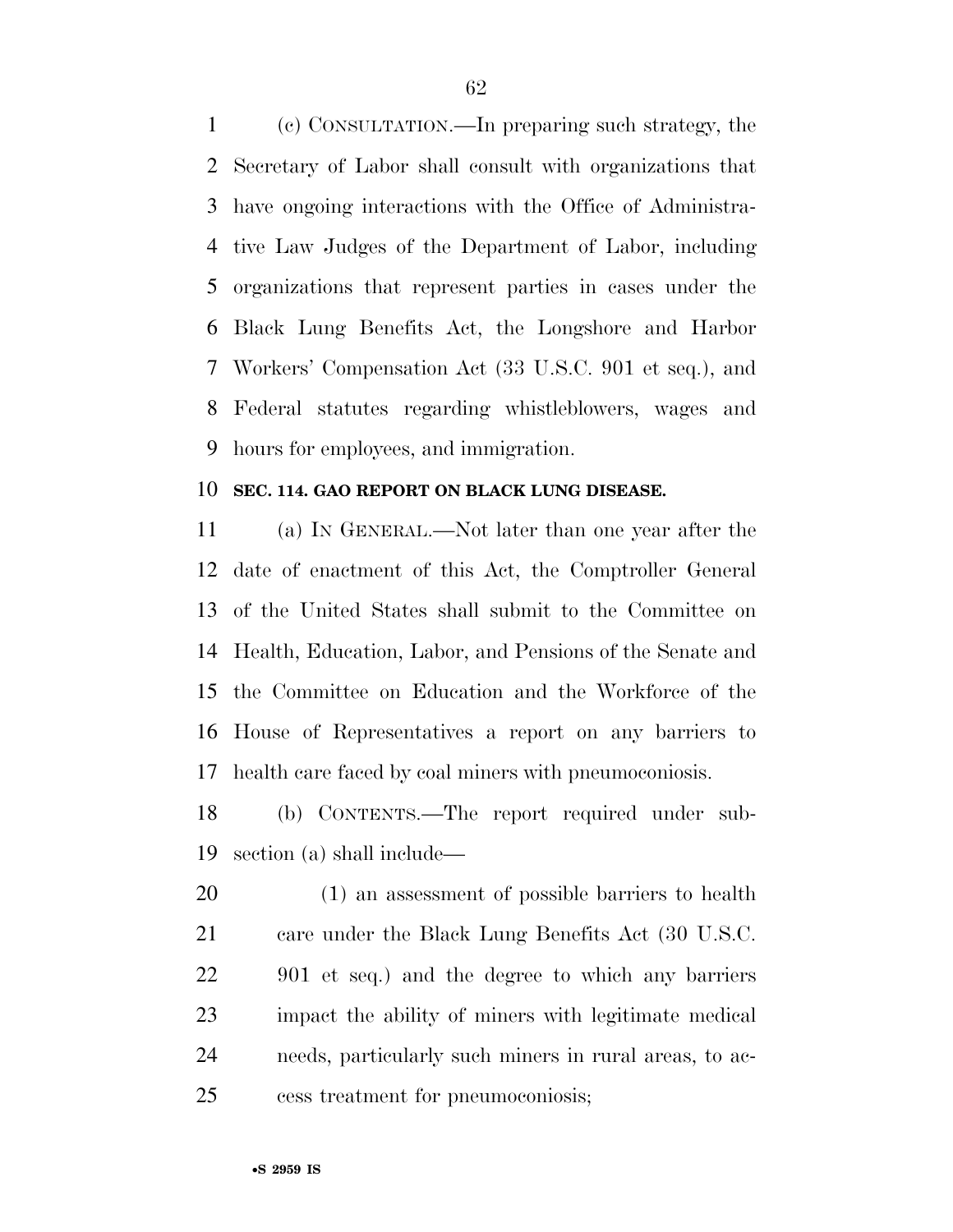(c) CONSULTATION.—In preparing such strategy, the Secretary of Labor shall consult with organizations that have ongoing interactions with the Office of Administra- tive Law Judges of the Department of Labor, including organizations that represent parties in cases under the Black Lung Benefits Act, the Longshore and Harbor Workers' Compensation Act (33 U.S.C. 901 et seq.), and Federal statutes regarding whistleblowers, wages and hours for employees, and immigration.

### **SEC. 114. GAO REPORT ON BLACK LUNG DISEASE.**

 (a) IN GENERAL.—Not later than one year after the date of enactment of this Act, the Comptroller General of the United States shall submit to the Committee on Health, Education, Labor, and Pensions of the Senate and the Committee on Education and the Workforce of the House of Representatives a report on any barriers to health care faced by coal miners with pneumoconiosis.

 (b) CONTENTS.—The report required under sub-section (a) shall include—

 (1) an assessment of possible barriers to health care under the Black Lung Benefits Act (30 U.S.C. 901 et seq.) and the degree to which any barriers impact the ability of miners with legitimate medical needs, particularly such miners in rural areas, to ac-cess treatment for pneumoconiosis;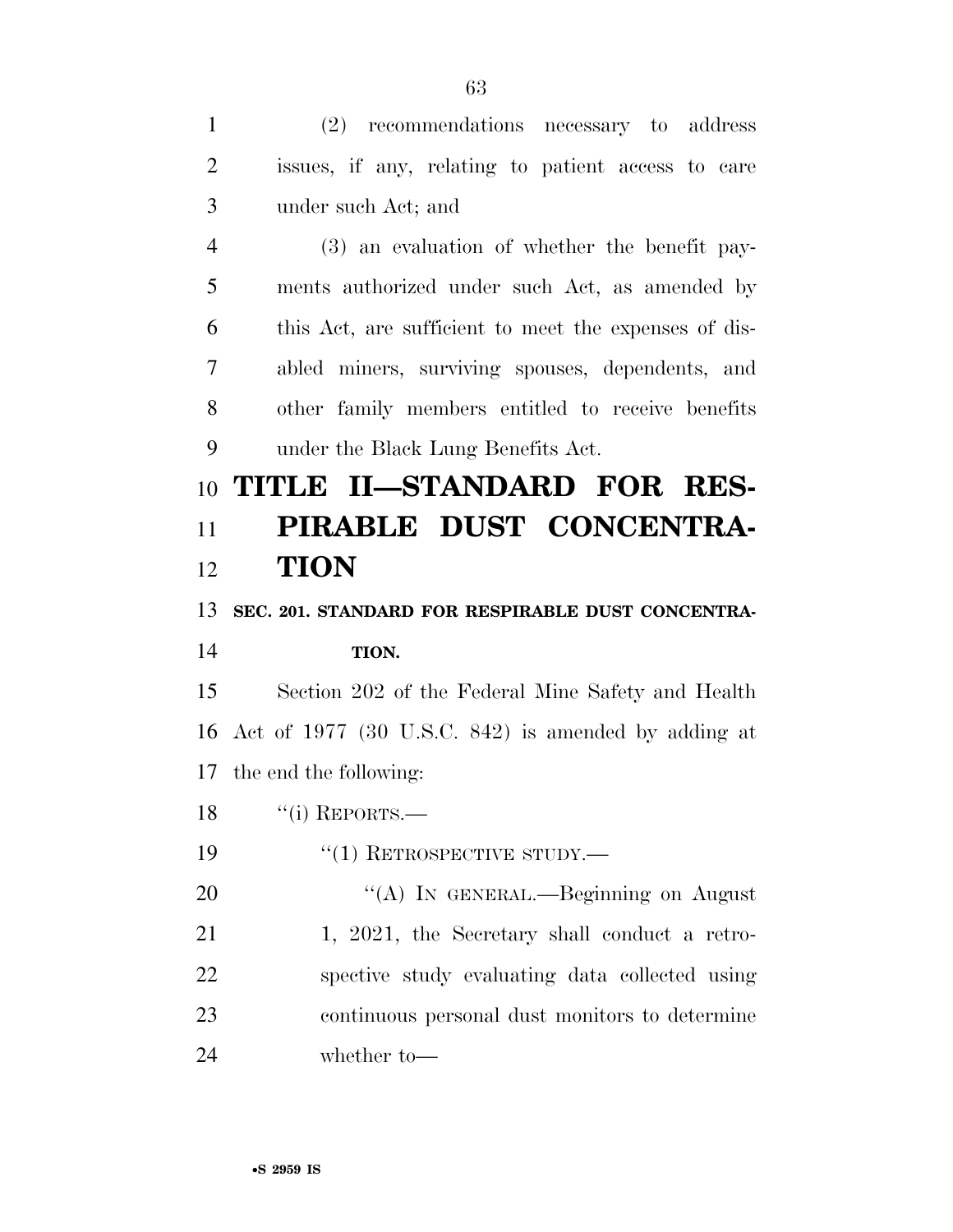(2) recommendations necessary to address issues, if any, relating to patient access to care under such Act; and (3) an evaluation of whether the benefit pay- ments authorized under such Act, as amended by this Act, are sufficient to meet the expenses of dis- abled miners, surviving spouses, dependents, and other family members entitled to receive benefits under the Black Lung Benefits Act. **TITLE II—STANDARD FOR RES- PIRABLE DUST CONCENTRA- TION SEC. 201. STANDARD FOR RESPIRABLE DUST CONCENTRA- TION.**  Section 202 of the Federal Mine Safety and Health Act of 1977 (30 U.S.C. 842) is amended by adding at the end the following: 18 "(i) REPORTS.—  $\frac{1}{2}$   $\frac{1}{2}$  RETROSPECTIVE STUDY. 20 "(A) IN GENERAL.—Beginning on August 21 1, 2021, the Secretary shall conduct a retro-spective study evaluating data collected using

 continuous personal dust monitors to determine whether to—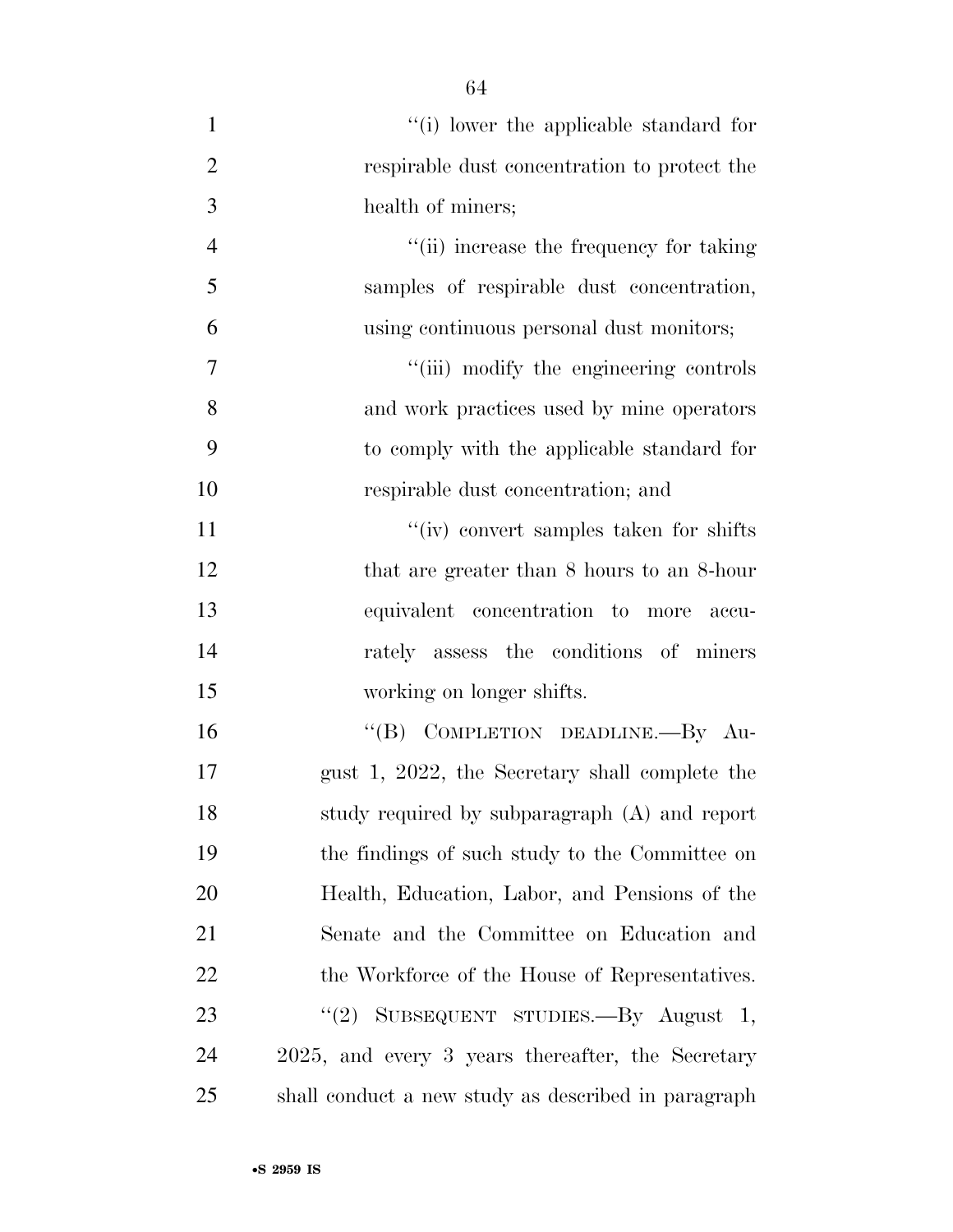| $\mathbf{1}$   | "(i) lower the applicable standard for              |
|----------------|-----------------------------------------------------|
| $\overline{2}$ | respirable dust concentration to protect the        |
| 3              | health of miners;                                   |
| $\overline{4}$ | "(ii) increase the frequency for taking             |
| 5              | samples of respirable dust concentration,           |
| 6              | using continuous personal dust monitors;            |
| 7              | "(iii) modify the engineering controls              |
| 8              | and work practices used by mine operators           |
| 9              | to comply with the applicable standard for          |
| 10             | respirable dust concentration; and                  |
| 11             | "(iv) convert samples taken for shifts              |
| 12             | that are greater than 8 hours to an 8-hour          |
| 13             | equivalent concentration to more<br>accu-           |
| 14             | rately assess the conditions of miners              |
| 15             | working on longer shifts.                           |
| 16             | "(B) COMPLETION DEADLINE.-- By Au-                  |
| 17             | gust 1, 2022, the Secretary shall complete the      |
| 18             | study required by subparagraph (A) and report       |
| 19             | the findings of such study to the Committee on      |
| 20             | Health, Education, Labor, and Pensions of the       |
| 21             | Senate and the Committee on Education and           |
| 22             | the Workforce of the House of Representatives.      |
| 23             | "(2) SUBSEQUENT STUDIES.—By August 1,               |
| 24             | 2025, and every 3 years thereafter, the Secretary   |
| 25             | shall conduct a new study as described in paragraph |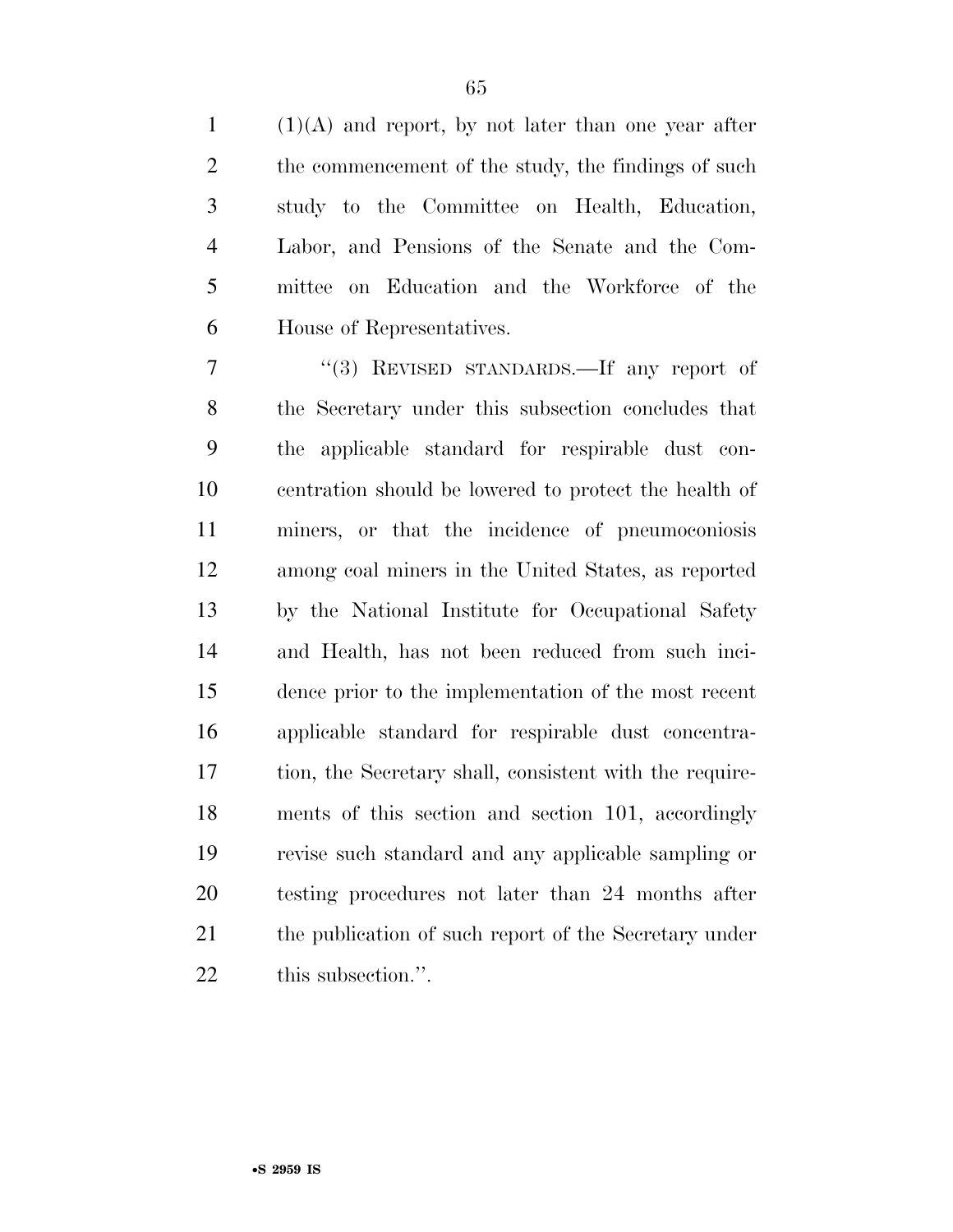(1)(A) and report, by not later than one year after 2 the commencement of the study, the findings of such study to the Committee on Health, Education, Labor, and Pensions of the Senate and the Com- mittee on Education and the Workforce of the House of Representatives.

 ''(3) REVISED STANDARDS.—If any report of the Secretary under this subsection concludes that the applicable standard for respirable dust con- centration should be lowered to protect the health of miners, or that the incidence of pneumoconiosis among coal miners in the United States, as reported by the National Institute for Occupational Safety and Health, has not been reduced from such inci- dence prior to the implementation of the most recent applicable standard for respirable dust concentra- tion, the Secretary shall, consistent with the require- ments of this section and section 101, accordingly revise such standard and any applicable sampling or testing procedures not later than 24 months after 21 the publication of such report of the Secretary under 22 this subsection.".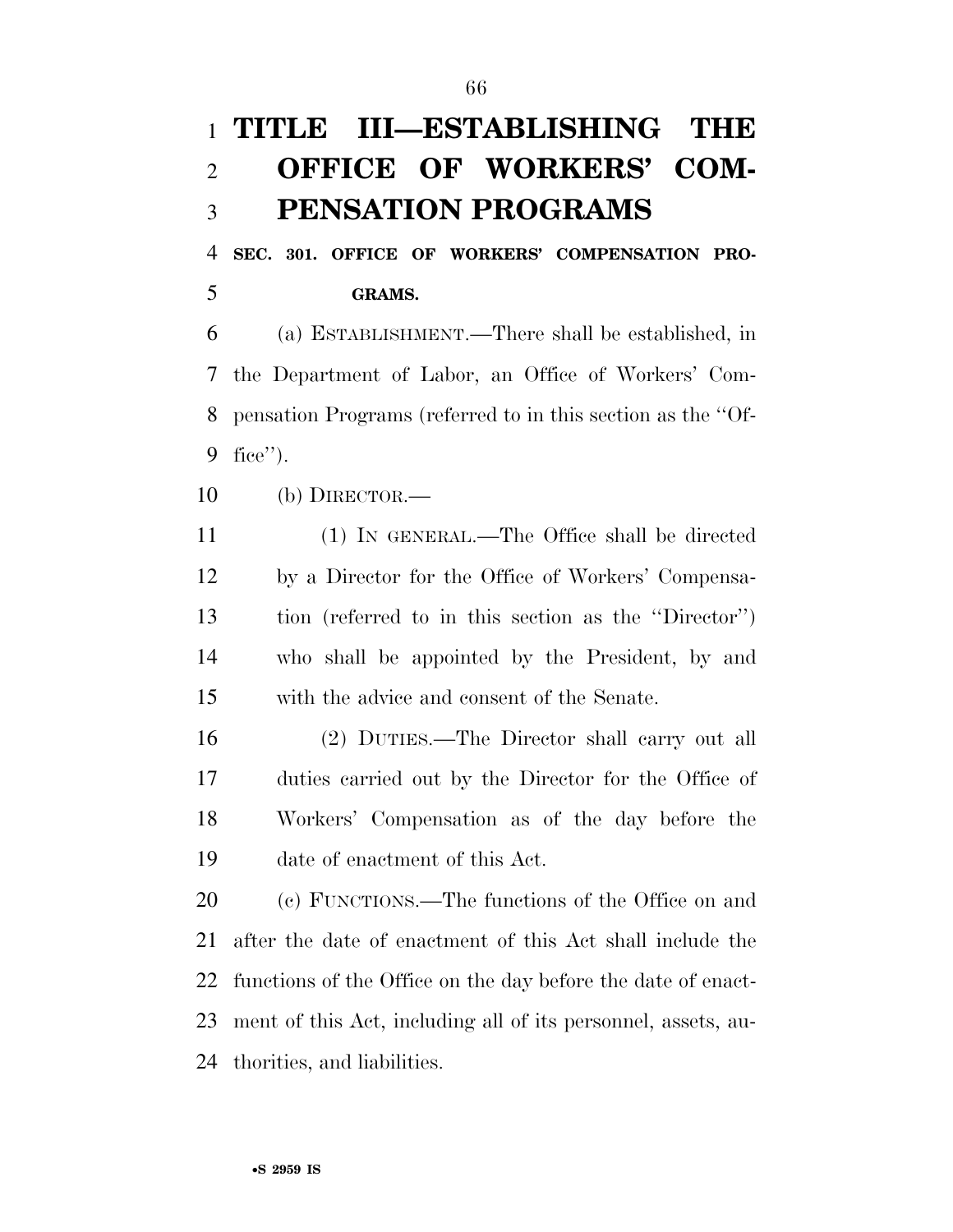# **TITLE III—ESTABLISHING THE OFFICE OF WORKERS' COM-PENSATION PROGRAMS**

 **SEC. 301. OFFICE OF WORKERS' COMPENSATION PRO-GRAMS.** 

 (a) ESTABLISHMENT.—There shall be established, in the Department of Labor, an Office of Workers' Com- pensation Programs (referred to in this section as the ''Of-fice'').

(b) DIRECTOR.—

 (1) IN GENERAL.—The Office shall be directed by a Director for the Office of Workers' Compensa- tion (referred to in this section as the ''Director'') who shall be appointed by the President, by and with the advice and consent of the Senate.

 (2) DUTIES.—The Director shall carry out all duties carried out by the Director for the Office of Workers' Compensation as of the day before the date of enactment of this Act.

 (c) FUNCTIONS.—The functions of the Office on and after the date of enactment of this Act shall include the functions of the Office on the day before the date of enact- ment of this Act, including all of its personnel, assets, au-thorities, and liabilities.